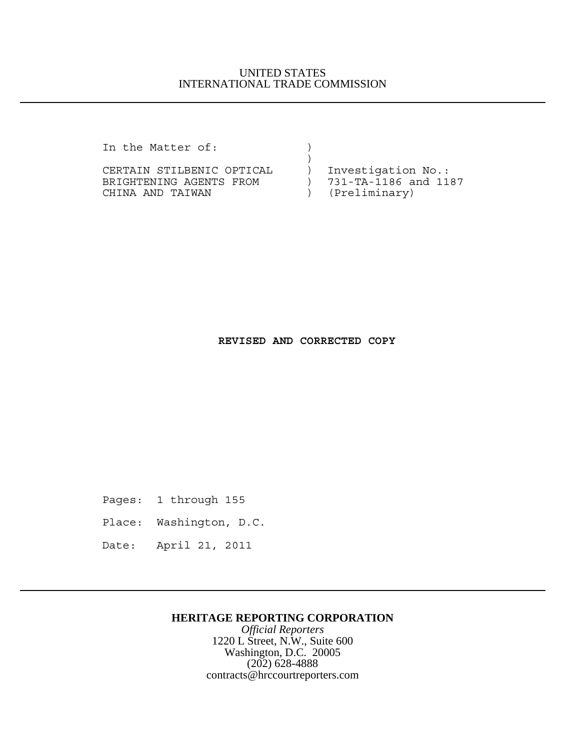### UNITED STATES INTERNATIONAL TRADE COMMISSION

In the Matter of:

CERTAIN STILBENIC OPTICAL (1997) Investigation No.:<br>BRIGHTENING AGENTS FROM (2018) 731-TA-1186 and 1187 BRIGHTENING AGENTS FROM ) 731-TA-1186 and 1187 (Breliminary) CHINA AND TAIWAN  $($ 

 $)$ 

### **REVISED AND CORRECTED COPY**

Pages: 1 through 155

Place: Washington, D.C.

Date: April 21, 2011

#### **HERITAGE REPORTING CORPORATION**

*Official Reporters* 1220 L Street, N.W., Suite 600 Washington, D.C. 20005 (202) 628-4888 contracts@hrccourtreporters.com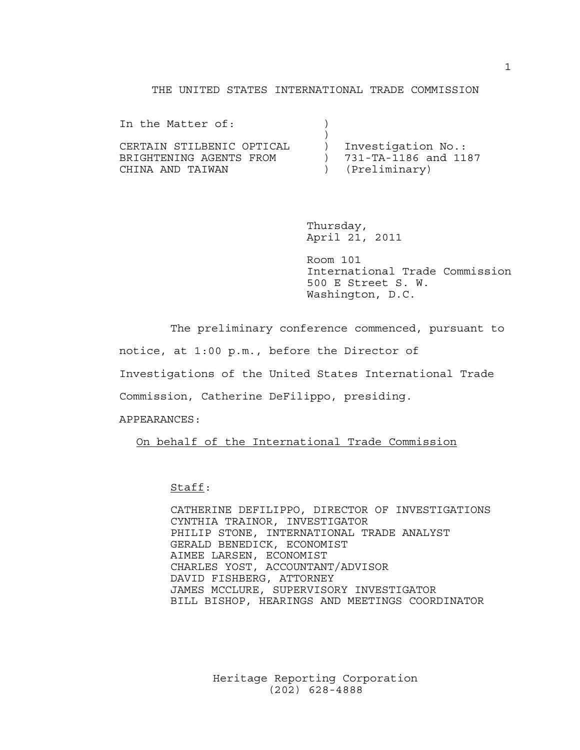#### THE UNITED STATES INTERNATIONAL TRADE COMMISSION

| In the Matter of:                                                        |                                                               |
|--------------------------------------------------------------------------|---------------------------------------------------------------|
| CERTAIN STILBENIC OPTICAL<br>BRIGHTENING AGENTS FROM<br>CHINA AND TAIWAN | Investigation No.:<br>) 731-TA-1186 and 1187<br>(Preliminary) |

Thursday, April 21, 2011

Room 101 International Trade Commission 500 E Street S. W. Washington, D.C.

The preliminary conference commenced, pursuant to

notice, at 1:00 p.m., before the Director of

Investigations of the United States International Trade

Commission, Catherine DeFilippo, presiding.

APPEARANCES:

On behalf of the International Trade Commission

Staff:

CATHERINE DEFILIPPO, DIRECTOR OF INVESTIGATIONS CYNTHIA TRAINOR, INVESTIGATOR PHILIP STONE, INTERNATIONAL TRADE ANALYST GERALD BENEDICK, ECONOMIST AIMEE LARSEN, ECONOMIST CHARLES YOST, ACCOUNTANT/ADVISOR DAVID FISHBERG, ATTORNEY JAMES MCCLURE, SUPERVISORY INVESTIGATOR BILL BISHOP, HEARINGS AND MEETINGS COORDINATOR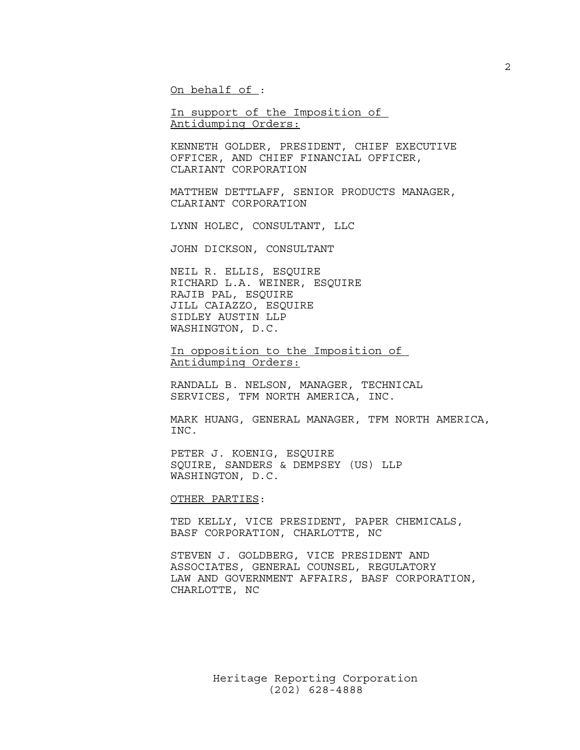On behalf of :

In support of the Imposition of Antidumping Orders:

KENNETH GOLDER, PRESIDENT, CHIEF EXECUTIVE OFFICER, AND CHIEF FINANCIAL OFFICER, CLARIANT CORPORATION

MATTHEW DETTLAFF, SENIOR PRODUCTS MANAGER, CLARIANT CORPORATION

LYNN HOLEC, CONSULTANT, LLC

JOHN DICKSON, CONSULTANT

NEIL R. ELLIS, ESQUIRE RICHARD L.A. WEINER, ESQUIRE RAJIB PAL, ESQUIRE JILL CAIAZZO, ESQUIRE SIDLEY AUSTIN LLP WASHINGTON, D.C.

In opposition to the Imposition of Antidumping Orders:

RANDALL B. NELSON, MANAGER, TECHNICAL SERVICES, TFM NORTH AMERICA, INC.

MARK HUANG, GENERAL MANAGER, TFM NORTH AMERICA, INC.

PETER J. KOENIG, ESQUIRE SQUIRE, SANDERS & DEMPSEY (US) LLP WASHINGTON, D.C.

OTHER PARTIES:

TED KELLY, VICE PRESIDENT, PAPER CHEMICALS, BASF CORPORATION, CHARLOTTE, NC

STEVEN J. GOLDBERG, VICE PRESIDENT AND ASSOCIATES, GENERAL COUNSEL, REGULATORY LAW AND GOVERNMENT AFFAIRS, BASF CORPORATION, CHARLOTTE, NC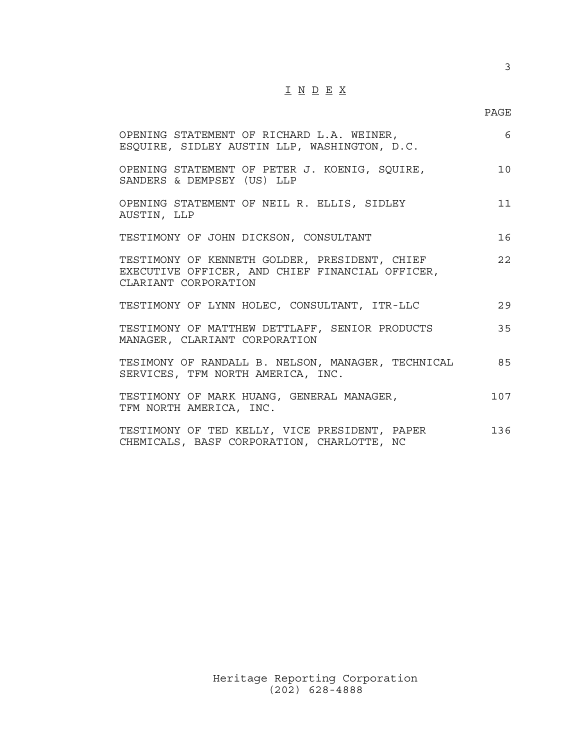# I N D E X

| OPENING STATEMENT OF RICHARD L.A. WEINER,<br>ESQUIRE, SIDLEY AUSTIN LLP, WASHINGTON, D.C.                                | 6   |
|--------------------------------------------------------------------------------------------------------------------------|-----|
| OPENING STATEMENT OF PETER J. KOENIG, SQUIRE,<br>SANDERS & DEMPSEY (US) LLP                                              | 10  |
| OPENING STATEMENT OF NEIL R. ELLIS, SIDLEY<br>AUSTIN, LLP                                                                | 11  |
| TESTIMONY OF JOHN DICKSON, CONSULTANT                                                                                    | 16  |
| TESTIMONY OF KENNETH GOLDER, PRESIDENT, CHIEF<br>EXECUTIVE OFFICER, AND CHIEF FINANCIAL OFFICER,<br>CLARIANT CORPORATION | 22  |
| TESTIMONY OF LYNN HOLEC, CONSULTANT, ITR-LLC                                                                             | 29  |
| TESTIMONY OF MATTHEW DETTLAFF, SENIOR PRODUCTS<br>MANAGER, CLARIANT CORPORATION                                          | 35  |
| TESIMONY OF RANDALL B. NELSON, MANAGER, TECHNICAL<br>SERVICES, TFM NORTH AMERICA, INC.                                   | 85  |
| TESTIMONY OF MARK HUANG, GENERAL MANAGER,<br>TFM NORTH AMERICA, INC.                                                     | 107 |
| TESTIMONY OF TED KELLY, VICE PRESIDENT, PAPER<br>CHEMICALS, BASF CORPORATION, CHARLOTTE, NC                              | 136 |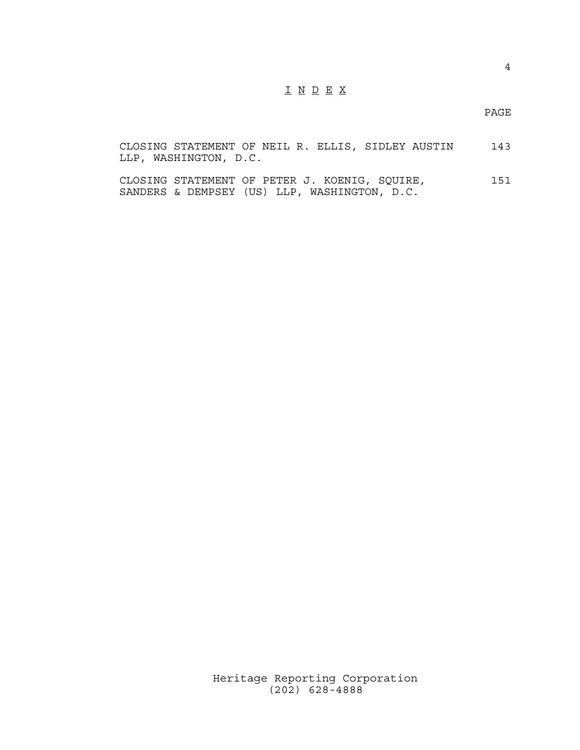# I N D E X

PAGE

|  | CLOSING STATEMENT OF NEIL R. ELLIS, SIDLEY AUSTIN |  |  |  | 143 |
|--|---------------------------------------------------|--|--|--|-----|
|  | LLP, WASHINGTON, D.C.                             |  |  |  |     |

CLOSING STATEMENT OF PETER J. KOENIG, SQUIRE, 151 SANDERS & DEMPSEY (US) LLP, WASHINGTON, D.C.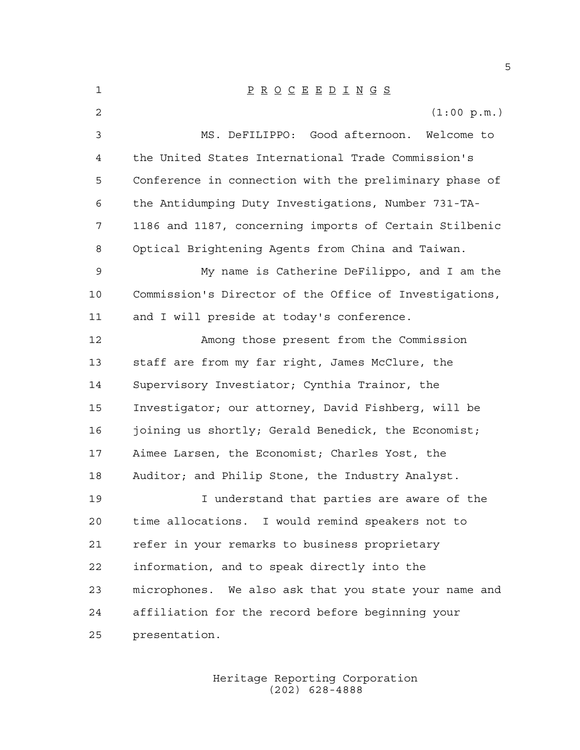| 1              | $\underline{P} \underline{R} \underline{O} \underline{C} \underline{E} \underline{E} \underline{D} \underline{I} \underline{N} \underline{G} \underline{S}$ |
|----------------|-------------------------------------------------------------------------------------------------------------------------------------------------------------|
| $\overline{2}$ | (1:00 p.m.)                                                                                                                                                 |
| 3              | MS. DeFILIPPO: Good afternoon. Welcome to                                                                                                                   |
| 4              | the United States International Trade Commission's                                                                                                          |
| 5              | Conference in connection with the preliminary phase of                                                                                                      |
| 6              | the Antidumping Duty Investigations, Number 731-TA-                                                                                                         |
| 7              | 1186 and 1187, concerning imports of Certain Stilbenic                                                                                                      |
| 8              | Optical Brightening Agents from China and Taiwan.                                                                                                           |
| $\mathsf 9$    | My name is Catherine DeFilippo, and I am the                                                                                                                |
| 10             | Commission's Director of the Office of Investigations,                                                                                                      |
| 11             | and I will preside at today's conference.                                                                                                                   |
| 12             | Among those present from the Commission                                                                                                                     |
| 13             | staff are from my far right, James McClure, the                                                                                                             |
| 14             | Supervisory Investiator; Cynthia Trainor, the                                                                                                               |
| 15             | Investigator; our attorney, David Fishberg, will be                                                                                                         |
| 16             | joining us shortly; Gerald Benedick, the Economist;                                                                                                         |
| 17             | Aimee Larsen, the Economist; Charles Yost, the                                                                                                              |
| 18             | Auditor; and Philip Stone, the Industry Analyst.                                                                                                            |
| 19             | I understand that parties are aware of the                                                                                                                  |
| 20             | time allocations. I would remind speakers not to                                                                                                            |
| 21             | refer in your remarks to business proprietary                                                                                                               |
| 22             | information, and to speak directly into the                                                                                                                 |
| 23             | microphones. We also ask that you state your name and                                                                                                       |
| 24             | affiliation for the record before beginning your                                                                                                            |
| 25             | presentation.                                                                                                                                               |

Heritage Reporting Corporation (202) 628-4888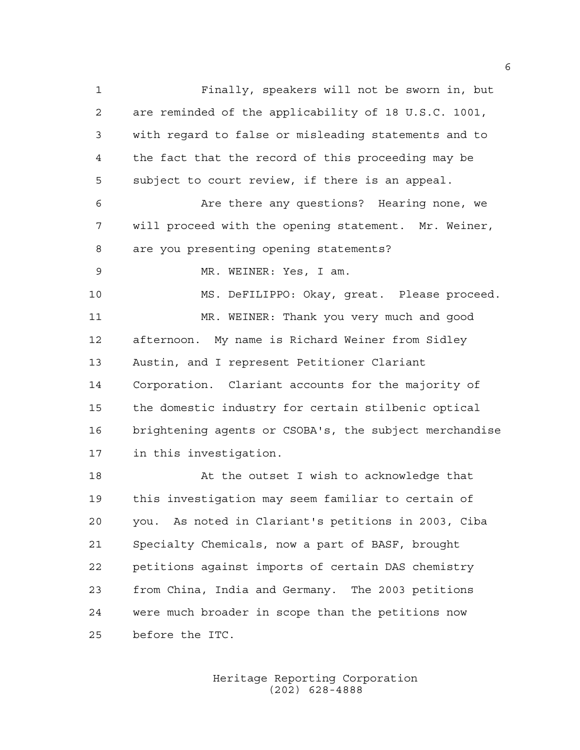Finally, speakers will not be sworn in, but are reminded of the applicability of 18 U.S.C. 1001, with regard to false or misleading statements and to the fact that the record of this proceeding may be subject to court review, if there is an appeal. Are there any questions? Hearing none, we will proceed with the opening statement. Mr. Weiner, are you presenting opening statements? MR. WEINER: Yes, I am. MS. DeFILIPPO: Okay, great. Please proceed. MR. WEINER: Thank you very much and good afternoon. My name is Richard Weiner from Sidley Austin, and I represent Petitioner Clariant Corporation. Clariant accounts for the majority of the domestic industry for certain stilbenic optical brightening agents or CSOBA's, the subject merchandise in this investigation. At the outset I wish to acknowledge that this investigation may seem familiar to certain of you. As noted in Clariant's petitions in 2003, Ciba Specialty Chemicals, now a part of BASF, brought petitions against imports of certain DAS chemistry from China, India and Germany. The 2003 petitions

before the ITC.

Heritage Reporting Corporation (202) 628-4888

were much broader in scope than the petitions now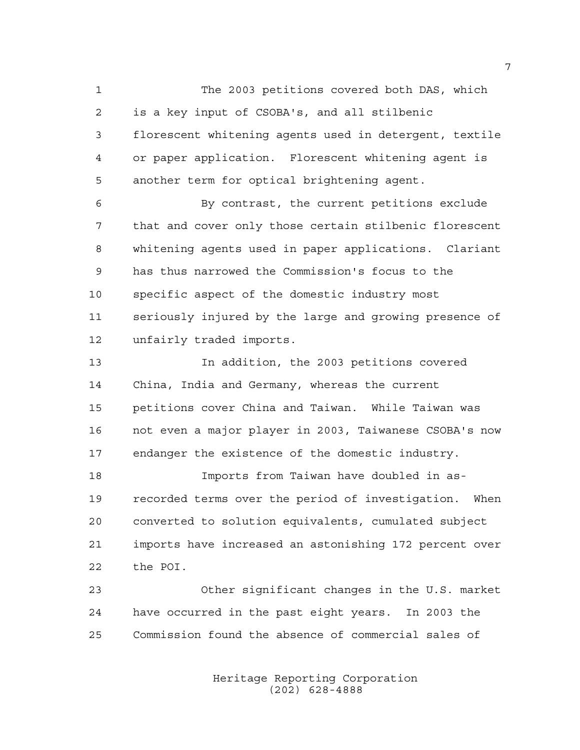The 2003 petitions covered both DAS, which is a key input of CSOBA's, and all stilbenic florescent whitening agents used in detergent, textile or paper application. Florescent whitening agent is another term for optical brightening agent.

 By contrast, the current petitions exclude that and cover only those certain stilbenic florescent whitening agents used in paper applications. Clariant has thus narrowed the Commission's focus to the specific aspect of the domestic industry most seriously injured by the large and growing presence of unfairly traded imports.

 In addition, the 2003 petitions covered China, India and Germany, whereas the current petitions cover China and Taiwan. While Taiwan was not even a major player in 2003, Taiwanese CSOBA's now endanger the existence of the domestic industry.

 Imports from Taiwan have doubled in as- recorded terms over the period of investigation. When converted to solution equivalents, cumulated subject imports have increased an astonishing 172 percent over the POI.

 Other significant changes in the U.S. market have occurred in the past eight years. In 2003 the Commission found the absence of commercial sales of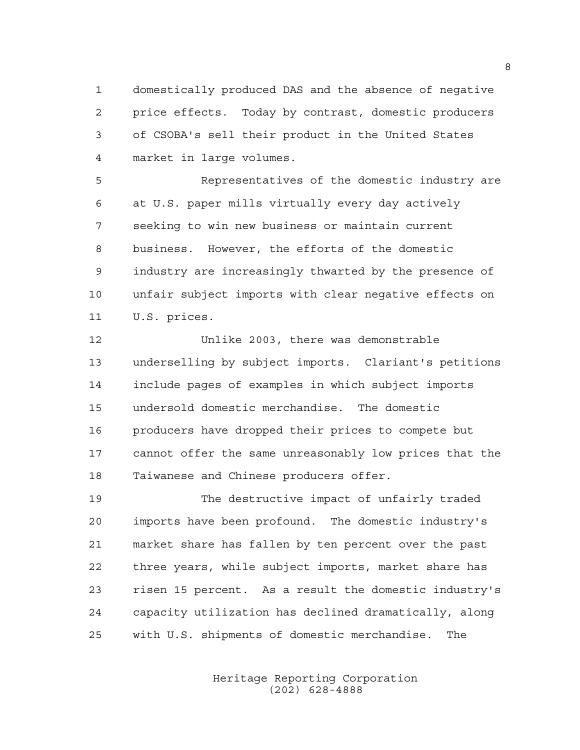domestically produced DAS and the absence of negative price effects. Today by contrast, domestic producers of CSOBA's sell their product in the United States market in large volumes.

 Representatives of the domestic industry are at U.S. paper mills virtually every day actively seeking to win new business or maintain current business. However, the efforts of the domestic industry are increasingly thwarted by the presence of unfair subject imports with clear negative effects on U.S. prices.

 Unlike 2003, there was demonstrable underselling by subject imports. Clariant's petitions include pages of examples in which subject imports undersold domestic merchandise. The domestic producers have dropped their prices to compete but cannot offer the same unreasonably low prices that the Taiwanese and Chinese producers offer.

 The destructive impact of unfairly traded imports have been profound. The domestic industry's market share has fallen by ten percent over the past three years, while subject imports, market share has risen 15 percent. As a result the domestic industry's capacity utilization has declined dramatically, along with U.S. shipments of domestic merchandise. The

> Heritage Reporting Corporation (202) 628-4888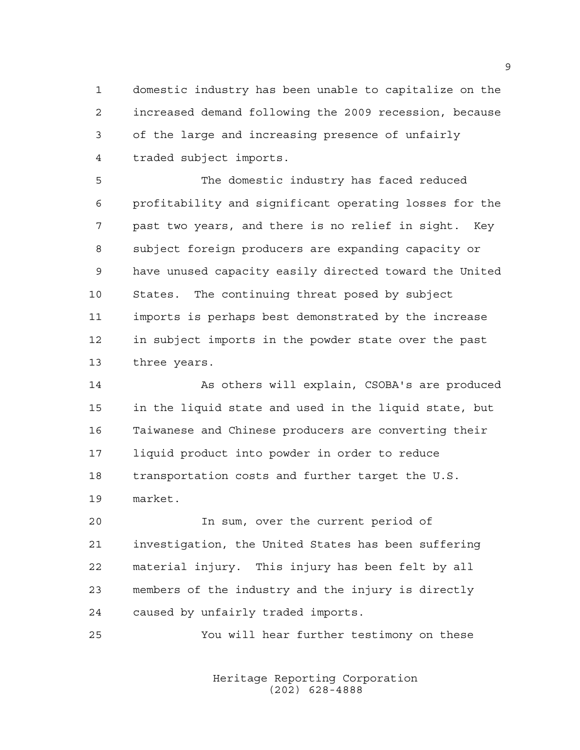domestic industry has been unable to capitalize on the increased demand following the 2009 recession, because of the large and increasing presence of unfairly traded subject imports.

 The domestic industry has faced reduced profitability and significant operating losses for the past two years, and there is no relief in sight. Key subject foreign producers are expanding capacity or have unused capacity easily directed toward the United States. The continuing threat posed by subject imports is perhaps best demonstrated by the increase in subject imports in the powder state over the past three years.

 As others will explain, CSOBA's are produced in the liquid state and used in the liquid state, but Taiwanese and Chinese producers are converting their liquid product into powder in order to reduce transportation costs and further target the U.S. market.

 In sum, over the current period of investigation, the United States has been suffering material injury. This injury has been felt by all members of the industry and the injury is directly caused by unfairly traded imports.

You will hear further testimony on these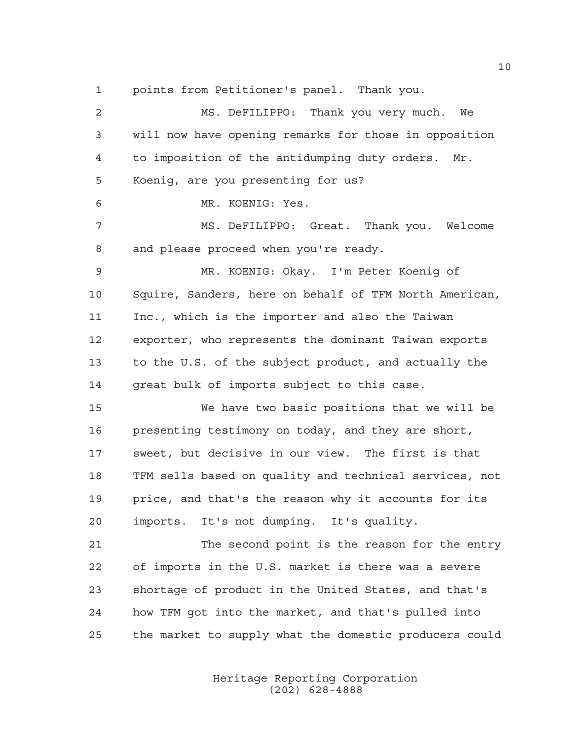points from Petitioner's panel. Thank you.

 MS. DeFILIPPO: Thank you very much. We will now have opening remarks for those in opposition to imposition of the antidumping duty orders. Mr. Koenig, are you presenting for us? MR. KOENIG: Yes. MS. DeFILIPPO: Great. Thank you. Welcome and please proceed when you're ready. MR. KOENIG: Okay. I'm Peter Koenig of Squire, Sanders, here on behalf of TFM North American, Inc., which is the importer and also the Taiwan exporter, who represents the dominant Taiwan exports to the U.S. of the subject product, and actually the great bulk of imports subject to this case. We have two basic positions that we will be presenting testimony on today, and they are short, sweet, but decisive in our view. The first is that TFM sells based on quality and technical services, not price, and that's the reason why it accounts for its imports. It's not dumping. It's quality. The second point is the reason for the entry of imports in the U.S. market is there was a severe shortage of product in the United States, and that's how TFM got into the market, and that's pulled into the market to supply what the domestic producers could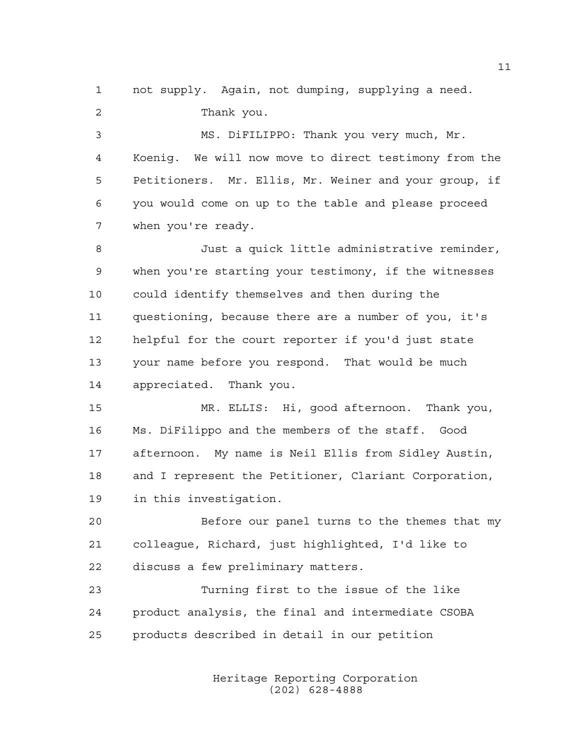not supply. Again, not dumping, supplying a need. Thank you.

 MS. DiFILIPPO: Thank you very much, Mr. Koenig. We will now move to direct testimony from the Petitioners. Mr. Ellis, Mr. Weiner and your group, if you would come on up to the table and please proceed when you're ready.

 Just a quick little administrative reminder, when you're starting your testimony, if the witnesses could identify themselves and then during the questioning, because there are a number of you, it's helpful for the court reporter if you'd just state your name before you respond. That would be much appreciated. Thank you.

 MR. ELLIS: Hi, good afternoon. Thank you, Ms. DiFilippo and the members of the staff. Good afternoon. My name is Neil Ellis from Sidley Austin, and I represent the Petitioner, Clariant Corporation, in this investigation.

 Before our panel turns to the themes that my colleague, Richard, just highlighted, I'd like to discuss a few preliminary matters.

 Turning first to the issue of the like product analysis, the final and intermediate CSOBA products described in detail in our petition

> Heritage Reporting Corporation (202) 628-4888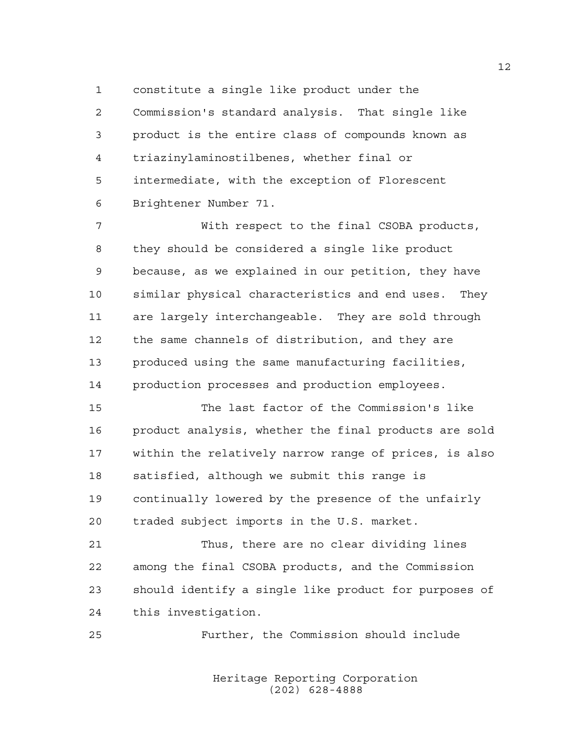constitute a single like product under the

 Commission's standard analysis. That single like product is the entire class of compounds known as triazinylaminostilbenes, whether final or intermediate, with the exception of Florescent Brightener Number 71.

 With respect to the final CSOBA products, they should be considered a single like product because, as we explained in our petition, they have similar physical characteristics and end uses. They are largely interchangeable. They are sold through the same channels of distribution, and they are produced using the same manufacturing facilities, production processes and production employees.

 The last factor of the Commission's like product analysis, whether the final products are sold within the relatively narrow range of prices, is also satisfied, although we submit this range is continually lowered by the presence of the unfairly traded subject imports in the U.S. market.

 Thus, there are no clear dividing lines among the final CSOBA products, and the Commission should identify a single like product for purposes of this investigation.

Further, the Commission should include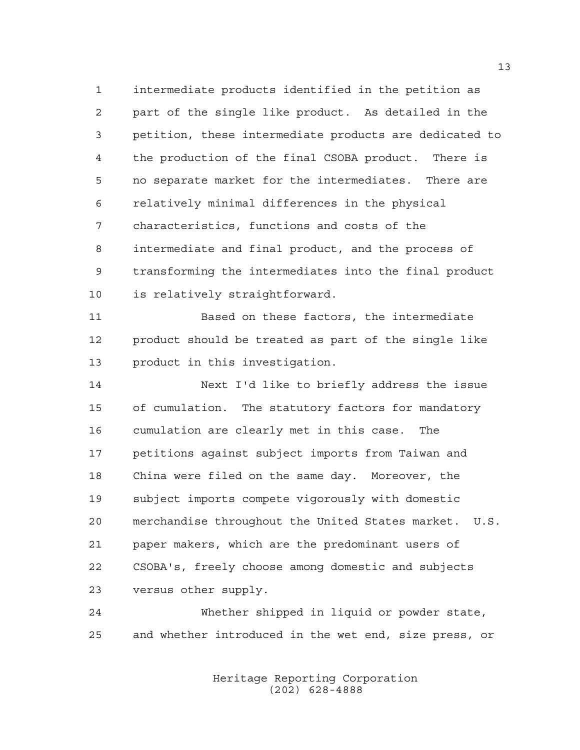intermediate products identified in the petition as part of the single like product. As detailed in the petition, these intermediate products are dedicated to the production of the final CSOBA product. There is no separate market for the intermediates. There are relatively minimal differences in the physical characteristics, functions and costs of the intermediate and final product, and the process of transforming the intermediates into the final product is relatively straightforward.

 Based on these factors, the intermediate product should be treated as part of the single like product in this investigation.

 Next I'd like to briefly address the issue of cumulation. The statutory factors for mandatory cumulation are clearly met in this case. The petitions against subject imports from Taiwan and China were filed on the same day. Moreover, the subject imports compete vigorously with domestic merchandise throughout the United States market. U.S. paper makers, which are the predominant users of CSOBA's, freely choose among domestic and subjects versus other supply.

 Whether shipped in liquid or powder state, and whether introduced in the wet end, size press, or

> Heritage Reporting Corporation (202) 628-4888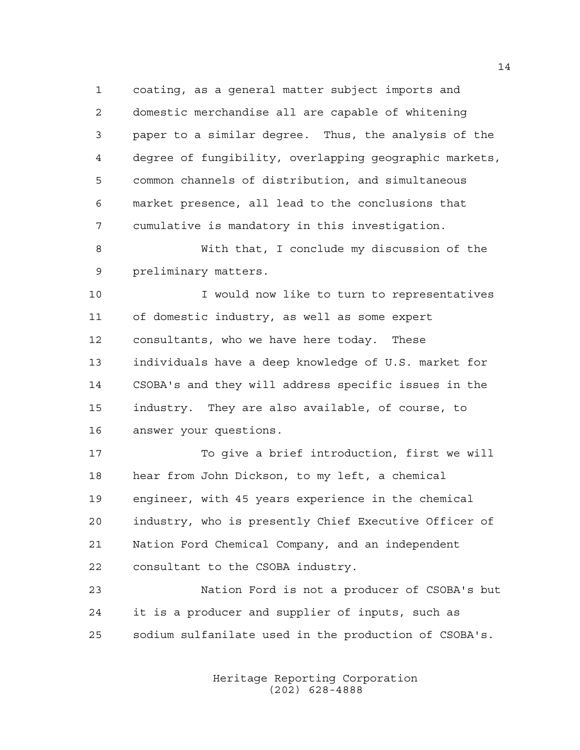coating, as a general matter subject imports and domestic merchandise all are capable of whitening paper to a similar degree. Thus, the analysis of the degree of fungibility, overlapping geographic markets, common channels of distribution, and simultaneous market presence, all lead to the conclusions that cumulative is mandatory in this investigation.

 With that, I conclude my discussion of the preliminary matters.

 I would now like to turn to representatives of domestic industry, as well as some expert consultants, who we have here today. These individuals have a deep knowledge of U.S. market for CSOBA's and they will address specific issues in the industry. They are also available, of course, to answer your questions.

 To give a brief introduction, first we will hear from John Dickson, to my left, a chemical engineer, with 45 years experience in the chemical industry, who is presently Chief Executive Officer of Nation Ford Chemical Company, and an independent consultant to the CSOBA industry.

 Nation Ford is not a producer of CSOBA's but it is a producer and supplier of inputs, such as sodium sulfanilate used in the production of CSOBA's.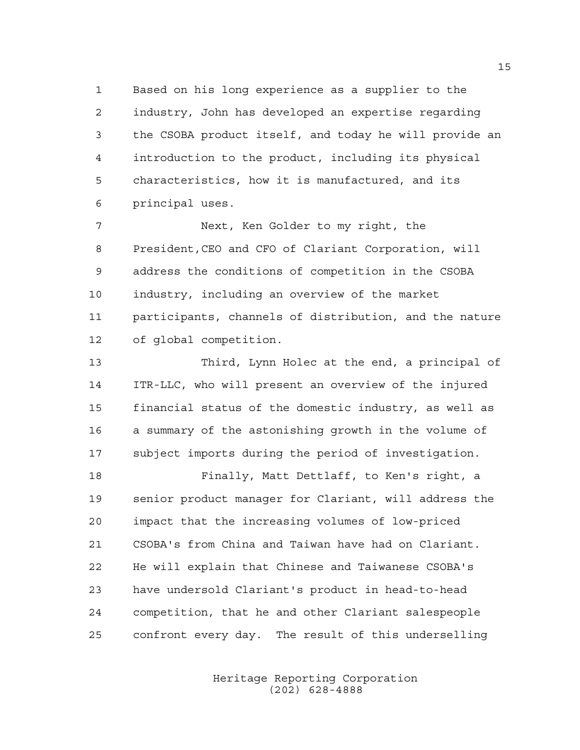Based on his long experience as a supplier to the industry, John has developed an expertise regarding the CSOBA product itself, and today he will provide an introduction to the product, including its physical characteristics, how it is manufactured, and its principal uses.

 Next, Ken Golder to my right, the President,CEO and CFO of Clariant Corporation, will address the conditions of competition in the CSOBA industry, including an overview of the market participants, channels of distribution, and the nature of global competition.

 Third, Lynn Holec at the end, a principal of ITR-LLC, who will present an overview of the injured financial status of the domestic industry, as well as a summary of the astonishing growth in the volume of subject imports during the period of investigation.

 Finally, Matt Dettlaff, to Ken's right, a senior product manager for Clariant, will address the impact that the increasing volumes of low-priced CSOBA's from China and Taiwan have had on Clariant. He will explain that Chinese and Taiwanese CSOBA's have undersold Clariant's product in head-to-head competition, that he and other Clariant salespeople confront every day. The result of this underselling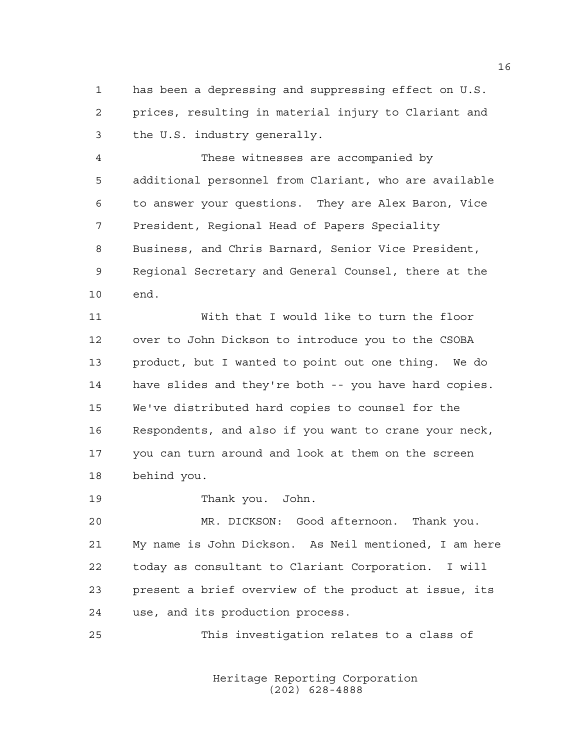has been a depressing and suppressing effect on U.S. prices, resulting in material injury to Clariant and the U.S. industry generally.

 These witnesses are accompanied by additional personnel from Clariant, who are available to answer your questions. They are Alex Baron, Vice President, Regional Head of Papers Speciality Business, and Chris Barnard, Senior Vice President, Regional Secretary and General Counsel, there at the end.

 With that I would like to turn the floor over to John Dickson to introduce you to the CSOBA product, but I wanted to point out one thing. We do have slides and they're both -- you have hard copies. We've distributed hard copies to counsel for the Respondents, and also if you want to crane your neck, you can turn around and look at them on the screen behind you.

Thank you. John.

 MR. DICKSON: Good afternoon. Thank you. My name is John Dickson. As Neil mentioned, I am here today as consultant to Clariant Corporation. I will present a brief overview of the product at issue, its use, and its production process.

This investigation relates to a class of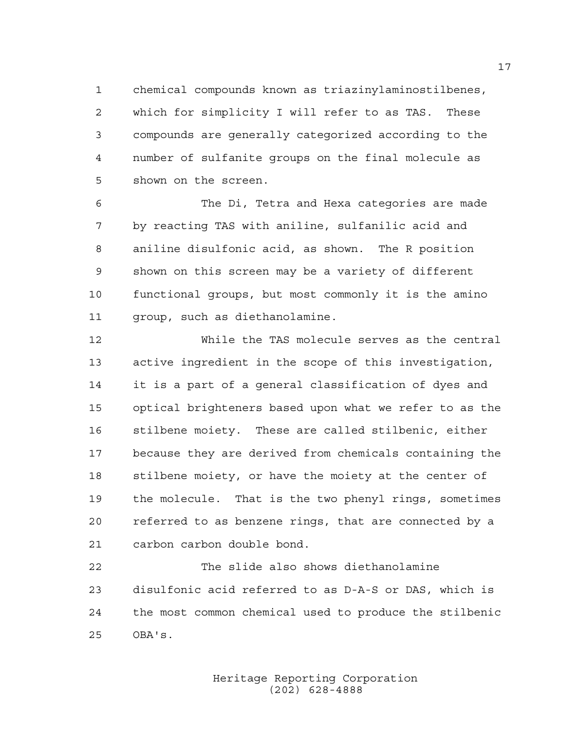chemical compounds known as triazinylaminostilbenes, which for simplicity I will refer to as TAS. These compounds are generally categorized according to the number of sulfanite groups on the final molecule as shown on the screen.

 The Di, Tetra and Hexa categories are made by reacting TAS with aniline, sulfanilic acid and aniline disulfonic acid, as shown. The R position shown on this screen may be a variety of different functional groups, but most commonly it is the amino group, such as diethanolamine.

 While the TAS molecule serves as the central active ingredient in the scope of this investigation, it is a part of a general classification of dyes and optical brighteners based upon what we refer to as the stilbene moiety. These are called stilbenic, either because they are derived from chemicals containing the stilbene moiety, or have the moiety at the center of the molecule. That is the two phenyl rings, sometimes referred to as benzene rings, that are connected by a carbon carbon double bond.

 The slide also shows diethanolamine disulfonic acid referred to as D-A-S or DAS, which is the most common chemical used to produce the stilbenic OBA's.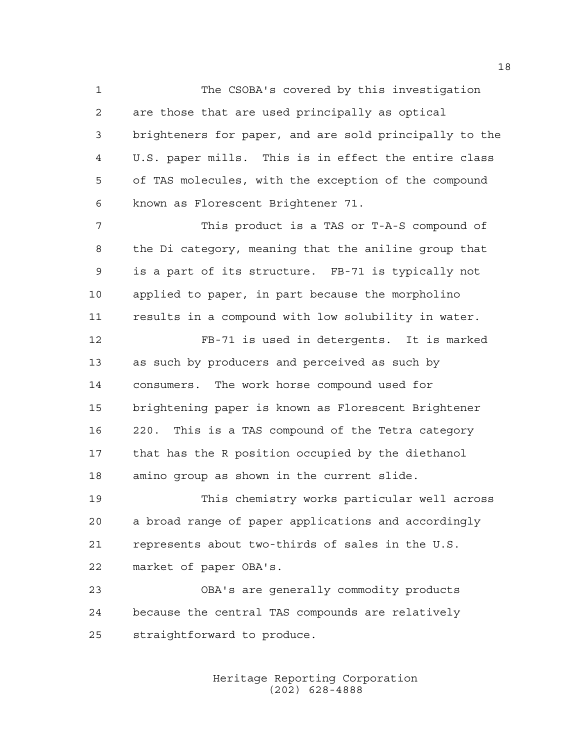The CSOBA's covered by this investigation are those that are used principally as optical brighteners for paper, and are sold principally to the U.S. paper mills. This is in effect the entire class of TAS molecules, with the exception of the compound known as Florescent Brightener 71.

 This product is a TAS or T-A-S compound of the Di category, meaning that the aniline group that is a part of its structure. FB-71 is typically not applied to paper, in part because the morpholino results in a compound with low solubility in water.

 FB-71 is used in detergents. It is marked as such by producers and perceived as such by consumers. The work horse compound used for brightening paper is known as Florescent Brightener 220. This is a TAS compound of the Tetra category that has the R position occupied by the diethanol amino group as shown in the current slide.

 This chemistry works particular well across a broad range of paper applications and accordingly represents about two-thirds of sales in the U.S. market of paper OBA's.

 OBA's are generally commodity products because the central TAS compounds are relatively straightforward to produce.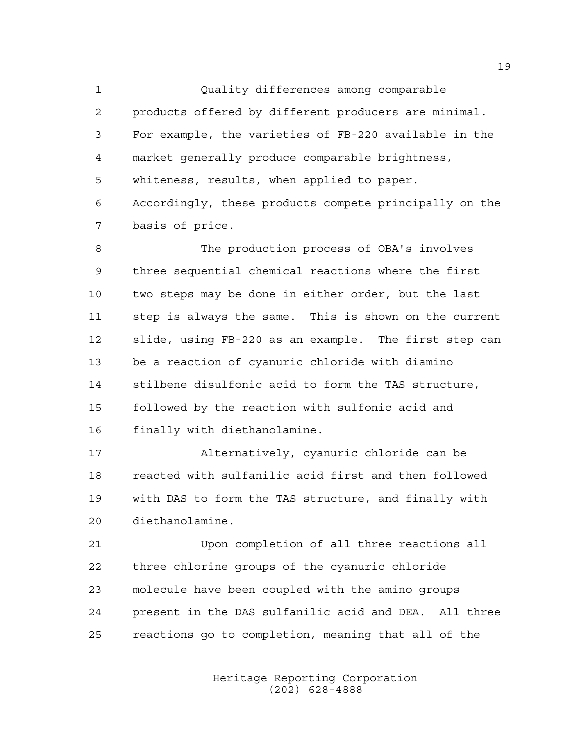Quality differences among comparable products offered by different producers are minimal. For example, the varieties of FB-220 available in the market generally produce comparable brightness, whiteness, results, when applied to paper. Accordingly, these products compete principally on the basis of price.

 The production process of OBA's involves three sequential chemical reactions where the first two steps may be done in either order, but the last step is always the same. This is shown on the current slide, using FB-220 as an example. The first step can be a reaction of cyanuric chloride with diamino stilbene disulfonic acid to form the TAS structure, followed by the reaction with sulfonic acid and finally with diethanolamine.

 Alternatively, cyanuric chloride can be reacted with sulfanilic acid first and then followed with DAS to form the TAS structure, and finally with diethanolamine.

 Upon completion of all three reactions all three chlorine groups of the cyanuric chloride molecule have been coupled with the amino groups present in the DAS sulfanilic acid and DEA. All three reactions go to completion, meaning that all of the

> Heritage Reporting Corporation (202) 628-4888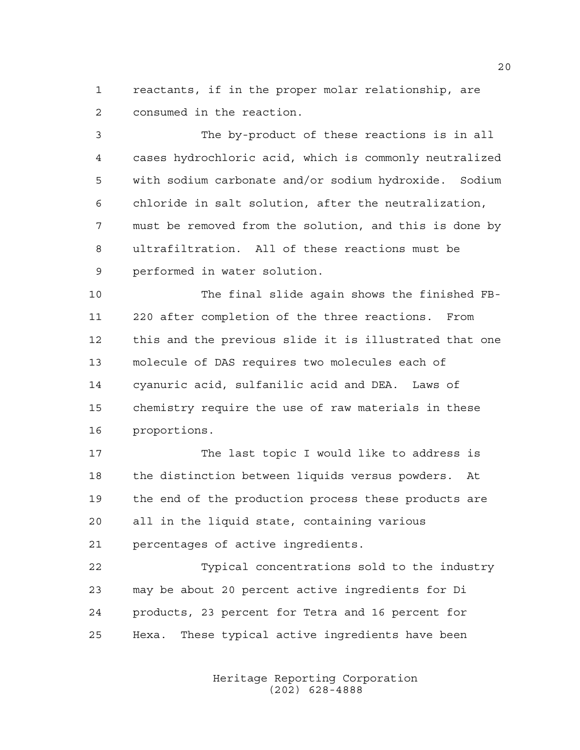reactants, if in the proper molar relationship, are consumed in the reaction.

 The by-product of these reactions is in all cases hydrochloric acid, which is commonly neutralized with sodium carbonate and/or sodium hydroxide. Sodium chloride in salt solution, after the neutralization, must be removed from the solution, and this is done by ultrafiltration. All of these reactions must be performed in water solution.

 The final slide again shows the finished FB- 220 after completion of the three reactions. From this and the previous slide it is illustrated that one molecule of DAS requires two molecules each of cyanuric acid, sulfanilic acid and DEA. Laws of chemistry require the use of raw materials in these proportions.

17 The last topic I would like to address is the distinction between liquids versus powders. At the end of the production process these products are all in the liquid state, containing various percentages of active ingredients.

 Typical concentrations sold to the industry may be about 20 percent active ingredients for Di products, 23 percent for Tetra and 16 percent for Hexa. These typical active ingredients have been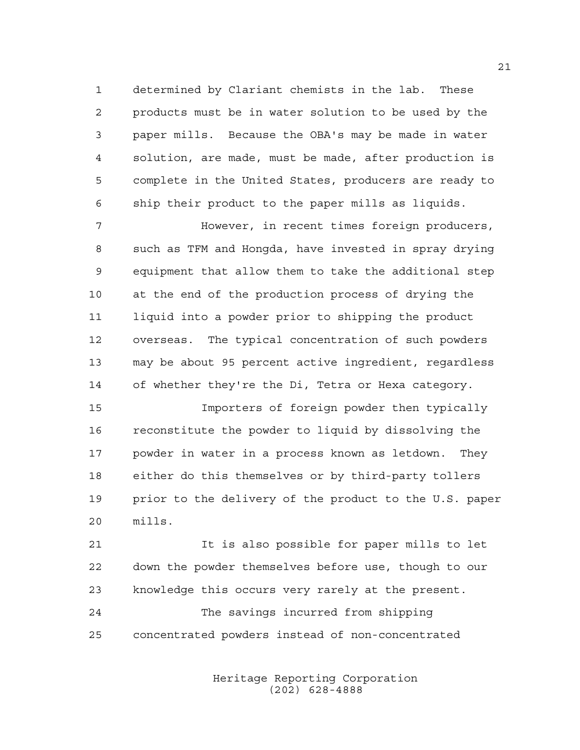determined by Clariant chemists in the lab. These products must be in water solution to be used by the paper mills. Because the OBA's may be made in water solution, are made, must be made, after production is complete in the United States, producers are ready to ship their product to the paper mills as liquids.

 However, in recent times foreign producers, such as TFM and Hongda, have invested in spray drying equipment that allow them to take the additional step at the end of the production process of drying the liquid into a powder prior to shipping the product overseas. The typical concentration of such powders may be about 95 percent active ingredient, regardless of whether they're the Di, Tetra or Hexa category.

 Importers of foreign powder then typically reconstitute the powder to liquid by dissolving the powder in water in a process known as letdown. They either do this themselves or by third-party tollers prior to the delivery of the product to the U.S. paper mills.

 It is also possible for paper mills to let down the powder themselves before use, though to our knowledge this occurs very rarely at the present.

 The savings incurred from shipping concentrated powders instead of non-concentrated

> Heritage Reporting Corporation (202) 628-4888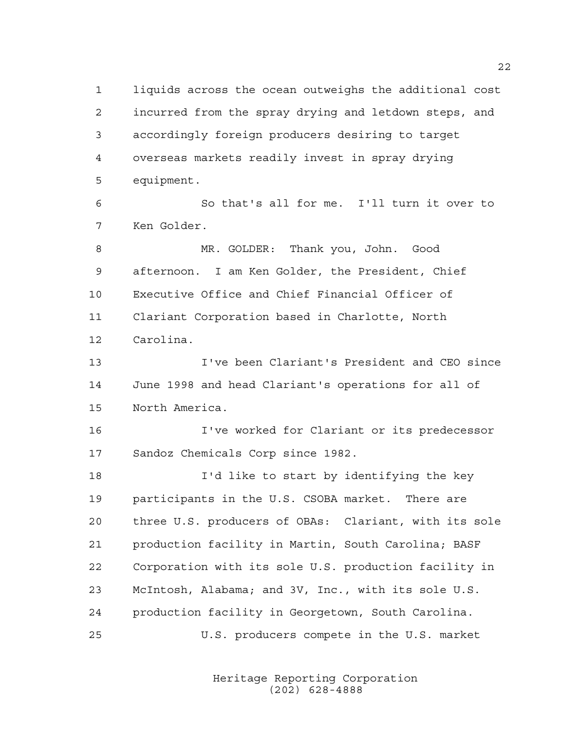liquids across the ocean outweighs the additional cost incurred from the spray drying and letdown steps, and accordingly foreign producers desiring to target overseas markets readily invest in spray drying equipment.

 So that's all for me. I'll turn it over to Ken Golder.

 MR. GOLDER: Thank you, John. Good afternoon. I am Ken Golder, the President, Chief Executive Office and Chief Financial Officer of Clariant Corporation based in Charlotte, North Carolina.

 I've been Clariant's President and CEO since June 1998 and head Clariant's operations for all of North America.

 I've worked for Clariant or its predecessor Sandoz Chemicals Corp since 1982.

 I'd like to start by identifying the key participants in the U.S. CSOBA market. There are three U.S. producers of OBAs: Clariant, with its sole production facility in Martin, South Carolina; BASF Corporation with its sole U.S. production facility in McIntosh, Alabama; and 3V, Inc., with its sole U.S. production facility in Georgetown, South Carolina. U.S. producers compete in the U.S. market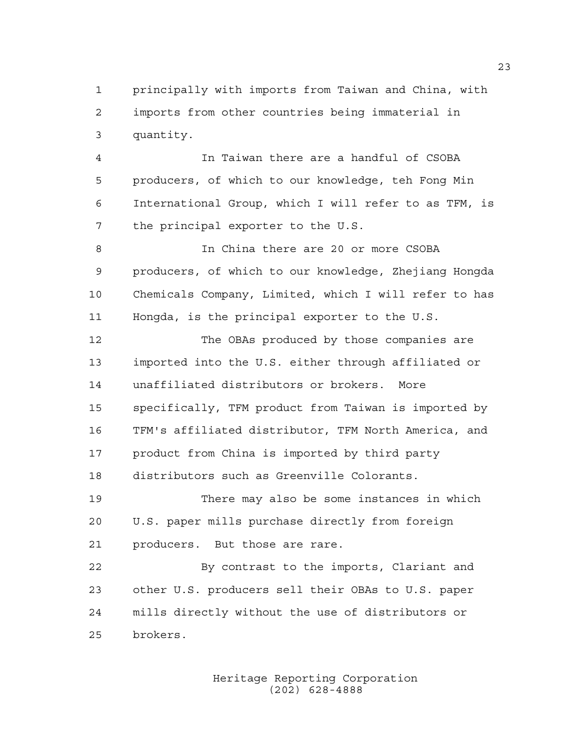principally with imports from Taiwan and China, with imports from other countries being immaterial in quantity.

 In Taiwan there are a handful of CSOBA producers, of which to our knowledge, teh Fong Min International Group, which I will refer to as TFM, is the principal exporter to the U.S.

 In China there are 20 or more CSOBA producers, of which to our knowledge, Zhejiang Hongda Chemicals Company, Limited, which I will refer to has Hongda, is the principal exporter to the U.S.

 The OBAs produced by those companies are imported into the U.S. either through affiliated or unaffiliated distributors or brokers. More specifically, TFM product from Taiwan is imported by TFM's affiliated distributor, TFM North America, and product from China is imported by third party distributors such as Greenville Colorants.

 There may also be some instances in which U.S. paper mills purchase directly from foreign producers. But those are rare.

 By contrast to the imports, Clariant and other U.S. producers sell their OBAs to U.S. paper mills directly without the use of distributors or brokers.

> Heritage Reporting Corporation (202) 628-4888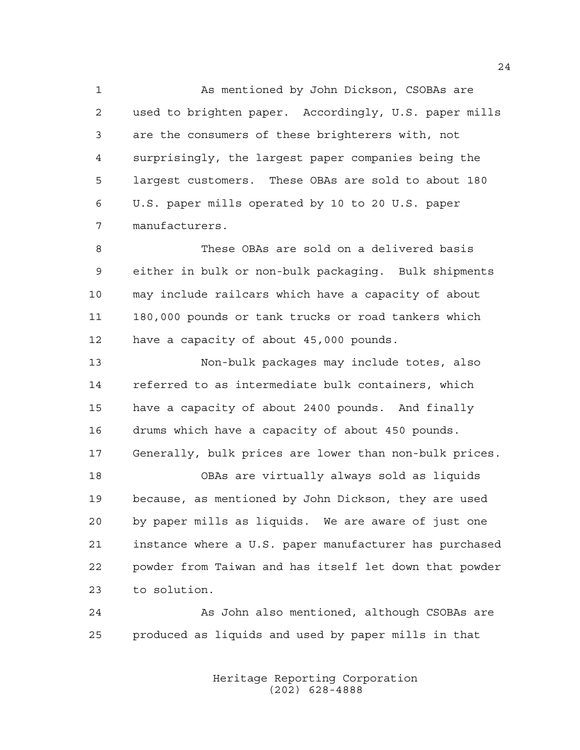As mentioned by John Dickson, CSOBAs are used to brighten paper. Accordingly, U.S. paper mills are the consumers of these brighterers with, not surprisingly, the largest paper companies being the largest customers. These OBAs are sold to about 180 U.S. paper mills operated by 10 to 20 U.S. paper manufacturers.

 These OBAs are sold on a delivered basis either in bulk or non-bulk packaging. Bulk shipments may include railcars which have a capacity of about 180,000 pounds or tank trucks or road tankers which have a capacity of about 45,000 pounds.

 Non-bulk packages may include totes, also referred to as intermediate bulk containers, which have a capacity of about 2400 pounds. And finally drums which have a capacity of about 450 pounds. Generally, bulk prices are lower than non-bulk prices.

 OBAs are virtually always sold as liquids because, as mentioned by John Dickson, they are used by paper mills as liquids. We are aware of just one instance where a U.S. paper manufacturer has purchased powder from Taiwan and has itself let down that powder to solution.

 As John also mentioned, although CSOBAs are produced as liquids and used by paper mills in that

> Heritage Reporting Corporation (202) 628-4888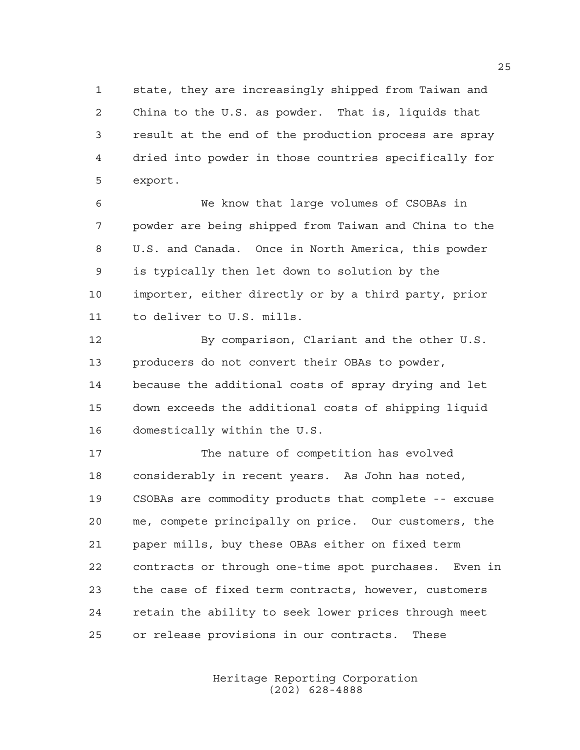state, they are increasingly shipped from Taiwan and China to the U.S. as powder. That is, liquids that result at the end of the production process are spray dried into powder in those countries specifically for export.

 We know that large volumes of CSOBAs in powder are being shipped from Taiwan and China to the U.S. and Canada. Once in North America, this powder is typically then let down to solution by the importer, either directly or by a third party, prior to deliver to U.S. mills.

 By comparison, Clariant and the other U.S. producers do not convert their OBAs to powder, because the additional costs of spray drying and let down exceeds the additional costs of shipping liquid domestically within the U.S.

 The nature of competition has evolved considerably in recent years. As John has noted, CSOBAs are commodity products that complete -- excuse me, compete principally on price. Our customers, the paper mills, buy these OBAs either on fixed term contracts or through one-time spot purchases. Even in the case of fixed term contracts, however, customers retain the ability to seek lower prices through meet or release provisions in our contracts. These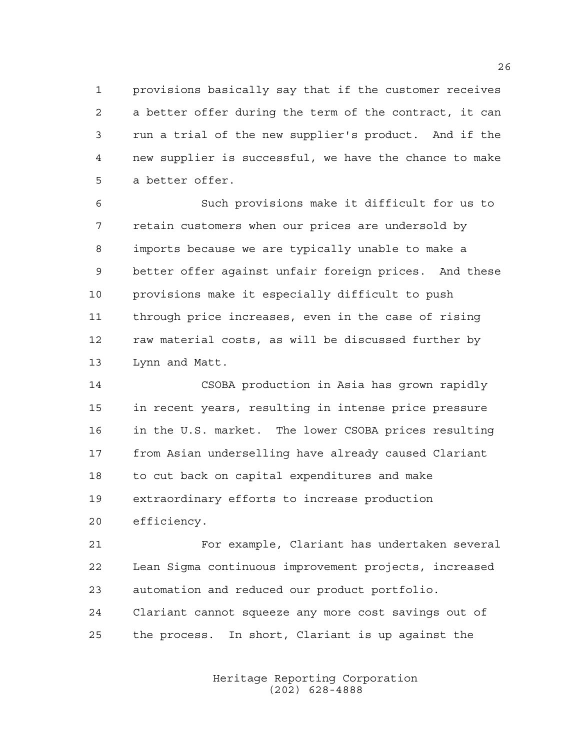provisions basically say that if the customer receives a better offer during the term of the contract, it can run a trial of the new supplier's product. And if the new supplier is successful, we have the chance to make a better offer.

 Such provisions make it difficult for us to retain customers when our prices are undersold by imports because we are typically unable to make a better offer against unfair foreign prices. And these provisions make it especially difficult to push through price increases, even in the case of rising raw material costs, as will be discussed further by Lynn and Matt.

 CSOBA production in Asia has grown rapidly in recent years, resulting in intense price pressure in the U.S. market. The lower CSOBA prices resulting from Asian underselling have already caused Clariant to cut back on capital expenditures and make extraordinary efforts to increase production efficiency.

 For example, Clariant has undertaken several Lean Sigma continuous improvement projects, increased automation and reduced our product portfolio. Clariant cannot squeeze any more cost savings out of the process. In short, Clariant is up against the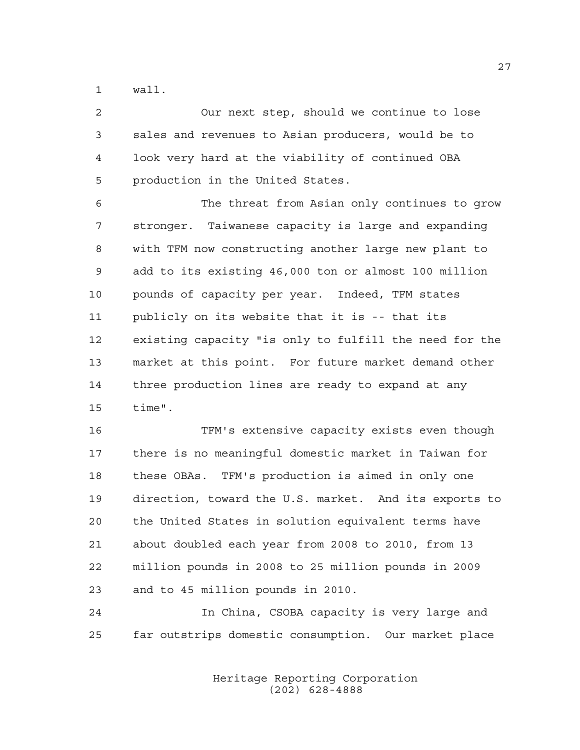wall.

 Our next step, should we continue to lose sales and revenues to Asian producers, would be to look very hard at the viability of continued OBA production in the United States.

 The threat from Asian only continues to grow stronger. Taiwanese capacity is large and expanding with TFM now constructing another large new plant to add to its existing 46,000 ton or almost 100 million pounds of capacity per year. Indeed, TFM states publicly on its website that it is -- that its existing capacity "is only to fulfill the need for the market at this point. For future market demand other three production lines are ready to expand at any time".

 TFM's extensive capacity exists even though there is no meaningful domestic market in Taiwan for these OBAs. TFM's production is aimed in only one direction, toward the U.S. market. And its exports to the United States in solution equivalent terms have about doubled each year from 2008 to 2010, from 13 million pounds in 2008 to 25 million pounds in 2009 and to 45 million pounds in 2010.

 In China, CSOBA capacity is very large and far outstrips domestic consumption. Our market place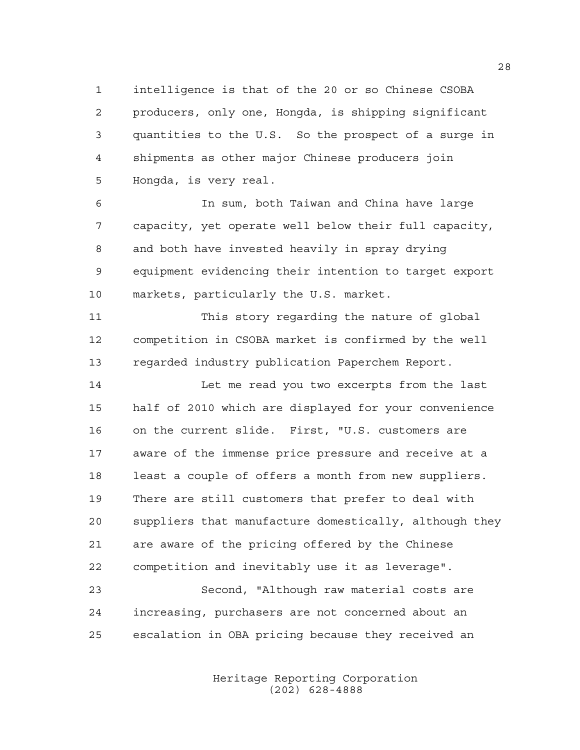intelligence is that of the 20 or so Chinese CSOBA producers, only one, Hongda, is shipping significant quantities to the U.S. So the prospect of a surge in shipments as other major Chinese producers join Hongda, is very real.

 In sum, both Taiwan and China have large capacity, yet operate well below their full capacity, and both have invested heavily in spray drying equipment evidencing their intention to target export markets, particularly the U.S. market.

 This story regarding the nature of global competition in CSOBA market is confirmed by the well regarded industry publication Paperchem Report.

 Let me read you two excerpts from the last half of 2010 which are displayed for your convenience on the current slide. First, "U.S. customers are aware of the immense price pressure and receive at a least a couple of offers a month from new suppliers. There are still customers that prefer to deal with suppliers that manufacture domestically, although they are aware of the pricing offered by the Chinese competition and inevitably use it as leverage".

 Second, "Although raw material costs are increasing, purchasers are not concerned about an escalation in OBA pricing because they received an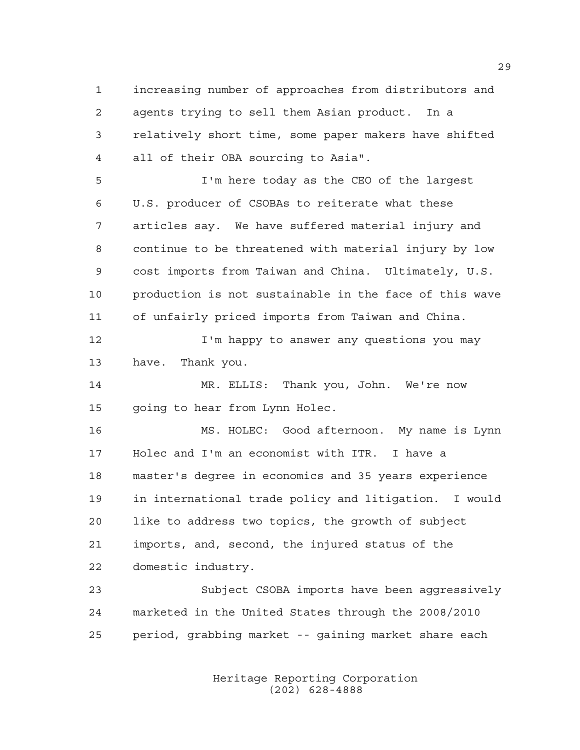increasing number of approaches from distributors and agents trying to sell them Asian product. In a relatively short time, some paper makers have shifted all of their OBA sourcing to Asia".

 I'm here today as the CEO of the largest U.S. producer of CSOBAs to reiterate what these articles say. We have suffered material injury and continue to be threatened with material injury by low cost imports from Taiwan and China. Ultimately, U.S. production is not sustainable in the face of this wave of unfairly priced imports from Taiwan and China.

**I'm happy to answer any questions you may** have. Thank you.

 MR. ELLIS: Thank you, John. We're now 15 going to hear from Lynn Holec.

 MS. HOLEC: Good afternoon. My name is Lynn Holec and I'm an economist with ITR. I have a master's degree in economics and 35 years experience in international trade policy and litigation. I would like to address two topics, the growth of subject imports, and, second, the injured status of the domestic industry.

 Subject CSOBA imports have been aggressively marketed in the United States through the 2008/2010 period, grabbing market -- gaining market share each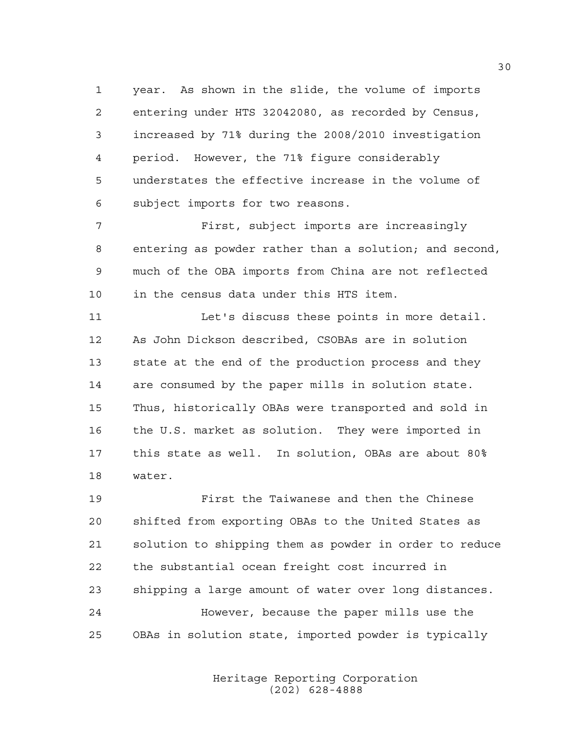year. As shown in the slide, the volume of imports entering under HTS 32042080, as recorded by Census, increased by 71% during the 2008/2010 investigation period. However, the 71% figure considerably understates the effective increase in the volume of subject imports for two reasons.

 First, subject imports are increasingly entering as powder rather than a solution; and second, much of the OBA imports from China are not reflected in the census data under this HTS item.

11 Let's discuss these points in more detail. As John Dickson described, CSOBAs are in solution state at the end of the production process and they are consumed by the paper mills in solution state. Thus, historically OBAs were transported and sold in the U.S. market as solution. They were imported in this state as well. In solution, OBAs are about 80% water.

 First the Taiwanese and then the Chinese shifted from exporting OBAs to the United States as solution to shipping them as powder in order to reduce the substantial ocean freight cost incurred in shipping a large amount of water over long distances. However, because the paper mills use the OBAs in solution state, imported powder is typically

> Heritage Reporting Corporation (202) 628-4888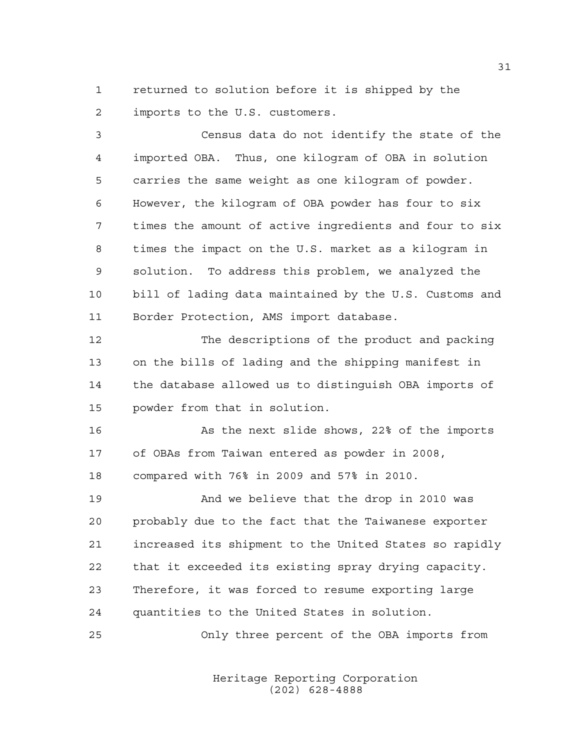returned to solution before it is shipped by the imports to the U.S. customers.

 Census data do not identify the state of the imported OBA. Thus, one kilogram of OBA in solution carries the same weight as one kilogram of powder. However, the kilogram of OBA powder has four to six times the amount of active ingredients and four to six times the impact on the U.S. market as a kilogram in solution. To address this problem, we analyzed the bill of lading data maintained by the U.S. Customs and Border Protection, AMS import database.

 The descriptions of the product and packing on the bills of lading and the shipping manifest in the database allowed us to distinguish OBA imports of powder from that in solution.

16 As the next slide shows, 22% of the imports of OBAs from Taiwan entered as powder in 2008, compared with 76% in 2009 and 57% in 2010.

 And we believe that the drop in 2010 was probably due to the fact that the Taiwanese exporter increased its shipment to the United States so rapidly that it exceeded its existing spray drying capacity. Therefore, it was forced to resume exporting large quantities to the United States in solution.

Only three percent of the OBA imports from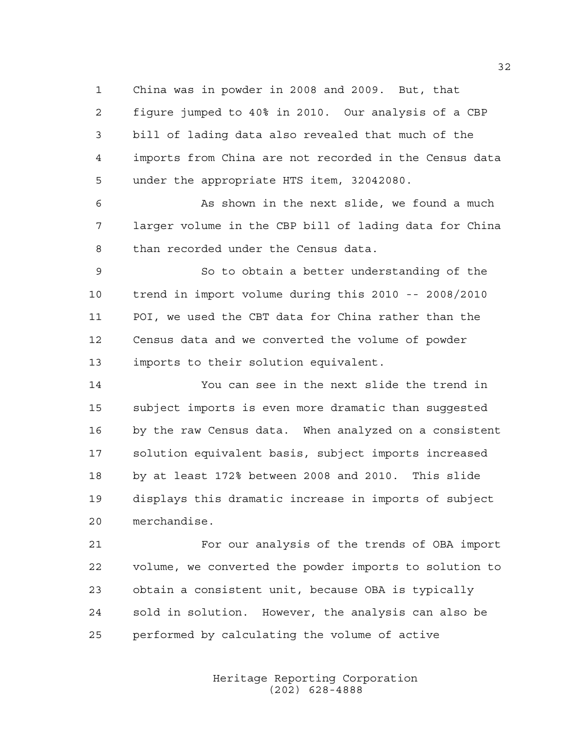China was in powder in 2008 and 2009. But, that figure jumped to 40% in 2010. Our analysis of a CBP bill of lading data also revealed that much of the imports from China are not recorded in the Census data under the appropriate HTS item, 32042080.

 As shown in the next slide, we found a much larger volume in the CBP bill of lading data for China than recorded under the Census data.

 So to obtain a better understanding of the trend in import volume during this 2010 -- 2008/2010 POI, we used the CBT data for China rather than the Census data and we converted the volume of powder imports to their solution equivalent.

 You can see in the next slide the trend in subject imports is even more dramatic than suggested by the raw Census data. When analyzed on a consistent solution equivalent basis, subject imports increased by at least 172% between 2008 and 2010. This slide displays this dramatic increase in imports of subject merchandise.

 For our analysis of the trends of OBA import volume, we converted the powder imports to solution to obtain a consistent unit, because OBA is typically sold in solution. However, the analysis can also be performed by calculating the volume of active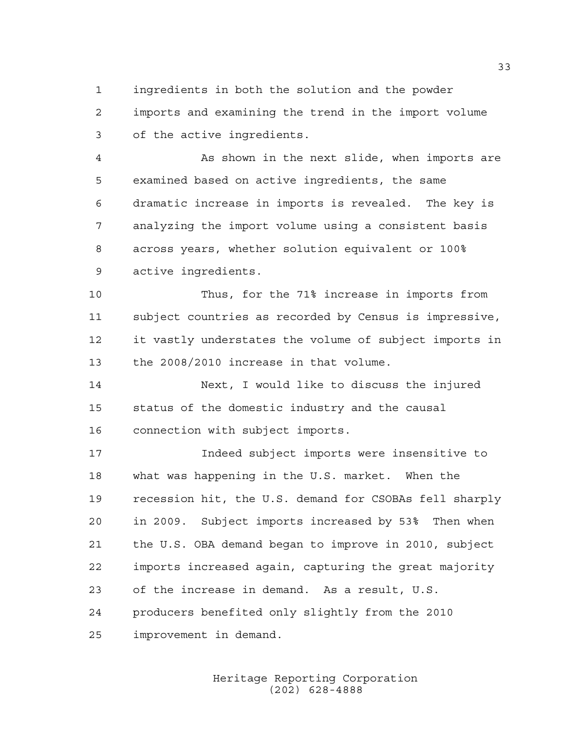ingredients in both the solution and the powder imports and examining the trend in the import volume of the active ingredients.

 As shown in the next slide, when imports are examined based on active ingredients, the same dramatic increase in imports is revealed. The key is analyzing the import volume using a consistent basis across years, whether solution equivalent or 100% active ingredients.

 Thus, for the 71% increase in imports from subject countries as recorded by Census is impressive, it vastly understates the volume of subject imports in the 2008/2010 increase in that volume.

 Next, I would like to discuss the injured status of the domestic industry and the causal connection with subject imports.

 Indeed subject imports were insensitive to what was happening in the U.S. market. When the recession hit, the U.S. demand for CSOBAs fell sharply in 2009. Subject imports increased by 53% Then when the U.S. OBA demand began to improve in 2010, subject imports increased again, capturing the great majority of the increase in demand. As a result, U.S. producers benefited only slightly from the 2010 improvement in demand.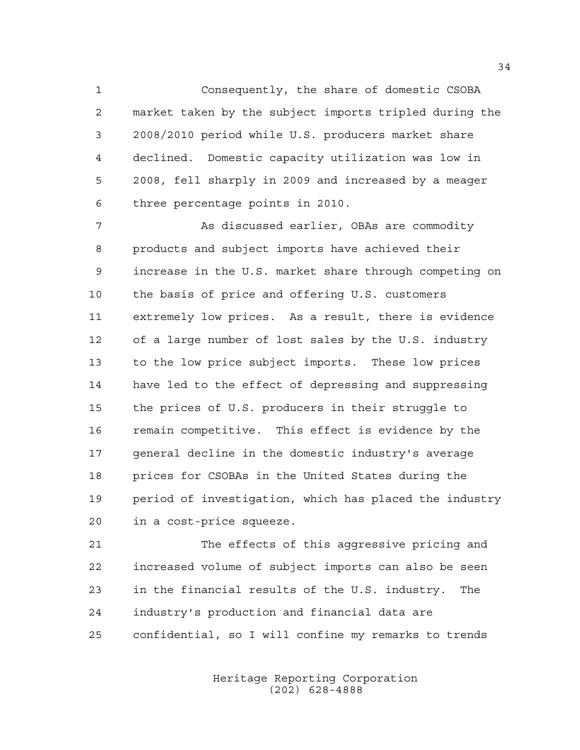Consequently, the share of domestic CSOBA market taken by the subject imports tripled during the 2008/2010 period while U.S. producers market share declined. Domestic capacity utilization was low in 2008, fell sharply in 2009 and increased by a meager three percentage points in 2010.

 As discussed earlier, OBAs are commodity products and subject imports have achieved their increase in the U.S. market share through competing on the basis of price and offering U.S. customers extremely low prices. As a result, there is evidence of a large number of lost sales by the U.S. industry to the low price subject imports. These low prices have led to the effect of depressing and suppressing the prices of U.S. producers in their struggle to remain competitive. This effect is evidence by the general decline in the domestic industry's average prices for CSOBAs in the United States during the period of investigation, which has placed the industry in a cost-price squeeze.

 The effects of this aggressive pricing and increased volume of subject imports can also be seen in the financial results of the U.S. industry. The industry's production and financial data are confidential, so I will confine my remarks to trends

> Heritage Reporting Corporation (202) 628-4888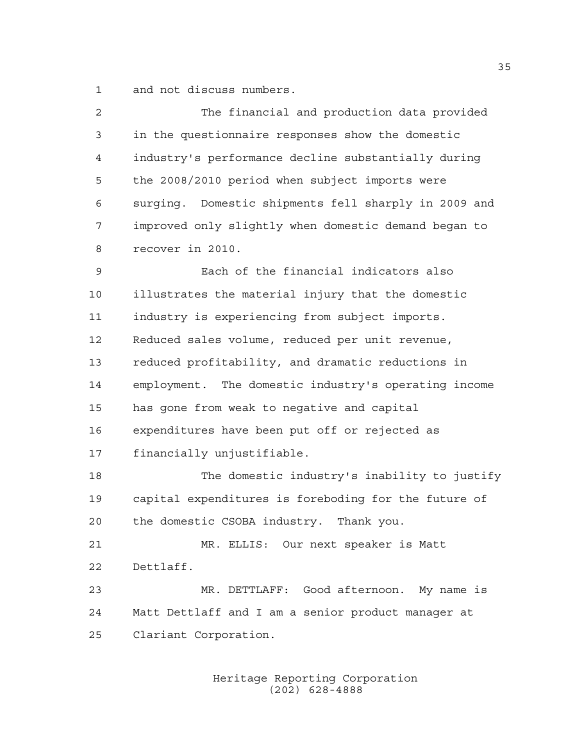and not discuss numbers.

| 2    | The financial and production data provided           |
|------|------------------------------------------------------|
| 3    | in the questionnaire responses show the domestic     |
| 4    | industry's performance decline substantially during  |
| 5    | the 2008/2010 period when subject imports were       |
| 6    | surging. Domestic shipments fell sharply in 2009 and |
| 7    | improved only slightly when domestic demand began to |
| 8    | recover in 2010.                                     |
| 9    | Each of the financial indicators also                |
| $10$ | illustrates the material injury that the domestic    |
| 11   | industry is experiencing from subject imports.       |
| 12   | Reduced sales volume, reduced per unit revenue,      |
| 13   | reduced profitability, and dramatic reductions in    |
| 14   | employment. The domestic industry's operating income |
| 15   | has gone from weak to negative and capital           |
| 16   | expenditures have been put off or rejected as        |
| 17   | financially unjustifiable.                           |
| 18   | The domestic industry's inability to justify         |
| 19   | capital expenditures is foreboding for the future of |
| 20   | the domestic CSOBA industry. Thank you.              |
| 21   | MR. ELLIS: Our next speaker is Matt                  |
| 22   | Dettlaff.                                            |
| 23   | MR. DETTLAFF: Good afternoon. My name is             |
| 24   | Matt Dettlaff and I am a senior product manager at   |
| 25   | Clariant Corporation.                                |
|      |                                                      |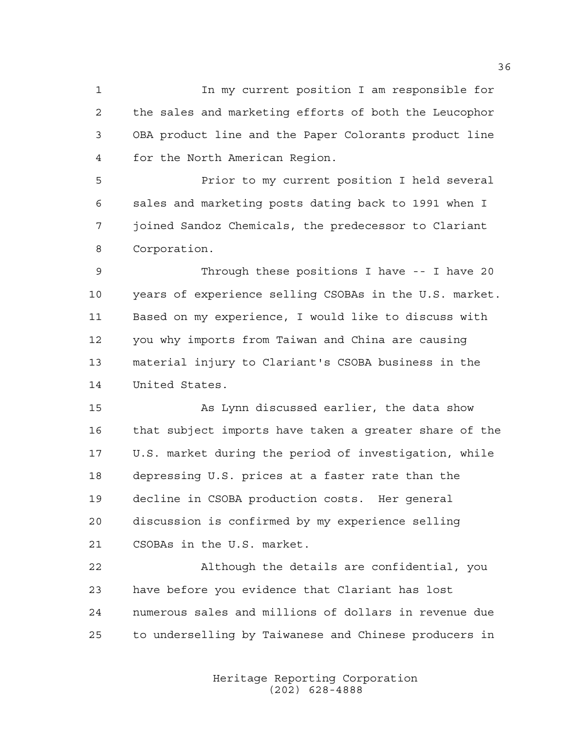In my current position I am responsible for the sales and marketing efforts of both the Leucophor OBA product line and the Paper Colorants product line for the North American Region.

 Prior to my current position I held several sales and marketing posts dating back to 1991 when I joined Sandoz Chemicals, the predecessor to Clariant Corporation.

 Through these positions I have -- I have 20 years of experience selling CSOBAs in the U.S. market. Based on my experience, I would like to discuss with you why imports from Taiwan and China are causing material injury to Clariant's CSOBA business in the United States.

 As Lynn discussed earlier, the data show that subject imports have taken a greater share of the U.S. market during the period of investigation, while depressing U.S. prices at a faster rate than the decline in CSOBA production costs. Her general discussion is confirmed by my experience selling CSOBAs in the U.S. market.

 Although the details are confidential, you have before you evidence that Clariant has lost numerous sales and millions of dollars in revenue due to underselling by Taiwanese and Chinese producers in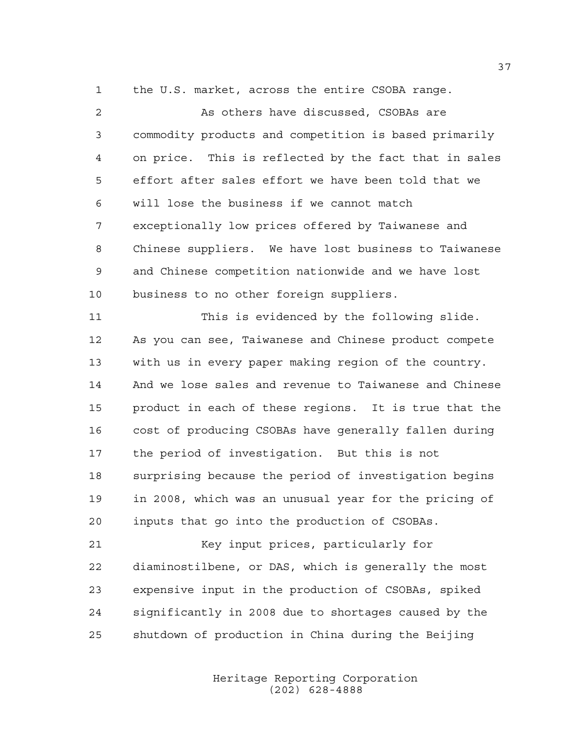the U.S. market, across the entire CSOBA range.

| $\overline{2}$ |                                                        |
|----------------|--------------------------------------------------------|
|                | As others have discussed, CSOBAs are                   |
| 3              | commodity products and competition is based primarily  |
| $\overline{4}$ | on price. This is reflected by the fact that in sales  |
| 5              | effort after sales effort we have been told that we    |
| 6              | will lose the business if we cannot match              |
| 7              | exceptionally low prices offered by Taiwanese and      |
| 8              | Chinese suppliers. We have lost business to Taiwanese  |
| 9              | and Chinese competition nationwide and we have lost    |
| 10             | business to no other foreign suppliers.                |
| 11             | This is evidenced by the following slide.              |
| 12             | As you can see, Taiwanese and Chinese product compete  |
| 13             | with us in every paper making region of the country.   |
| 14             | And we lose sales and revenue to Taiwanese and Chinese |
| 15             | product in each of these regions. It is true that the  |
| 16             | cost of producing CSOBAs have generally fallen during  |
| 17             | the period of investigation. But this is not           |
| 18             | surprising because the period of investigation begins  |
| 19             | in 2008, which was an unusual year for the pricing of  |
| 20             | inputs that go into the production of CSOBAs.          |
| 21             | Key input prices, particularly for                     |
| 22             | diaminostilbene, or DAS, which is generally the most   |
| 23             | expensive input in the production of CSOBAs, spiked    |
| 24             | significantly in 2008 due to shortages caused by the   |
| 25             | shutdown of production in China during the Beijing     |

Heritage Reporting Corporation (202) 628-4888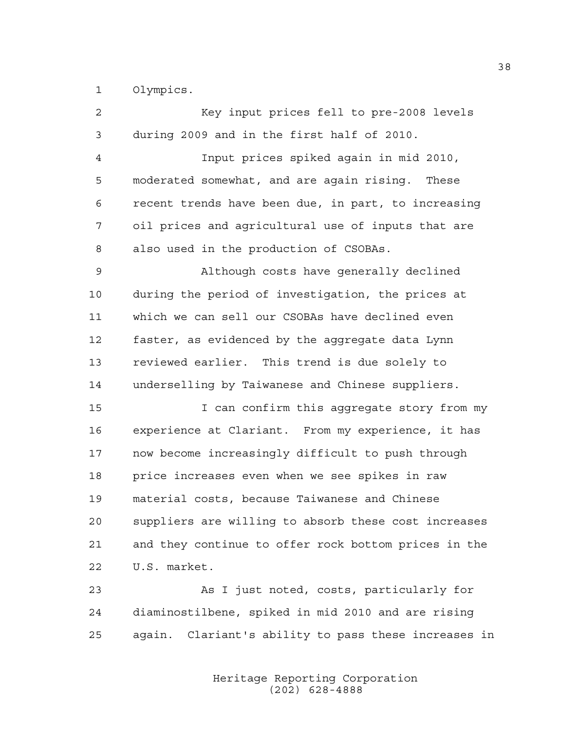Olympics.

| $\overline{2}$ | Key input prices fell to pre-2008 levels             |
|----------------|------------------------------------------------------|
| 3              | during 2009 and in the first half of 2010.           |
| 4              | Input prices spiked again in mid 2010,               |
| 5              | moderated somewhat, and are again rising.<br>These   |
| 6              | recent trends have been due, in part, to increasing  |
| 7              | oil prices and agricultural use of inputs that are   |
| 8              | also used in the production of CSOBAs.               |
| 9              | Although costs have generally declined               |
| 10             | during the period of investigation, the prices at    |
| 11             | which we can sell our CSOBAs have declined even      |
| 12             | faster, as evidenced by the aggregate data Lynn      |
| 13             | reviewed earlier. This trend is due solely to        |
| 14             | underselling by Taiwanese and Chinese suppliers.     |
| 15             | I can confirm this aggregate story from my           |
| 16             | experience at Clariant. From my experience, it has   |
| 17             | now become increasingly difficult to push through    |
| 18             | price increases even when we see spikes in raw       |
| 19             | material costs, because Taiwanese and Chinese        |
| 20             | suppliers are willing to absorb these cost increases |
| 21             | and they continue to offer rock bottom prices in the |
| 22             | U.S. market.                                         |
| 23             | As I just noted, costs, particularly for             |
| 24             | diaminostilbene, spiked in mid 2010 and are rising   |
| 25             | again. Clariant's ability to pass these increases in |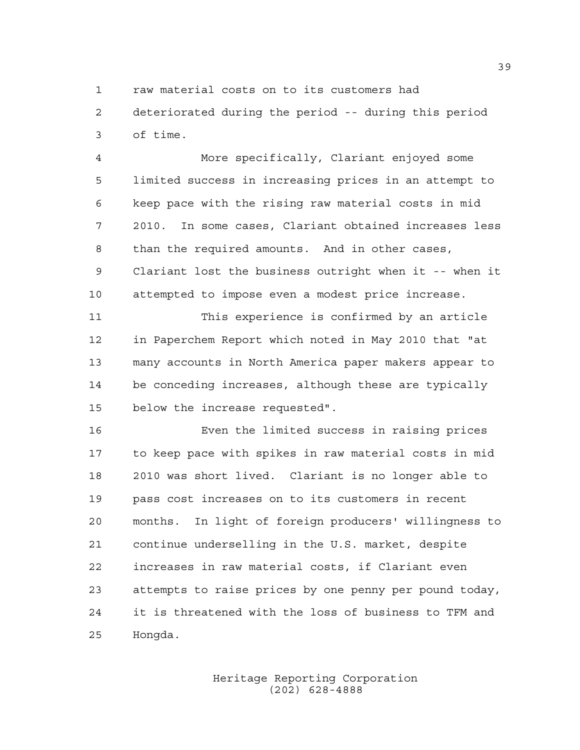raw material costs on to its customers had

 deteriorated during the period -- during this period of time.

 More specifically, Clariant enjoyed some limited success in increasing prices in an attempt to keep pace with the rising raw material costs in mid 2010. In some cases, Clariant obtained increases less than the required amounts. And in other cases, Clariant lost the business outright when it -- when it attempted to impose even a modest price increase.

 This experience is confirmed by an article in Paperchem Report which noted in May 2010 that "at many accounts in North America paper makers appear to be conceding increases, although these are typically below the increase requested".

 Even the limited success in raising prices to keep pace with spikes in raw material costs in mid 2010 was short lived. Clariant is no longer able to pass cost increases on to its customers in recent months. In light of foreign producers' willingness to continue underselling in the U.S. market, despite increases in raw material costs, if Clariant even attempts to raise prices by one penny per pound today, it is threatened with the loss of business to TFM and Hongda.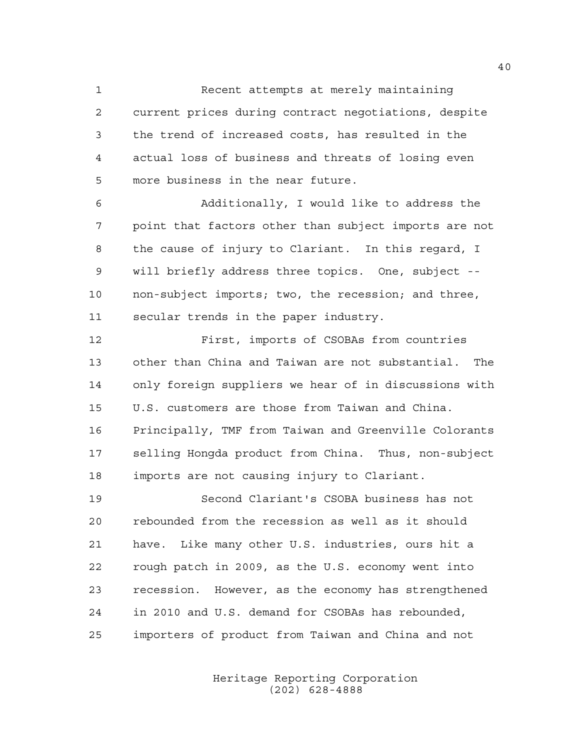Recent attempts at merely maintaining current prices during contract negotiations, despite the trend of increased costs, has resulted in the actual loss of business and threats of losing even more business in the near future.

 Additionally, I would like to address the point that factors other than subject imports are not the cause of injury to Clariant. In this regard, I will briefly address three topics. One, subject -- non-subject imports; two, the recession; and three, secular trends in the paper industry.

 First, imports of CSOBAs from countries other than China and Taiwan are not substantial. The only foreign suppliers we hear of in discussions with U.S. customers are those from Taiwan and China. Principally, TMF from Taiwan and Greenville Colorants selling Hongda product from China. Thus, non-subject imports are not causing injury to Clariant.

 Second Clariant's CSOBA business has not rebounded from the recession as well as it should have. Like many other U.S. industries, ours hit a rough patch in 2009, as the U.S. economy went into recession. However, as the economy has strengthened in 2010 and U.S. demand for CSOBAs has rebounded, importers of product from Taiwan and China and not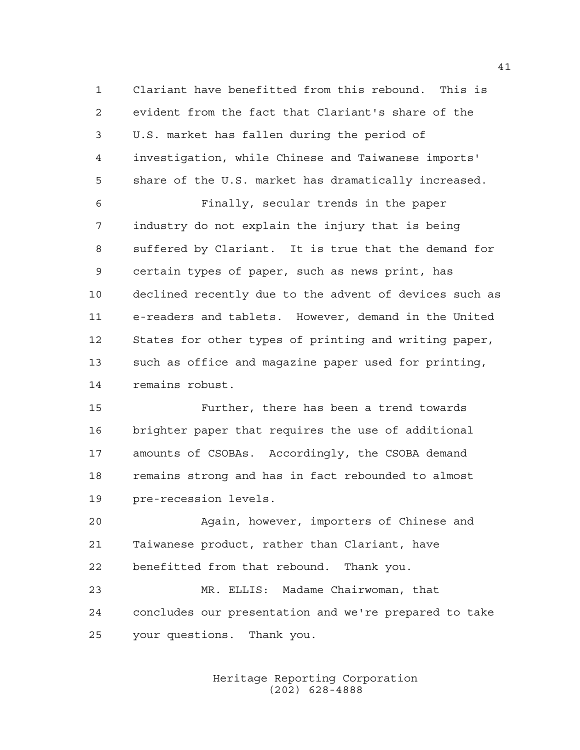Clariant have benefitted from this rebound. This is evident from the fact that Clariant's share of the U.S. market has fallen during the period of investigation, while Chinese and Taiwanese imports' share of the U.S. market has dramatically increased.

 Finally, secular trends in the paper industry do not explain the injury that is being suffered by Clariant. It is true that the demand for certain types of paper, such as news print, has declined recently due to the advent of devices such as e-readers and tablets. However, demand in the United States for other types of printing and writing paper, such as office and magazine paper used for printing, remains robust.

 Further, there has been a trend towards brighter paper that requires the use of additional amounts of CSOBAs. Accordingly, the CSOBA demand remains strong and has in fact rebounded to almost pre-recession levels.

 Again, however, importers of Chinese and Taiwanese product, rather than Clariant, have benefitted from that rebound. Thank you.

 MR. ELLIS: Madame Chairwoman, that concludes our presentation and we're prepared to take your questions. Thank you.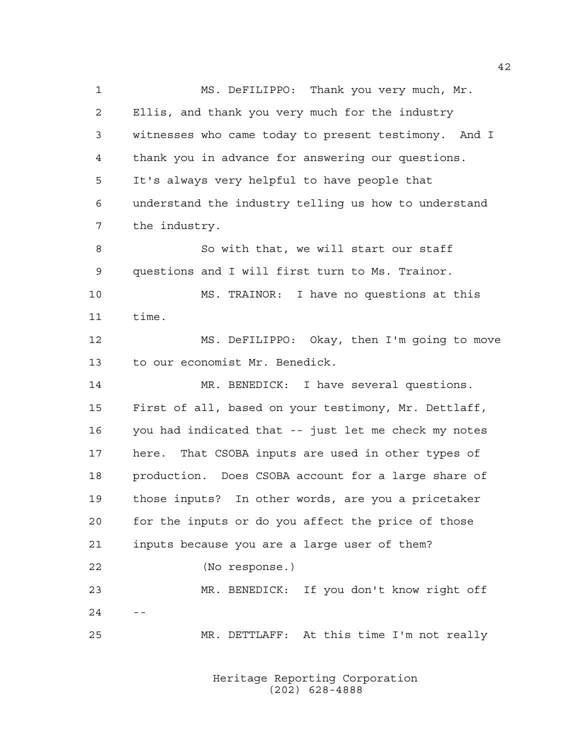MS. DeFILIPPO: Thank you very much, Mr. Ellis, and thank you very much for the industry witnesses who came today to present testimony. And I thank you in advance for answering our questions. It's always very helpful to have people that understand the industry telling us how to understand the industry. So with that, we will start our staff questions and I will first turn to Ms. Trainor. MS. TRAINOR: I have no questions at this time. MS. DeFILIPPO: Okay, then I'm going to move to our economist Mr. Benedick. 14 MR. BENEDICK: I have several questions. First of all, based on your testimony, Mr. Dettlaff, you had indicated that -- just let me check my notes here. That CSOBA inputs are used in other types of production. Does CSOBA account for a large share of those inputs? In other words, are you a pricetaker for the inputs or do you affect the price of those inputs because you are a large user of them? (No response.) MR. BENEDICK: If you don't know right off  $2.4$ MR. DETTLAFF: At this time I'm not really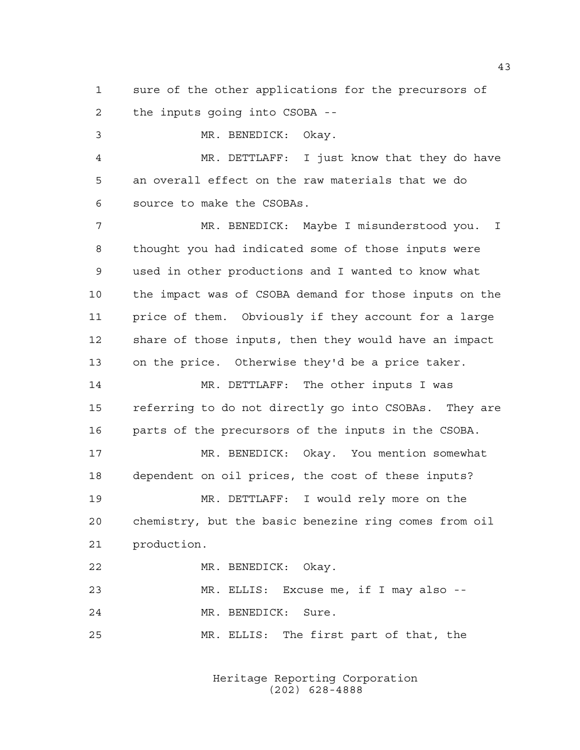sure of the other applications for the precursors of the inputs going into CSOBA --

 MR. BENEDICK: Okay. MR. DETTLAFF: I just know that they do have an overall effect on the raw materials that we do source to make the CSOBAs. MR. BENEDICK: Maybe I misunderstood you. I thought you had indicated some of those inputs were used in other productions and I wanted to know what the impact was of CSOBA demand for those inputs on the price of them. Obviously if they account for a large share of those inputs, then they would have an impact on the price. Otherwise they'd be a price taker. MR. DETTLAFF: The other inputs I was referring to do not directly go into CSOBAs. They are parts of the precursors of the inputs in the CSOBA. MR. BENEDICK: Okay. You mention somewhat dependent on oil prices, the cost of these inputs? MR. DETTLAFF: I would rely more on the chemistry, but the basic benezine ring comes from oil production. MR. BENEDICK: Okay. MR. ELLIS: Excuse me, if I may also -- MR. BENEDICK: Sure. MR. ELLIS: The first part of that, the

> Heritage Reporting Corporation (202) 628-4888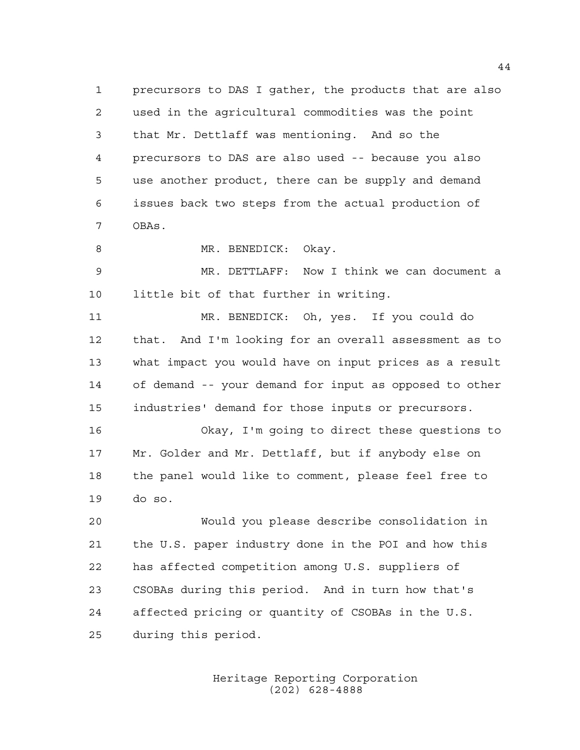precursors to DAS I gather, the products that are also used in the agricultural commodities was the point that Mr. Dettlaff was mentioning. And so the precursors to DAS are also used -- because you also use another product, there can be supply and demand issues back two steps from the actual production of OBAs.

8 MR. BENEDICK: Okay.

 MR. DETTLAFF: Now I think we can document a little bit of that further in writing.

 MR. BENEDICK: Oh, yes. If you could do that. And I'm looking for an overall assessment as to what impact you would have on input prices as a result of demand -- your demand for input as opposed to other industries' demand for those inputs or precursors.

 Okay, I'm going to direct these questions to Mr. Golder and Mr. Dettlaff, but if anybody else on the panel would like to comment, please feel free to do so.

 Would you please describe consolidation in the U.S. paper industry done in the POI and how this has affected competition among U.S. suppliers of CSOBAs during this period. And in turn how that's affected pricing or quantity of CSOBAs in the U.S. during this period.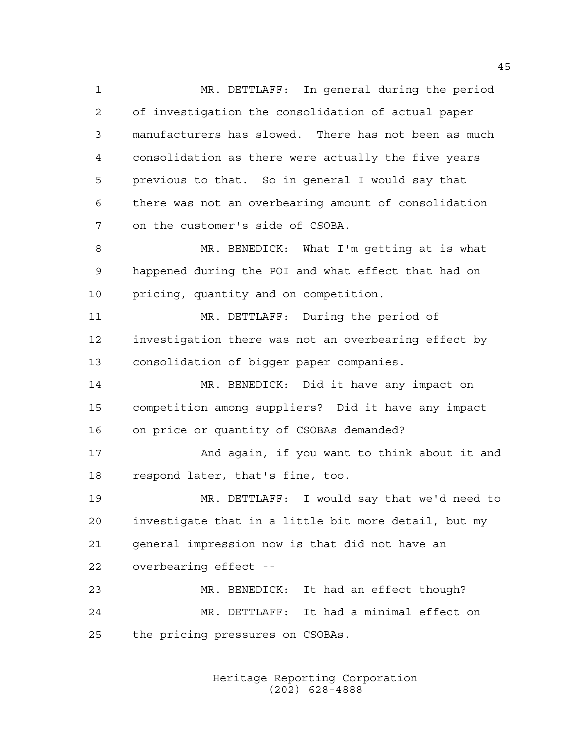MR. DETTLAFF: In general during the period of investigation the consolidation of actual paper manufacturers has slowed. There has not been as much consolidation as there were actually the five years previous to that. So in general I would say that there was not an overbearing amount of consolidation on the customer's side of CSOBA.

 MR. BENEDICK: What I'm getting at is what happened during the POI and what effect that had on pricing, quantity and on competition.

 MR. DETTLAFF: During the period of investigation there was not an overbearing effect by consolidation of bigger paper companies.

 MR. BENEDICK: Did it have any impact on competition among suppliers? Did it have any impact on price or quantity of CSOBAs demanded?

17 And again, if you want to think about it and respond later, that's fine, too.

 MR. DETTLAFF: I would say that we'd need to investigate that in a little bit more detail, but my general impression now is that did not have an overbearing effect --

 MR. BENEDICK: It had an effect though? MR. DETTLAFF: It had a minimal effect on the pricing pressures on CSOBAs.

> Heritage Reporting Corporation (202) 628-4888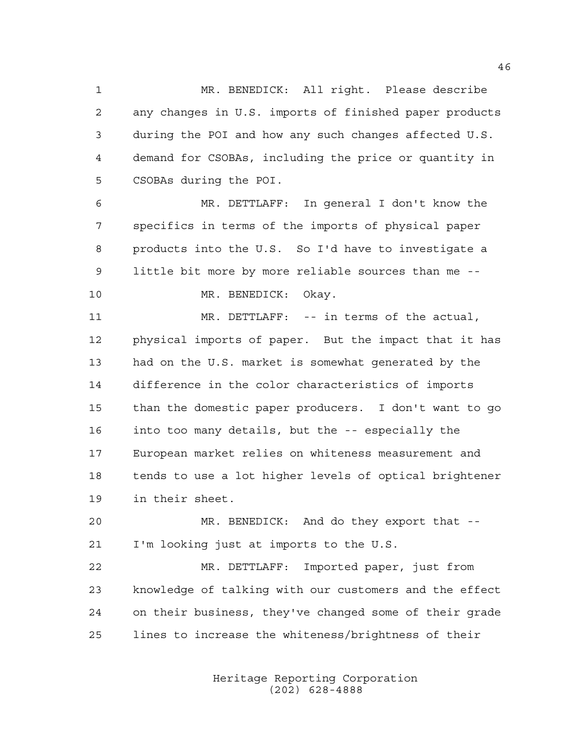MR. BENEDICK: All right. Please describe any changes in U.S. imports of finished paper products during the POI and how any such changes affected U.S. demand for CSOBAs, including the price or quantity in CSOBAs during the POI.

 MR. DETTLAFF: In general I don't know the specifics in terms of the imports of physical paper products into the U.S. So I'd have to investigate a little bit more by more reliable sources than me --

MR. BENEDICK: Okay.

 MR. DETTLAFF: -- in terms of the actual, physical imports of paper. But the impact that it has had on the U.S. market is somewhat generated by the difference in the color characteristics of imports than the domestic paper producers. I don't want to go into too many details, but the -- especially the European market relies on whiteness measurement and tends to use a lot higher levels of optical brightener in their sheet.

 MR. BENEDICK: And do they export that -- I'm looking just at imports to the U.S.

 MR. DETTLAFF: Imported paper, just from knowledge of talking with our customers and the effect on their business, they've changed some of their grade lines to increase the whiteness/brightness of their

> Heritage Reporting Corporation (202) 628-4888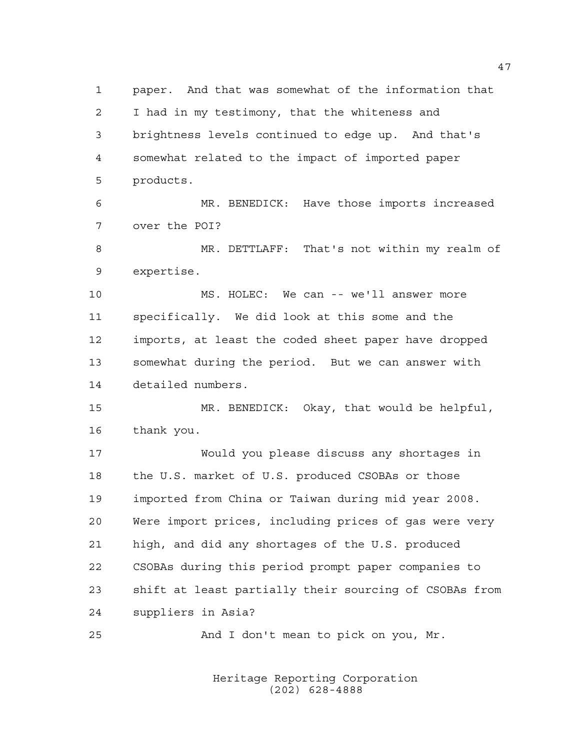paper. And that was somewhat of the information that I had in my testimony, that the whiteness and brightness levels continued to edge up. And that's somewhat related to the impact of imported paper products. MR. BENEDICK: Have those imports increased over the POI? MR. DETTLAFF: That's not within my realm of expertise. MS. HOLEC: We can -- we'll answer more specifically. We did look at this some and the imports, at least the coded sheet paper have dropped somewhat during the period. But we can answer with detailed numbers. MR. BENEDICK: Okay, that would be helpful, thank you. Would you please discuss any shortages in the U.S. market of U.S. produced CSOBAs or those imported from China or Taiwan during mid year 2008. Were import prices, including prices of gas were very high, and did any shortages of the U.S. produced CSOBAs during this period prompt paper companies to shift at least partially their sourcing of CSOBAs from suppliers in Asia? And I don't mean to pick on you, Mr.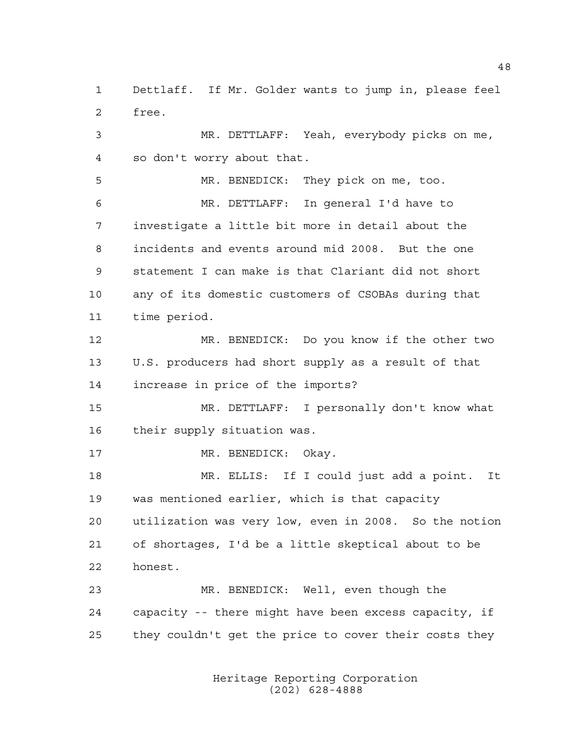Dettlaff. If Mr. Golder wants to jump in, please feel free.

 MR. DETTLAFF: Yeah, everybody picks on me, so don't worry about that.

 MR. BENEDICK: They pick on me, too. MR. DETTLAFF: In general I'd have to investigate a little bit more in detail about the incidents and events around mid 2008. But the one statement I can make is that Clariant did not short any of its domestic customers of CSOBAs during that time period.

 MR. BENEDICK: Do you know if the other two U.S. producers had short supply as a result of that increase in price of the imports?

 MR. DETTLAFF: I personally don't know what their supply situation was.

17 MR. BENEDICK: Okay.

 MR. ELLIS: If I could just add a point. It was mentioned earlier, which is that capacity utilization was very low, even in 2008. So the notion of shortages, I'd be a little skeptical about to be honest.

 MR. BENEDICK: Well, even though the capacity -- there might have been excess capacity, if they couldn't get the price to cover their costs they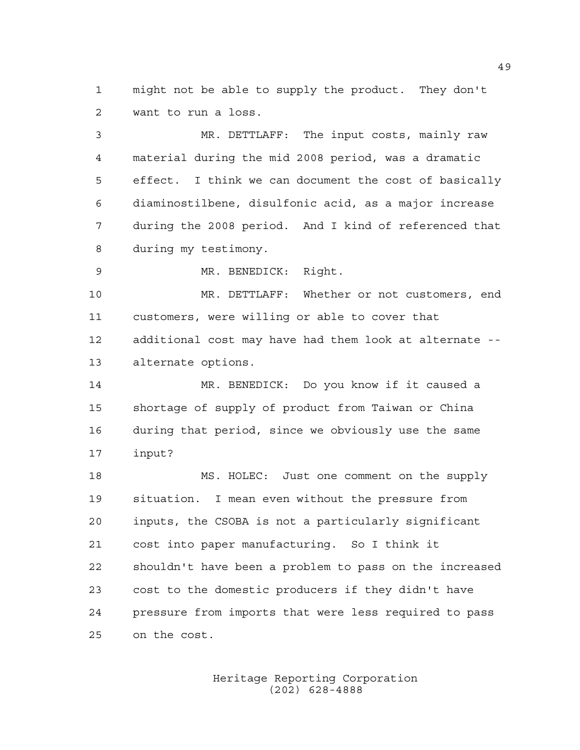might not be able to supply the product. They don't want to run a loss.

 MR. DETTLAFF: The input costs, mainly raw material during the mid 2008 period, was a dramatic effect. I think we can document the cost of basically diaminostilbene, disulfonic acid, as a major increase during the 2008 period. And I kind of referenced that during my testimony.

MR. BENEDICK: Right.

 MR. DETTLAFF: Whether or not customers, end customers, were willing or able to cover that additional cost may have had them look at alternate -- alternate options.

 MR. BENEDICK: Do you know if it caused a shortage of supply of product from Taiwan or China during that period, since we obviously use the same input?

18 MS. HOLEC: Just one comment on the supply situation. I mean even without the pressure from inputs, the CSOBA is not a particularly significant cost into paper manufacturing. So I think it shouldn't have been a problem to pass on the increased cost to the domestic producers if they didn't have pressure from imports that were less required to pass on the cost.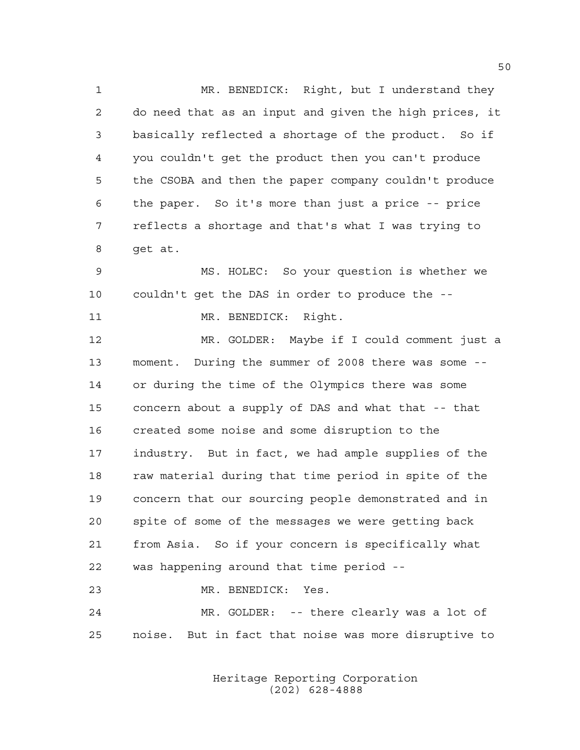MR. BENEDICK: Right, but I understand they do need that as an input and given the high prices, it basically reflected a shortage of the product. So if you couldn't get the product then you can't produce the CSOBA and then the paper company couldn't produce the paper. So it's more than just a price -- price reflects a shortage and that's what I was trying to get at.

 MS. HOLEC: So your question is whether we couldn't get the DAS in order to produce the --

11 MR. BENEDICK: Right.

 MR. GOLDER: Maybe if I could comment just a moment. During the summer of 2008 there was some -- or during the time of the Olympics there was some concern about a supply of DAS and what that -- that created some noise and some disruption to the industry. But in fact, we had ample supplies of the raw material during that time period in spite of the concern that our sourcing people demonstrated and in spite of some of the messages we were getting back from Asia. So if your concern is specifically what was happening around that time period --

 MR. BENEDICK: Yes. MR. GOLDER: -- there clearly was a lot of noise. But in fact that noise was more disruptive to

> Heritage Reporting Corporation (202) 628-4888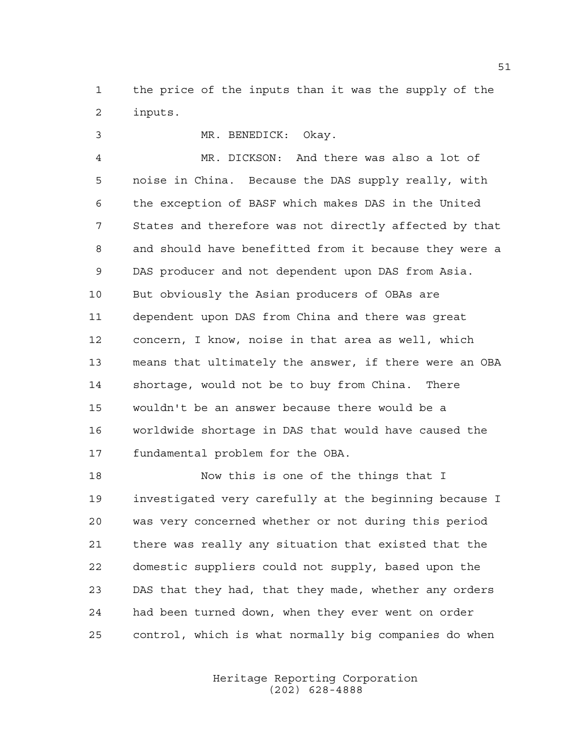the price of the inputs than it was the supply of the inputs.

 MR. BENEDICK: Okay. MR. DICKSON: And there was also a lot of noise in China. Because the DAS supply really, with the exception of BASF which makes DAS in the United States and therefore was not directly affected by that and should have benefitted from it because they were a DAS producer and not dependent upon DAS from Asia. But obviously the Asian producers of OBAs are dependent upon DAS from China and there was great concern, I know, noise in that area as well, which means that ultimately the answer, if there were an OBA shortage, would not be to buy from China. There wouldn't be an answer because there would be a worldwide shortage in DAS that would have caused the fundamental problem for the OBA.

18 Now this is one of the things that I investigated very carefully at the beginning because I was very concerned whether or not during this period there was really any situation that existed that the domestic suppliers could not supply, based upon the DAS that they had, that they made, whether any orders had been turned down, when they ever went on order control, which is what normally big companies do when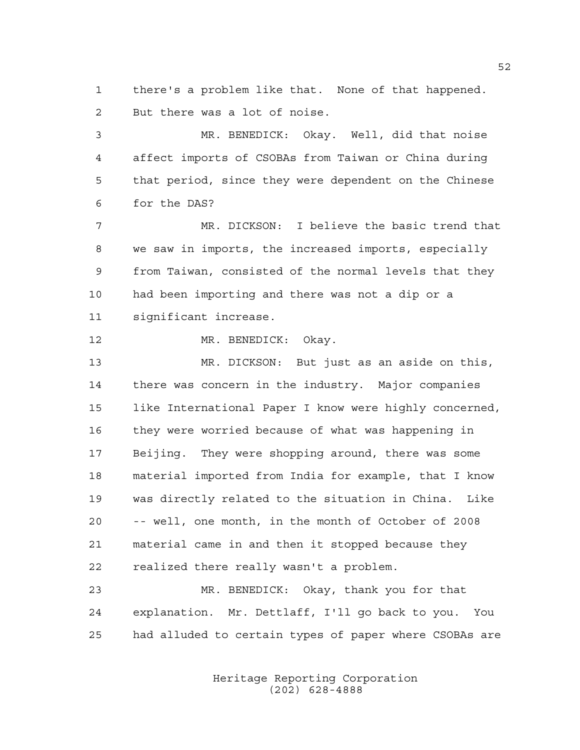there's a problem like that. None of that happened. But there was a lot of noise.

 MR. BENEDICK: Okay. Well, did that noise affect imports of CSOBAs from Taiwan or China during that period, since they were dependent on the Chinese for the DAS?

 MR. DICKSON: I believe the basic trend that we saw in imports, the increased imports, especially from Taiwan, consisted of the normal levels that they had been importing and there was not a dip or a significant increase.

MR. BENEDICK: Okay.

 MR. DICKSON: But just as an aside on this, there was concern in the industry. Major companies like International Paper I know were highly concerned, they were worried because of what was happening in Beijing. They were shopping around, there was some material imported from India for example, that I know was directly related to the situation in China. Like -- well, one month, in the month of October of 2008 material came in and then it stopped because they realized there really wasn't a problem.

 MR. BENEDICK: Okay, thank you for that explanation. Mr. Dettlaff, I'll go back to you. You had alluded to certain types of paper where CSOBAs are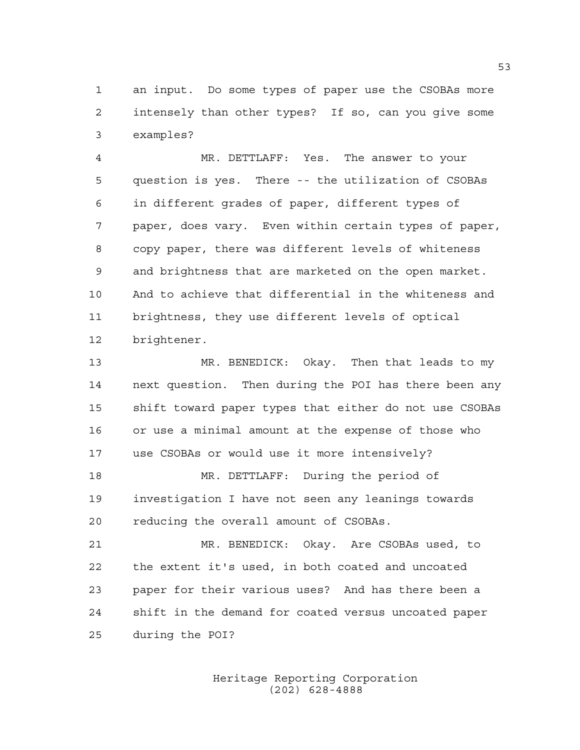an input. Do some types of paper use the CSOBAs more intensely than other types? If so, can you give some examples?

 MR. DETTLAFF: Yes. The answer to your question is yes. There -- the utilization of CSOBAs in different grades of paper, different types of paper, does vary. Even within certain types of paper, copy paper, there was different levels of whiteness and brightness that are marketed on the open market. And to achieve that differential in the whiteness and brightness, they use different levels of optical brightener.

 MR. BENEDICK: Okay. Then that leads to my next question. Then during the POI has there been any shift toward paper types that either do not use CSOBAs or use a minimal amount at the expense of those who use CSOBAs or would use it more intensively? MR. DETTLAFF: During the period of

 investigation I have not seen any leanings towards reducing the overall amount of CSOBAs.

 MR. BENEDICK: Okay. Are CSOBAs used, to the extent it's used, in both coated and uncoated paper for their various uses? And has there been a shift in the demand for coated versus uncoated paper during the POI?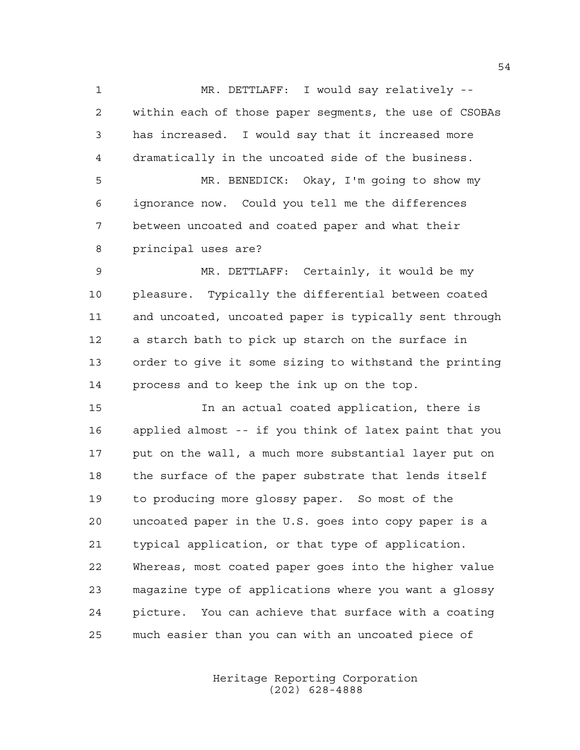MR. DETTLAFF: I would say relatively -- within each of those paper segments, the use of CSOBAs has increased. I would say that it increased more dramatically in the uncoated side of the business.

 MR. BENEDICK: Okay, I'm going to show my ignorance now. Could you tell me the differences between uncoated and coated paper and what their principal uses are?

 MR. DETTLAFF: Certainly, it would be my pleasure. Typically the differential between coated and uncoated, uncoated paper is typically sent through a starch bath to pick up starch on the surface in order to give it some sizing to withstand the printing process and to keep the ink up on the top.

 In an actual coated application, there is applied almost -- if you think of latex paint that you put on the wall, a much more substantial layer put on the surface of the paper substrate that lends itself to producing more glossy paper. So most of the uncoated paper in the U.S. goes into copy paper is a typical application, or that type of application. Whereas, most coated paper goes into the higher value magazine type of applications where you want a glossy picture. You can achieve that surface with a coating much easier than you can with an uncoated piece of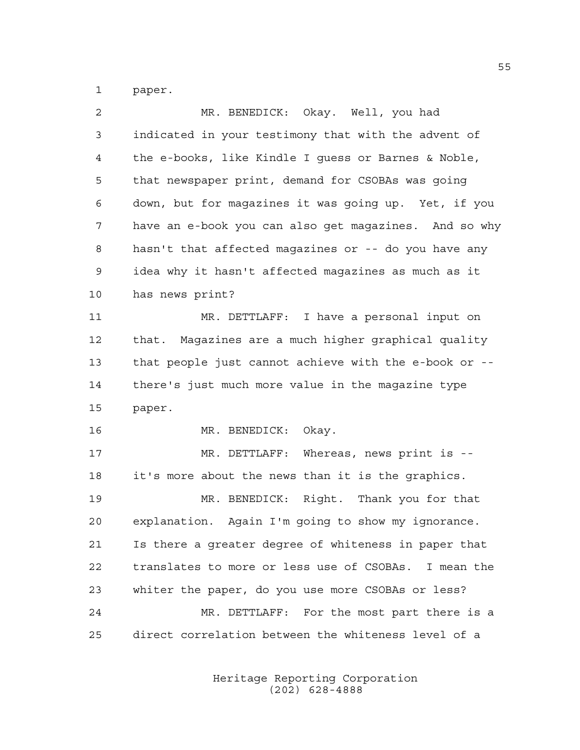paper.

| 2  | MR. BENEDICK: Okay. Well, you had                     |
|----|-------------------------------------------------------|
| 3  | indicated in your testimony that with the advent of   |
| 4  | the e-books, like Kindle I guess or Barnes & Noble,   |
| 5  | that newspaper print, demand for CSOBAs was going     |
| 6  | down, but for magazines it was going up. Yet, if you  |
| 7  | have an e-book you can also get magazines. And so why |
| 8  | hasn't that affected magazines or -- do you have any  |
| 9  | idea why it hasn't affected magazines as much as it   |
| 10 | has news print?                                       |
| 11 | MR. DETTLAFF: I have a personal input on              |
| 12 | that. Magazines are a much higher graphical quality   |
| 13 | that people just cannot achieve with the e-book or -- |
| 14 | there's just much more value in the magazine type     |
| 15 | paper.                                                |
| 16 | MR. BENEDICK:<br>Okay.                                |
| 17 | Whereas, news print is --<br>MR. DETTLAFF:            |
| 18 | it's more about the news than it is the graphics.     |
| 19 | MR. BENEDICK: Right. Thank you for that               |
| 20 | explanation. Again I'm going to show my ignorance.    |
| 21 | Is there a greater degree of whiteness in paper that  |
| 22 | translates to more or less use of CSOBAs. I mean the  |
| 23 | whiter the paper, do you use more CSOBAs or less?     |
| 24 | MR. DETTLAFF: For the most part there is a            |
| 25 | direct correlation between the whiteness level of a   |
|    |                                                       |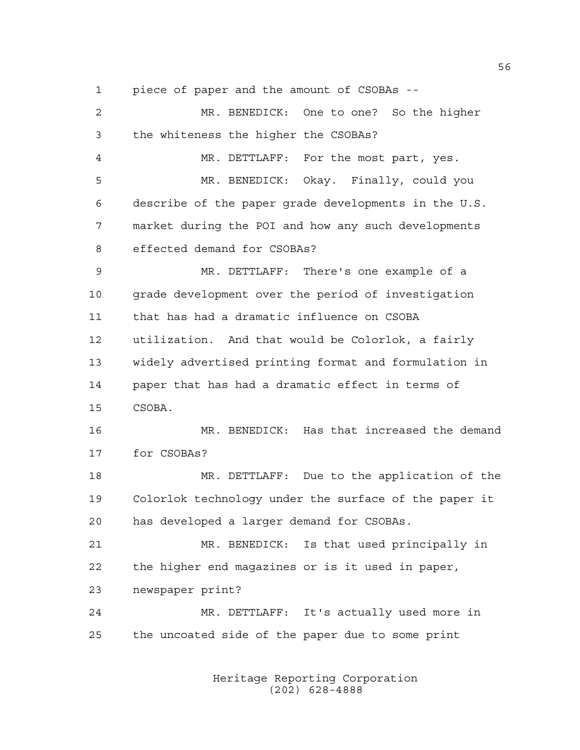piece of paper and the amount of CSOBAs --

 MR. BENEDICK: One to one? So the higher the whiteness the higher the CSOBAs? MR. DETTLAFF: For the most part, yes. MR. BENEDICK: Okay. Finally, could you describe of the paper grade developments in the U.S. market during the POI and how any such developments effected demand for CSOBAs? MR. DETTLAFF: There's one example of a 10 grade development over the period of investigation that has had a dramatic influence on CSOBA utilization. And that would be Colorlok, a fairly widely advertised printing format and formulation in paper that has had a dramatic effect in terms of CSOBA. MR. BENEDICK: Has that increased the demand for CSOBAs? MR. DETTLAFF: Due to the application of the Colorlok technology under the surface of the paper it has developed a larger demand for CSOBAs. MR. BENEDICK: Is that used principally in the higher end magazines or is it used in paper, newspaper print? MR. DETTLAFF: It's actually used more in the uncoated side of the paper due to some print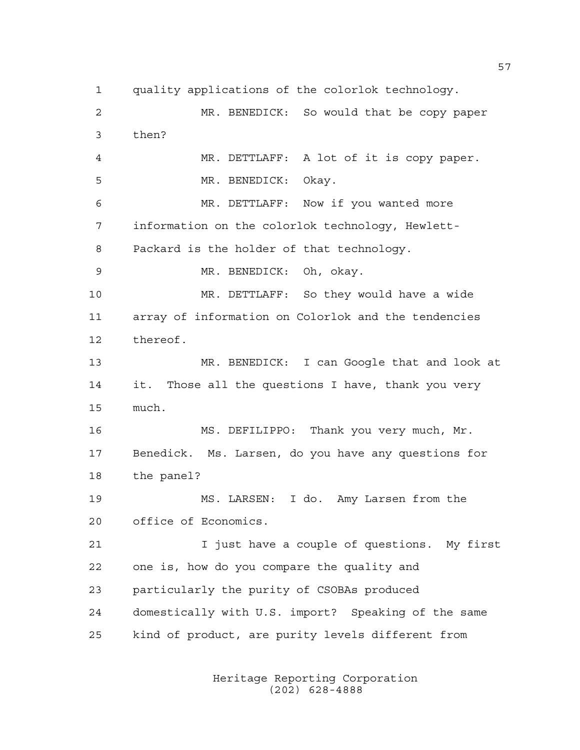quality applications of the colorlok technology. MR. BENEDICK: So would that be copy paper then? MR. DETTLAFF: A lot of it is copy paper. MR. BENEDICK: Okay. MR. DETTLAFF: Now if you wanted more information on the colorlok technology, Hewlett- Packard is the holder of that technology. MR. BENEDICK: Oh, okay. MR. DETTLAFF: So they would have a wide array of information on Colorlok and the tendencies thereof. MR. BENEDICK: I can Google that and look at it. Those all the questions I have, thank you very much. MS. DEFILIPPO: Thank you very much, Mr. Benedick. Ms. Larsen, do you have any questions for the panel? MS. LARSEN: I do. Amy Larsen from the office of Economics. 21 1 I just have a couple of questions. My first one is, how do you compare the quality and particularly the purity of CSOBAs produced domestically with U.S. import? Speaking of the same kind of product, are purity levels different from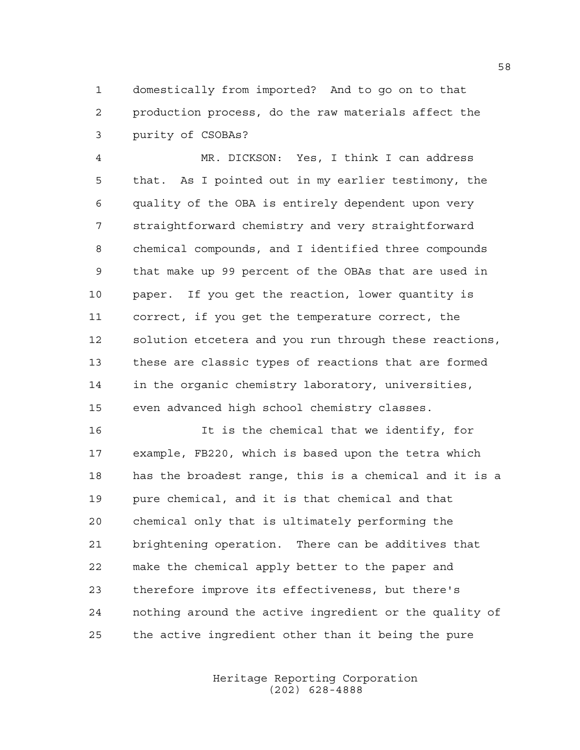domestically from imported? And to go on to that production process, do the raw materials affect the purity of CSOBAs?

 MR. DICKSON: Yes, I think I can address that. As I pointed out in my earlier testimony, the quality of the OBA is entirely dependent upon very straightforward chemistry and very straightforward chemical compounds, and I identified three compounds that make up 99 percent of the OBAs that are used in paper. If you get the reaction, lower quantity is correct, if you get the temperature correct, the solution etcetera and you run through these reactions, these are classic types of reactions that are formed in the organic chemistry laboratory, universities, even advanced high school chemistry classes.

 It is the chemical that we identify, for example, FB220, which is based upon the tetra which has the broadest range, this is a chemical and it is a pure chemical, and it is that chemical and that chemical only that is ultimately performing the brightening operation. There can be additives that make the chemical apply better to the paper and therefore improve its effectiveness, but there's nothing around the active ingredient or the quality of the active ingredient other than it being the pure

> Heritage Reporting Corporation (202) 628-4888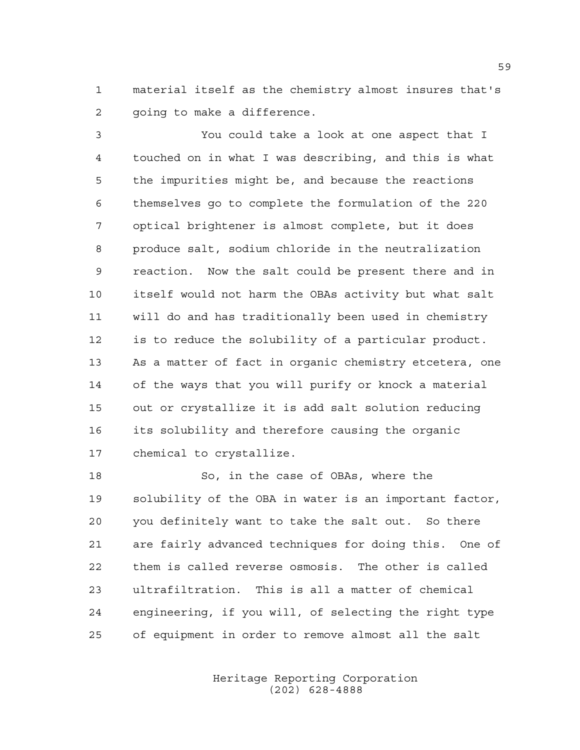material itself as the chemistry almost insures that's 2 qoing to make a difference.

 You could take a look at one aspect that I touched on in what I was describing, and this is what the impurities might be, and because the reactions themselves go to complete the formulation of the 220 optical brightener is almost complete, but it does produce salt, sodium chloride in the neutralization reaction. Now the salt could be present there and in itself would not harm the OBAs activity but what salt will do and has traditionally been used in chemistry is to reduce the solubility of a particular product. As a matter of fact in organic chemistry etcetera, one of the ways that you will purify or knock a material out or crystallize it is add salt solution reducing its solubility and therefore causing the organic chemical to crystallize.

 So, in the case of OBAs, where the solubility of the OBA in water is an important factor, you definitely want to take the salt out. So there are fairly advanced techniques for doing this. One of them is called reverse osmosis. The other is called ultrafiltration. This is all a matter of chemical engineering, if you will, of selecting the right type of equipment in order to remove almost all the salt

> Heritage Reporting Corporation (202) 628-4888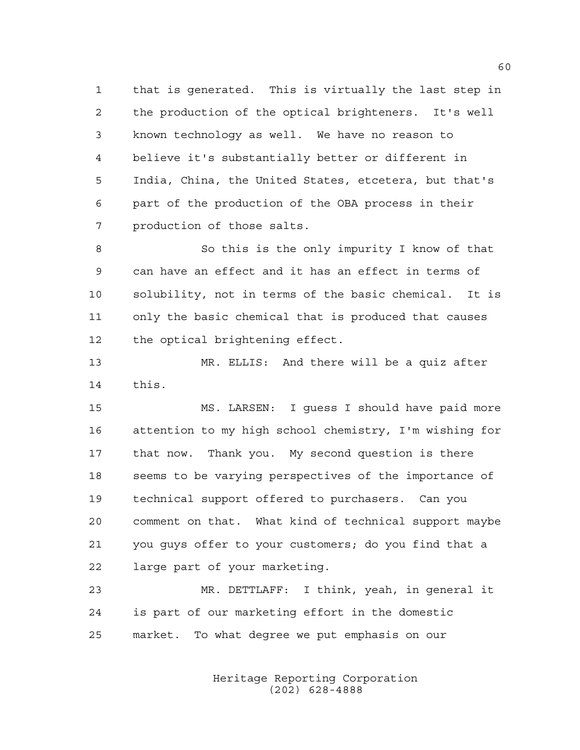that is generated. This is virtually the last step in the production of the optical brighteners. It's well known technology as well. We have no reason to believe it's substantially better or different in India, China, the United States, etcetera, but that's part of the production of the OBA process in their production of those salts.

 So this is the only impurity I know of that can have an effect and it has an effect in terms of solubility, not in terms of the basic chemical. It is only the basic chemical that is produced that causes the optical brightening effect.

 MR. ELLIS: And there will be a quiz after this.

 MS. LARSEN: I guess I should have paid more attention to my high school chemistry, I'm wishing for that now. Thank you. My second question is there seems to be varying perspectives of the importance of technical support offered to purchasers. Can you comment on that. What kind of technical support maybe you guys offer to your customers; do you find that a large part of your marketing.

 MR. DETTLAFF: I think, yeah, in general it is part of our marketing effort in the domestic market. To what degree we put emphasis on our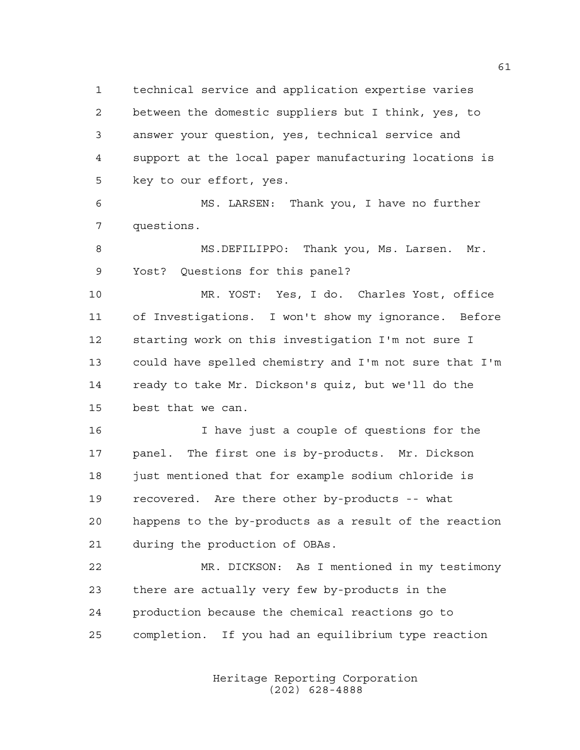technical service and application expertise varies between the domestic suppliers but I think, yes, to answer your question, yes, technical service and support at the local paper manufacturing locations is key to our effort, yes.

 MS. LARSEN: Thank you, I have no further questions.

 MS.DEFILIPPO: Thank you, Ms. Larsen. Mr. Yost? Questions for this panel?

 MR. YOST: Yes, I do. Charles Yost, office of Investigations. I won't show my ignorance. Before starting work on this investigation I'm not sure I could have spelled chemistry and I'm not sure that I'm ready to take Mr. Dickson's quiz, but we'll do the best that we can.

 I have just a couple of questions for the panel. The first one is by-products. Mr. Dickson 18 just mentioned that for example sodium chloride is recovered. Are there other by-products -- what happens to the by-products as a result of the reaction during the production of OBAs.

 MR. DICKSON: As I mentioned in my testimony there are actually very few by-products in the production because the chemical reactions go to completion. If you had an equilibrium type reaction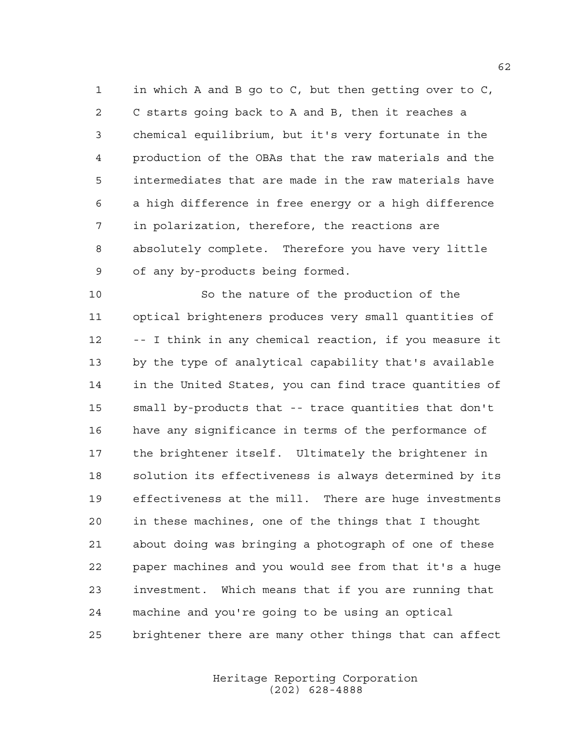in which A and B go to C, but then getting over to C, C starts going back to A and B, then it reaches a chemical equilibrium, but it's very fortunate in the production of the OBAs that the raw materials and the intermediates that are made in the raw materials have a high difference in free energy or a high difference in polarization, therefore, the reactions are absolutely complete. Therefore you have very little of any by-products being formed.

 So the nature of the production of the optical brighteners produces very small quantities of -- I think in any chemical reaction, if you measure it by the type of analytical capability that's available in the United States, you can find trace quantities of small by-products that -- trace quantities that don't have any significance in terms of the performance of the brightener itself. Ultimately the brightener in solution its effectiveness is always determined by its effectiveness at the mill. There are huge investments in these machines, one of the things that I thought about doing was bringing a photograph of one of these paper machines and you would see from that it's a huge investment. Which means that if you are running that machine and you're going to be using an optical brightener there are many other things that can affect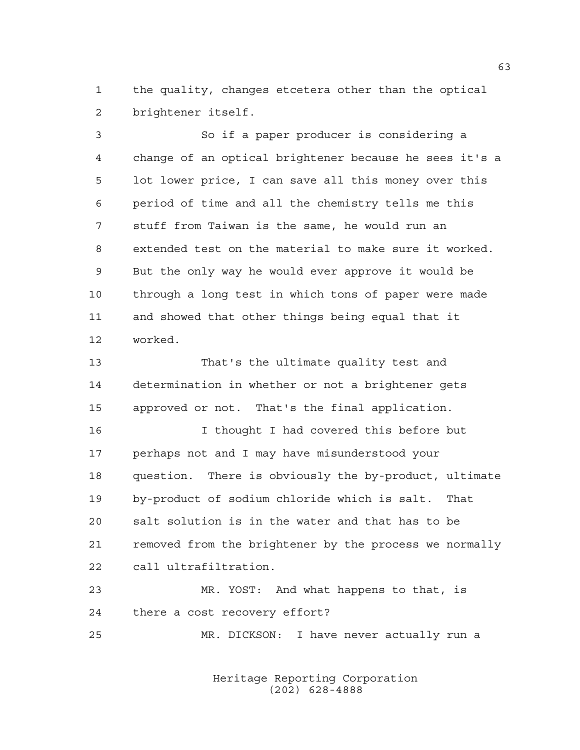the quality, changes etcetera other than the optical brightener itself.

 So if a paper producer is considering a change of an optical brightener because he sees it's a lot lower price, I can save all this money over this period of time and all the chemistry tells me this stuff from Taiwan is the same, he would run an extended test on the material to make sure it worked. But the only way he would ever approve it would be through a long test in which tons of paper were made and showed that other things being equal that it worked.

 That's the ultimate quality test and determination in whether or not a brightener gets approved or not. That's the final application.

 I thought I had covered this before but perhaps not and I may have misunderstood your question. There is obviously the by-product, ultimate by-product of sodium chloride which is salt. That salt solution is in the water and that has to be removed from the brightener by the process we normally call ultrafiltration.

 MR. YOST: And what happens to that, is there a cost recovery effort?

MR. DICKSON: I have never actually run a

Heritage Reporting Corporation (202) 628-4888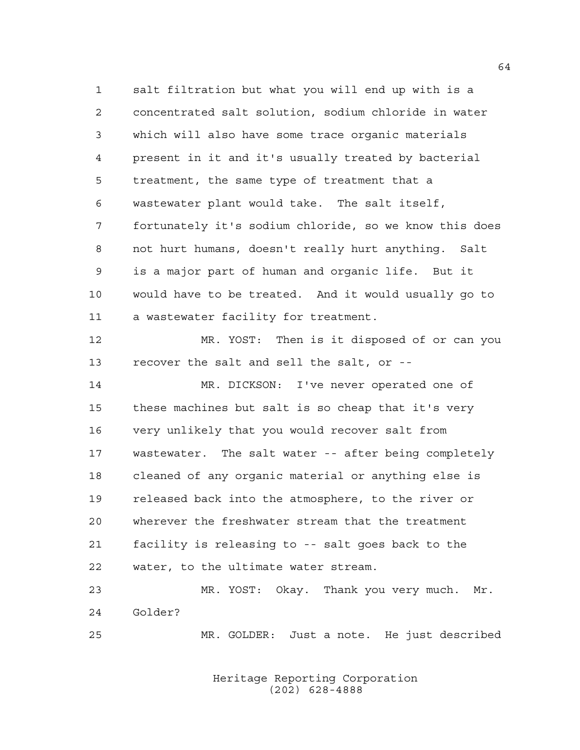salt filtration but what you will end up with is a concentrated salt solution, sodium chloride in water which will also have some trace organic materials present in it and it's usually treated by bacterial treatment, the same type of treatment that a wastewater plant would take. The salt itself, fortunately it's sodium chloride, so we know this does not hurt humans, doesn't really hurt anything. Salt is a major part of human and organic life. But it would have to be treated. And it would usually go to a wastewater facility for treatment.

 MR. YOST: Then is it disposed of or can you recover the salt and sell the salt, or --

 MR. DICKSON: I've never operated one of these machines but salt is so cheap that it's very very unlikely that you would recover salt from wastewater. The salt water -- after being completely cleaned of any organic material or anything else is released back into the atmosphere, to the river or wherever the freshwater stream that the treatment facility is releasing to -- salt goes back to the water, to the ultimate water stream.

 MR. YOST: Okay. Thank you very much. Mr. Golder?

MR. GOLDER: Just a note. He just described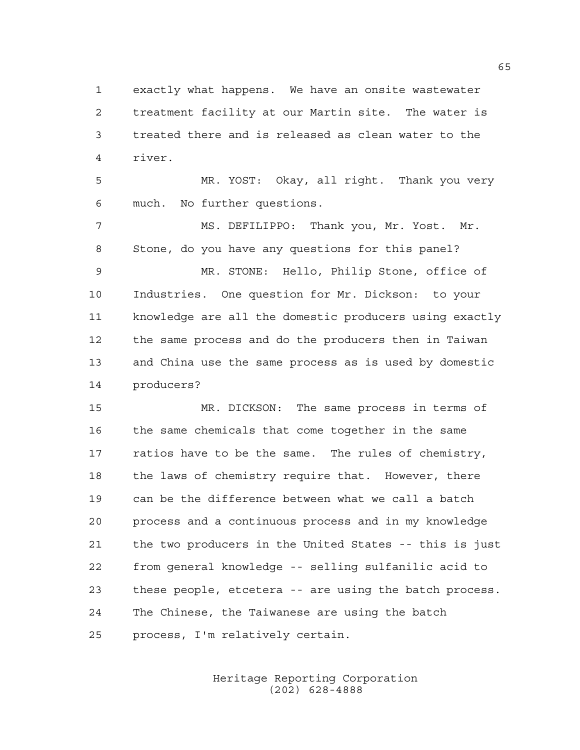exactly what happens. We have an onsite wastewater treatment facility at our Martin site. The water is treated there and is released as clean water to the river.

 MR. YOST: Okay, all right. Thank you very much. No further questions.

 MS. DEFILIPPO: Thank you, Mr. Yost. Mr. Stone, do you have any questions for this panel? MR. STONE: Hello, Philip Stone, office of Industries. One question for Mr. Dickson: to your knowledge are all the domestic producers using exactly the same process and do the producers then in Taiwan and China use the same process as is used by domestic producers?

 MR. DICKSON: The same process in terms of the same chemicals that come together in the same 17 ratios have to be the same. The rules of chemistry, the laws of chemistry require that. However, there can be the difference between what we call a batch process and a continuous process and in my knowledge the two producers in the United States -- this is just from general knowledge -- selling sulfanilic acid to these people, etcetera -- are using the batch process. The Chinese, the Taiwanese are using the batch process, I'm relatively certain.

> Heritage Reporting Corporation (202) 628-4888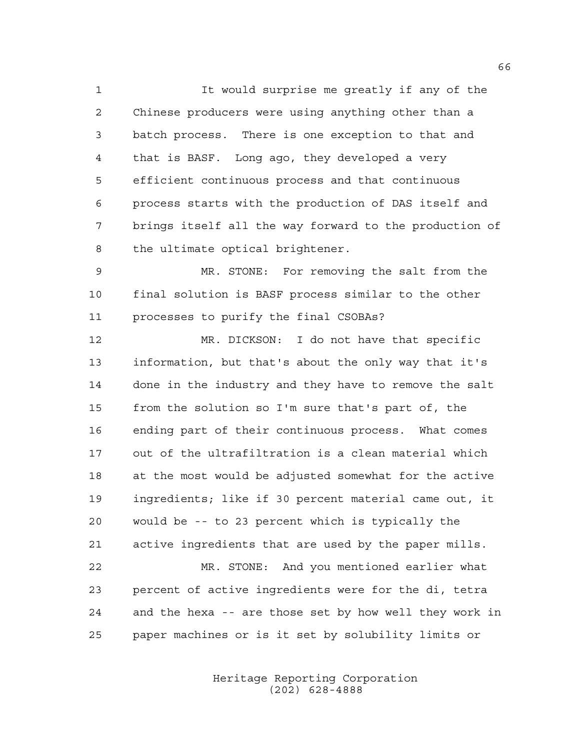It would surprise me greatly if any of the Chinese producers were using anything other than a batch process. There is one exception to that and that is BASF. Long ago, they developed a very efficient continuous process and that continuous process starts with the production of DAS itself and brings itself all the way forward to the production of the ultimate optical brightener.

 MR. STONE: For removing the salt from the final solution is BASF process similar to the other processes to purify the final CSOBAs?

 MR. DICKSON: I do not have that specific information, but that's about the only way that it's done in the industry and they have to remove the salt from the solution so I'm sure that's part of, the ending part of their continuous process. What comes out of the ultrafiltration is a clean material which at the most would be adjusted somewhat for the active ingredients; like if 30 percent material came out, it would be -- to 23 percent which is typically the active ingredients that are used by the paper mills. MR. STONE: And you mentioned earlier what percent of active ingredients were for the di, tetra and the hexa -- are those set by how well they work in

paper machines or is it set by solubility limits or

Heritage Reporting Corporation (202) 628-4888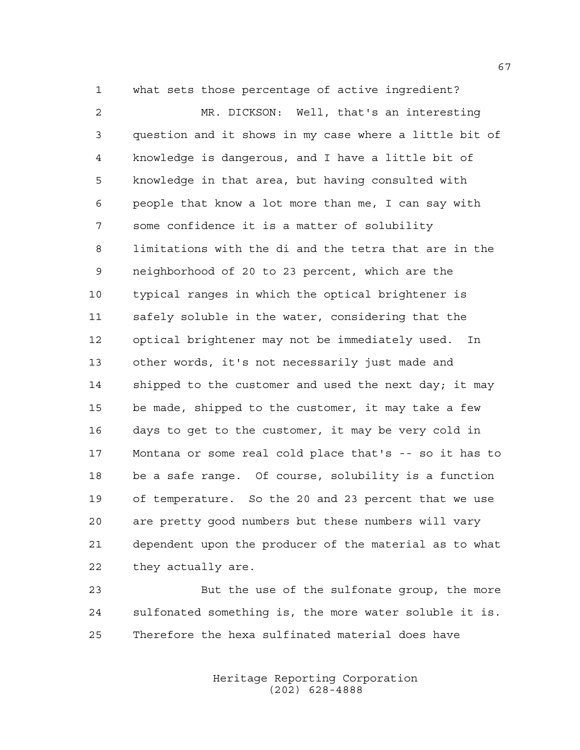what sets those percentage of active ingredient?

 MR. DICKSON: Well, that's an interesting question and it shows in my case where a little bit of knowledge is dangerous, and I have a little bit of knowledge in that area, but having consulted with people that know a lot more than me, I can say with some confidence it is a matter of solubility limitations with the di and the tetra that are in the neighborhood of 20 to 23 percent, which are the typical ranges in which the optical brightener is safely soluble in the water, considering that the optical brightener may not be immediately used. In other words, it's not necessarily just made and 14 shipped to the customer and used the next day; it may be made, shipped to the customer, it may take a few days to get to the customer, it may be very cold in Montana or some real cold place that's -- so it has to be a safe range. Of course, solubility is a function of temperature. So the 20 and 23 percent that we use are pretty good numbers but these numbers will vary dependent upon the producer of the material as to what they actually are.

 But the use of the sulfonate group, the more sulfonated something is, the more water soluble it is. Therefore the hexa sulfinated material does have

> Heritage Reporting Corporation (202) 628-4888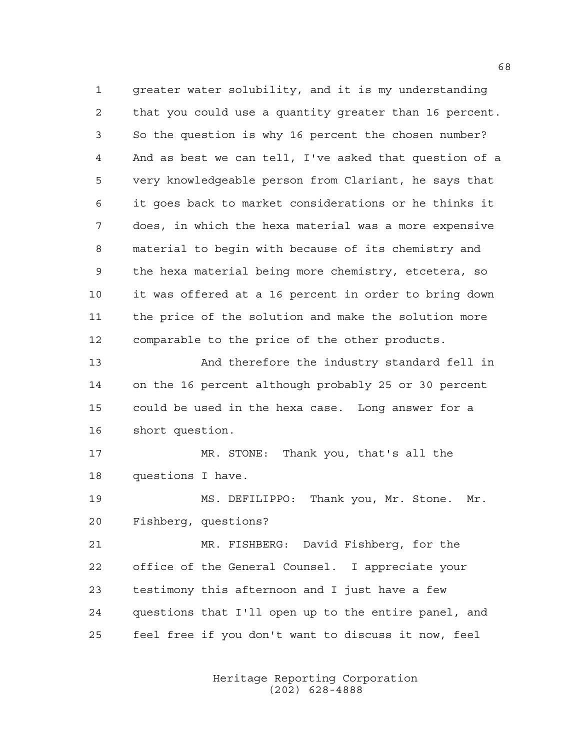greater water solubility, and it is my understanding that you could use a quantity greater than 16 percent. So the question is why 16 percent the chosen number? And as best we can tell, I've asked that question of a very knowledgeable person from Clariant, he says that it goes back to market considerations or he thinks it does, in which the hexa material was a more expensive material to begin with because of its chemistry and the hexa material being more chemistry, etcetera, so it was offered at a 16 percent in order to bring down the price of the solution and make the solution more comparable to the price of the other products. And therefore the industry standard fell in on the 16 percent although probably 25 or 30 percent could be used in the hexa case. Long answer for a short question. MR. STONE: Thank you, that's all the questions I have. MS. DEFILIPPO: Thank you, Mr. Stone. Mr. Fishberg, questions? MR. FISHBERG: David Fishberg, for the office of the General Counsel. I appreciate your testimony this afternoon and I just have a few questions that I'll open up to the entire panel, and

> Heritage Reporting Corporation (202) 628-4888

feel free if you don't want to discuss it now, feel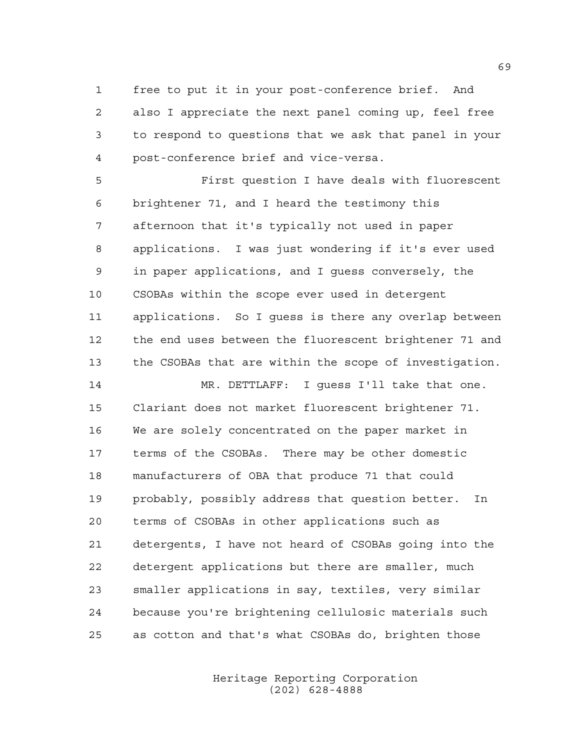free to put it in your post-conference brief. And also I appreciate the next panel coming up, feel free to respond to questions that we ask that panel in your post-conference brief and vice-versa.

 First question I have deals with fluorescent brightener 71, and I heard the testimony this afternoon that it's typically not used in paper applications. I was just wondering if it's ever used in paper applications, and I guess conversely, the CSOBAs within the scope ever used in detergent applications. So I guess is there any overlap between the end uses between the fluorescent brightener 71 and the CSOBAs that are within the scope of investigation.

 MR. DETTLAFF: I guess I'll take that one. Clariant does not market fluorescent brightener 71. We are solely concentrated on the paper market in terms of the CSOBAs. There may be other domestic manufacturers of OBA that produce 71 that could probably, possibly address that question better. In terms of CSOBAs in other applications such as detergents, I have not heard of CSOBAs going into the detergent applications but there are smaller, much smaller applications in say, textiles, very similar because you're brightening cellulosic materials such as cotton and that's what CSOBAs do, brighten those

> Heritage Reporting Corporation (202) 628-4888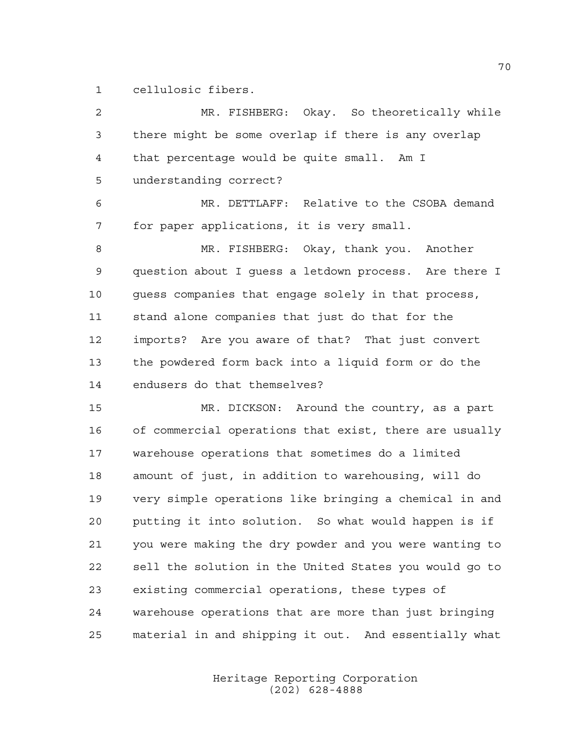cellulosic fibers.

| $\overline{2}$ | MR. FISHBERG: Okay. So theoretically while             |
|----------------|--------------------------------------------------------|
| 3              | there might be some overlap if there is any overlap    |
| 4              | that percentage would be quite small. Am I             |
| 5              | understanding correct?                                 |
| 6              | MR. DETTLAFF: Relative to the CSOBA demand             |
| 7              | for paper applications, it is very small.              |
| 8              | MR. FISHBERG: Okay, thank you. Another                 |
| 9              | question about I guess a letdown process. Are there I  |
| 10             | guess companies that engage solely in that process,    |
| 11             | stand alone companies that just do that for the        |
| 12             | imports? Are you aware of that? That just convert      |
| 13             | the powdered form back into a liquid form or do the    |
| 14             | endusers do that themselves?                           |
| 15             | MR. DICKSON: Around the country, as a part             |
| 16             | of commercial operations that exist, there are usually |
| 17             | warehouse operations that sometimes do a limited       |
| 18             | amount of just, in addition to warehousing, will do    |
| 19             | very simple operations like bringing a chemical in and |
| 20             | putting it into solution. So what would happen is if   |
| 21             | you were making the dry powder and you were wanting to |
| 22             | sell the solution in the United States you would go to |
| 23             | existing commercial operations, these types of         |
| 24             | warehouse operations that are more than just bringing  |
| 25             | material in and shipping it out. And essentially what  |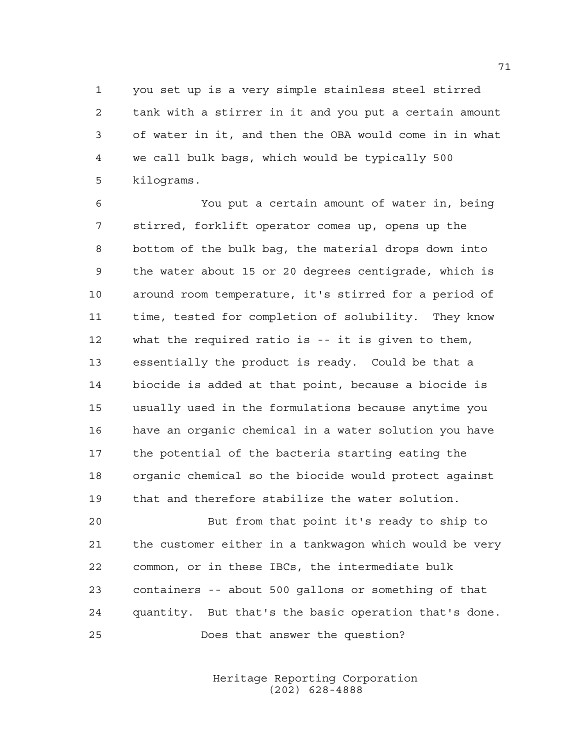you set up is a very simple stainless steel stirred tank with a stirrer in it and you put a certain amount of water in it, and then the OBA would come in in what we call bulk bags, which would be typically 500 kilograms.

 You put a certain amount of water in, being stirred, forklift operator comes up, opens up the bottom of the bulk bag, the material drops down into the water about 15 or 20 degrees centigrade, which is around room temperature, it's stirred for a period of time, tested for completion of solubility. They know what the required ratio is -- it is given to them, essentially the product is ready. Could be that a biocide is added at that point, because a biocide is usually used in the formulations because anytime you have an organic chemical in a water solution you have the potential of the bacteria starting eating the organic chemical so the biocide would protect against that and therefore stabilize the water solution.

20 But from that point it's ready to ship to the customer either in a tankwagon which would be very common, or in these IBCs, the intermediate bulk containers -- about 500 gallons or something of that quantity. But that's the basic operation that's done. Does that answer the question?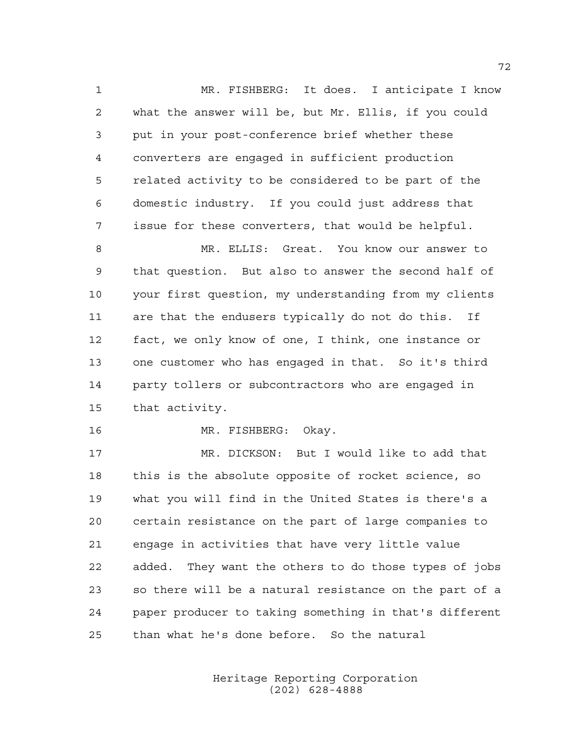MR. FISHBERG: It does. I anticipate I know what the answer will be, but Mr. Ellis, if you could put in your post-conference brief whether these converters are engaged in sufficient production related activity to be considered to be part of the domestic industry. If you could just address that issue for these converters, that would be helpful.

 MR. ELLIS: Great. You know our answer to that question. But also to answer the second half of your first question, my understanding from my clients are that the endusers typically do not do this. If fact, we only know of one, I think, one instance or one customer who has engaged in that. So it's third party tollers or subcontractors who are engaged in that activity.

MR. FISHBERG: Okay.

 MR. DICKSON: But I would like to add that this is the absolute opposite of rocket science, so what you will find in the United States is there's a certain resistance on the part of large companies to engage in activities that have very little value added. They want the others to do those types of jobs so there will be a natural resistance on the part of a paper producer to taking something in that's different than what he's done before. So the natural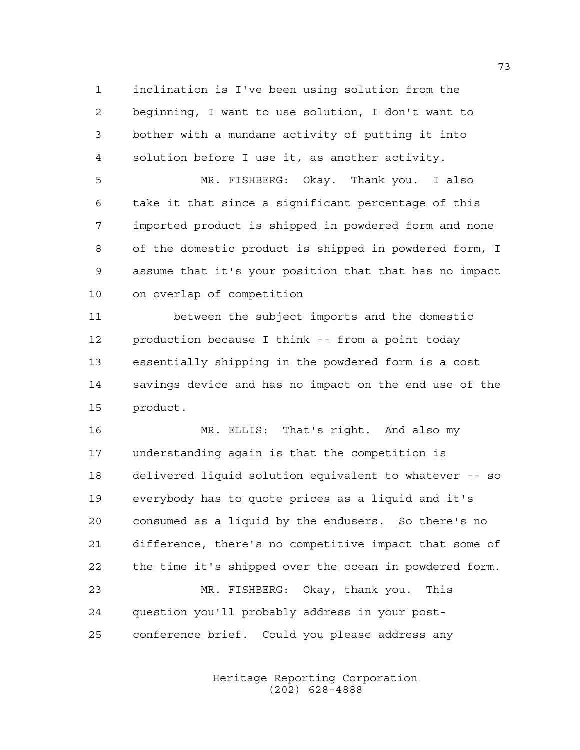inclination is I've been using solution from the beginning, I want to use solution, I don't want to bother with a mundane activity of putting it into solution before I use it, as another activity.

 MR. FISHBERG: Okay. Thank you. I also take it that since a significant percentage of this imported product is shipped in powdered form and none of the domestic product is shipped in powdered form, I assume that it's your position that that has no impact on overlap of competition

11 between the subject imports and the domestic production because I think -- from a point today essentially shipping in the powdered form is a cost savings device and has no impact on the end use of the product.

 MR. ELLIS: That's right. And also my understanding again is that the competition is delivered liquid solution equivalent to whatever -- so everybody has to quote prices as a liquid and it's consumed as a liquid by the endusers. So there's no difference, there's no competitive impact that some of the time it's shipped over the ocean in powdered form. MR. FISHBERG: Okay, thank you. This question you'll probably address in your post-conference brief. Could you please address any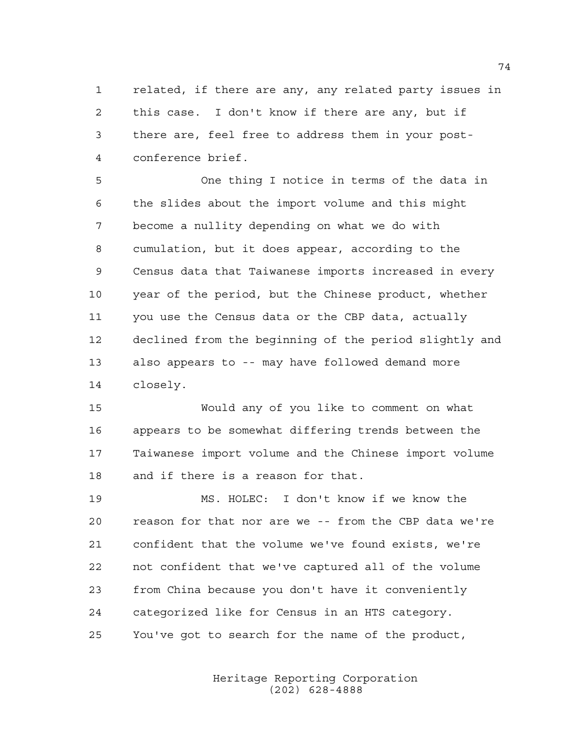related, if there are any, any related party issues in this case. I don't know if there are any, but if there are, feel free to address them in your post-conference brief.

 One thing I notice in terms of the data in the slides about the import volume and this might become a nullity depending on what we do with cumulation, but it does appear, according to the Census data that Taiwanese imports increased in every year of the period, but the Chinese product, whether you use the Census data or the CBP data, actually declined from the beginning of the period slightly and also appears to -- may have followed demand more closely.

 Would any of you like to comment on what appears to be somewhat differing trends between the Taiwanese import volume and the Chinese import volume and if there is a reason for that.

 MS. HOLEC: I don't know if we know the reason for that nor are we -- from the CBP data we're confident that the volume we've found exists, we're not confident that we've captured all of the volume from China because you don't have it conveniently categorized like for Census in an HTS category. You've got to search for the name of the product,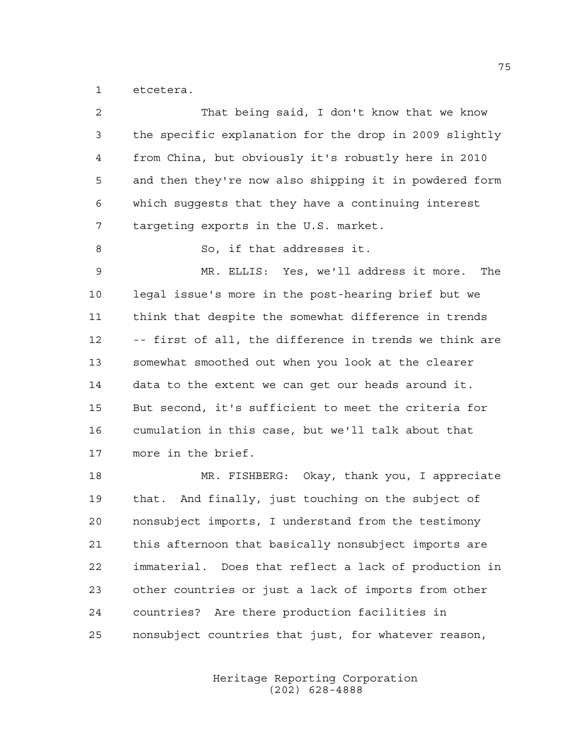etcetera.

| 2  | That being said, I don't know that we know             |
|----|--------------------------------------------------------|
| 3  | the specific explanation for the drop in 2009 slightly |
| 4  | from China, but obviously it's robustly here in 2010   |
| 5  | and then they're now also shipping it in powdered form |
| 6  | which suggests that they have a continuing interest    |
| 7  | targeting exports in the U.S. market.                  |
| 8  | So, if that addresses it.                              |
| 9  | MR. ELLIS: Yes, we'll address it more.<br>The          |
| 10 | legal issue's more in the post-hearing brief but we    |
| 11 | think that despite the somewhat difference in trends   |
| 12 | -- first of all, the difference in trends we think are |
| 13 | somewhat smoothed out when you look at the clearer     |
| 14 | data to the extent we can get our heads around it.     |
| 15 | But second, it's sufficient to meet the criteria for   |
| 16 | cumulation in this case, but we'll talk about that     |
| 17 | more in the brief.                                     |
| 18 | MR. FISHBERG: Okay, thank you, I appreciate            |
| 19 | that. And finally, just touching on the subject of     |
| 20 | nonsubject imports, I understand from the testimony    |
| 21 | this afternoon that basically nonsubject imports are   |
| 22 | immaterial. Does that reflect a lack of production in  |
| 23 | other countries or just a lack of imports from other   |
| 24 | countries? Are there production facilities in          |
| 25 | nonsubject countries that just, for whatever reason,   |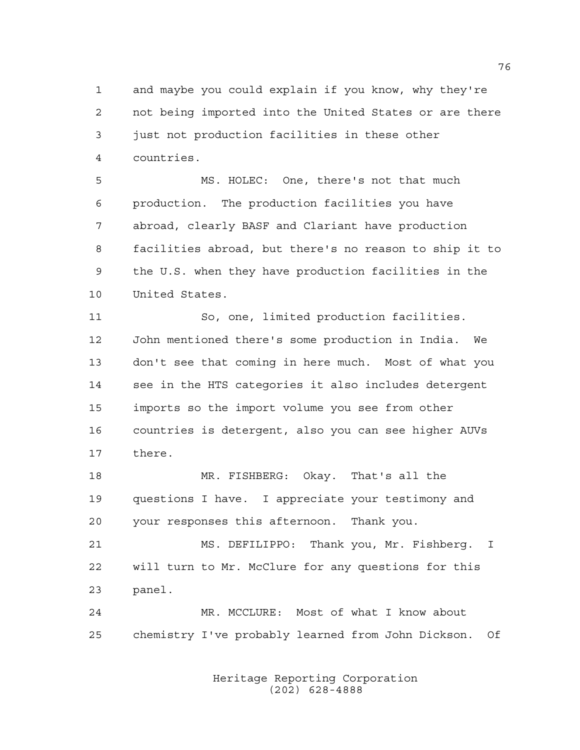and maybe you could explain if you know, why they're not being imported into the United States or are there just not production facilities in these other countries.

 MS. HOLEC: One, there's not that much production. The production facilities you have abroad, clearly BASF and Clariant have production facilities abroad, but there's no reason to ship it to the U.S. when they have production facilities in the United States.

 So, one, limited production facilities. John mentioned there's some production in India. We don't see that coming in here much. Most of what you see in the HTS categories it also includes detergent imports so the import volume you see from other countries is detergent, also you can see higher AUVs there.

 MR. FISHBERG: Okay. That's all the questions I have. I appreciate your testimony and your responses this afternoon. Thank you.

 MS. DEFILIPPO: Thank you, Mr. Fishberg. I will turn to Mr. McClure for any questions for this panel.

 MR. MCCLURE: Most of what I know about chemistry I've probably learned from John Dickson. Of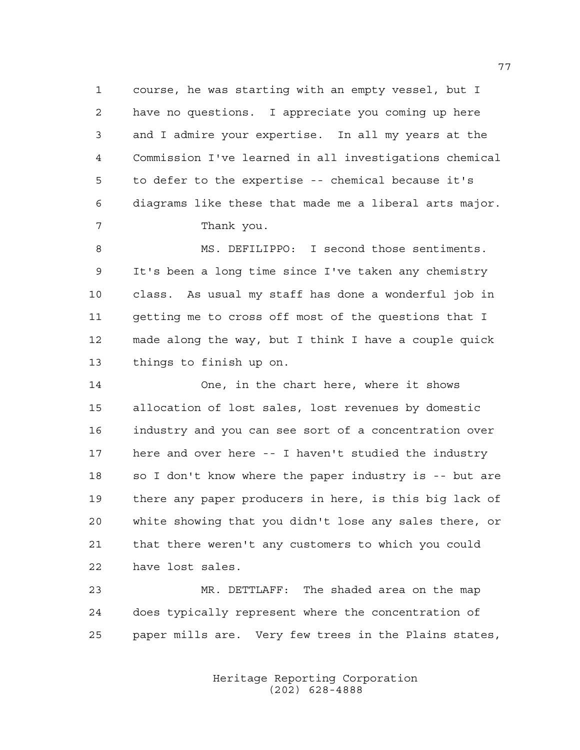course, he was starting with an empty vessel, but I have no questions. I appreciate you coming up here and I admire your expertise. In all my years at the Commission I've learned in all investigations chemical to defer to the expertise -- chemical because it's diagrams like these that made me a liberal arts major. 7 Thank you.

 MS. DEFILIPPO: I second those sentiments. It's been a long time since I've taken any chemistry class. As usual my staff has done a wonderful job in getting me to cross off most of the questions that I made along the way, but I think I have a couple quick things to finish up on.

 One, in the chart here, where it shows allocation of lost sales, lost revenues by domestic industry and you can see sort of a concentration over here and over here -- I haven't studied the industry so I don't know where the paper industry is -- but are there any paper producers in here, is this big lack of white showing that you didn't lose any sales there, or that there weren't any customers to which you could have lost sales.

 MR. DETTLAFF: The shaded area on the map does typically represent where the concentration of paper mills are. Very few trees in the Plains states,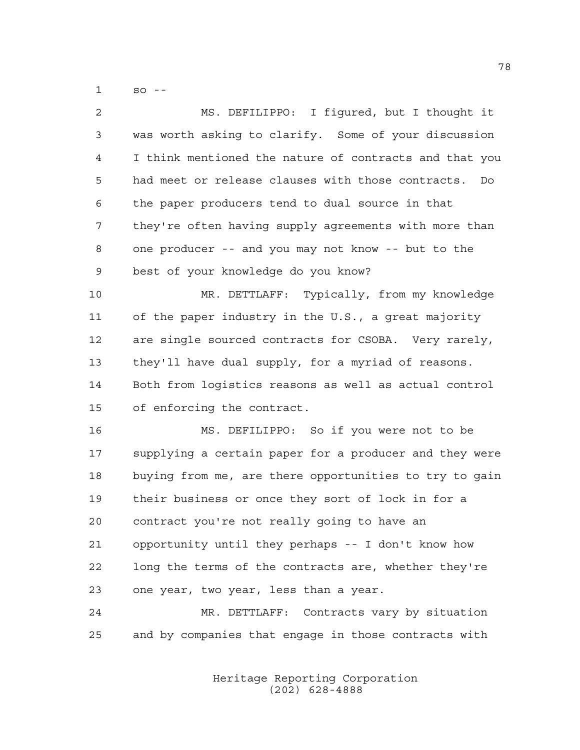so --

| 2  | MS. DEFILIPPO: I figured, but I thought it              |
|----|---------------------------------------------------------|
| 3  | was worth asking to clarify. Some of your discussion    |
| 4  | I think mentioned the nature of contracts and that you  |
| 5  | had meet or release clauses with those contracts.<br>Do |
| 6  | the paper producers tend to dual source in that         |
| 7  | they're often having supply agreements with more than   |
| 8  | one producer -- and you may not know -- but to the      |
| 9  | best of your knowledge do you know?                     |
| 10 | MR. DETTLAFF: Typically, from my knowledge              |
| 11 | of the paper industry in the U.S., a great majority     |
| 12 | are single sourced contracts for CSOBA. Very rarely,    |
| 13 | they'll have dual supply, for a myriad of reasons.      |
| 14 | Both from logistics reasons as well as actual control   |
| 15 | of enforcing the contract.                              |
| 16 | MS. DEFILIPPO: So if you were not to be                 |
| 17 | supplying a certain paper for a producer and they were  |
| 18 | buying from me, are there opportunities to try to gain  |
| 19 | their business or once they sort of lock in for a       |
| 20 | contract you're not really going to have an             |
| 21 | opportunity until they perhaps -- I don't know how      |
| 22 | long the terms of the contracts are, whether they're    |
| 23 | one year, two year, less than a year.                   |
| 24 | MR. DETTLAFF: Contracts vary by situation               |
| 25 | and by companies that engage in those contracts with    |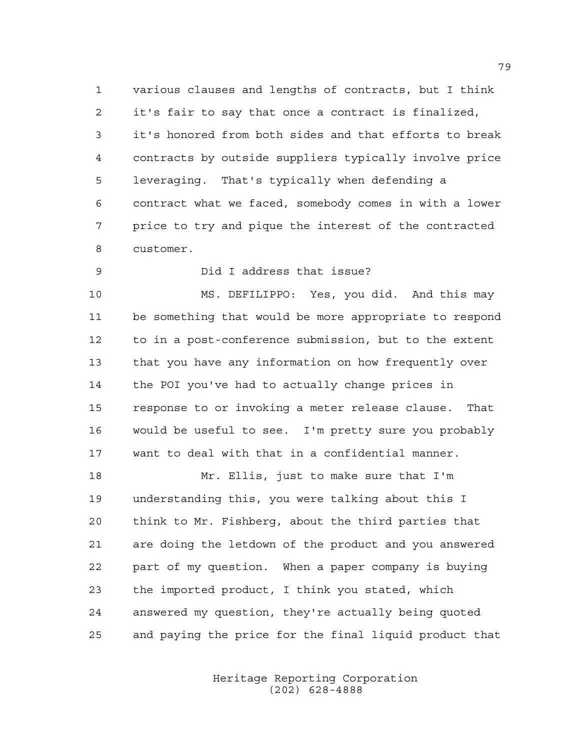various clauses and lengths of contracts, but I think it's fair to say that once a contract is finalized, it's honored from both sides and that efforts to break contracts by outside suppliers typically involve price leveraging. That's typically when defending a contract what we faced, somebody comes in with a lower price to try and pique the interest of the contracted customer.

Did I address that issue?

 MS. DEFILIPPO: Yes, you did. And this may be something that would be more appropriate to respond to in a post-conference submission, but to the extent that you have any information on how frequently over the POI you've had to actually change prices in response to or invoking a meter release clause. That would be useful to see. I'm pretty sure you probably want to deal with that in a confidential manner.

 Mr. Ellis, just to make sure that I'm understanding this, you were talking about this I think to Mr. Fishberg, about the third parties that are doing the letdown of the product and you answered part of my question. When a paper company is buying the imported product, I think you stated, which answered my question, they're actually being quoted and paying the price for the final liquid product that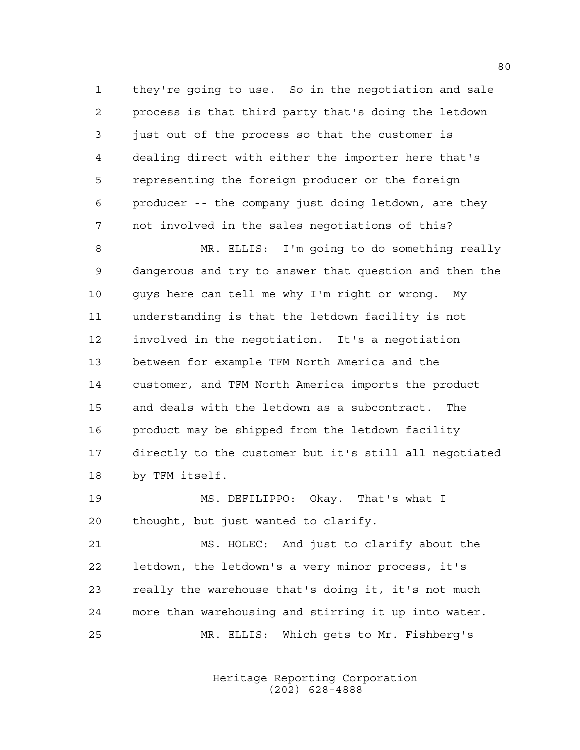they're going to use. So in the negotiation and sale process is that third party that's doing the letdown just out of the process so that the customer is dealing direct with either the importer here that's representing the foreign producer or the foreign producer -- the company just doing letdown, are they not involved in the sales negotiations of this?

 MR. ELLIS: I'm going to do something really dangerous and try to answer that question and then the guys here can tell me why I'm right or wrong. My understanding is that the letdown facility is not involved in the negotiation. It's a negotiation between for example TFM North America and the customer, and TFM North America imports the product and deals with the letdown as a subcontract. The product may be shipped from the letdown facility directly to the customer but it's still all negotiated by TFM itself.

 MS. DEFILIPPO: Okay. That's what I thought, but just wanted to clarify.

 MS. HOLEC: And just to clarify about the letdown, the letdown's a very minor process, it's really the warehouse that's doing it, it's not much more than warehousing and stirring it up into water. MR. ELLIS: Which gets to Mr. Fishberg's

> Heritage Reporting Corporation (202) 628-4888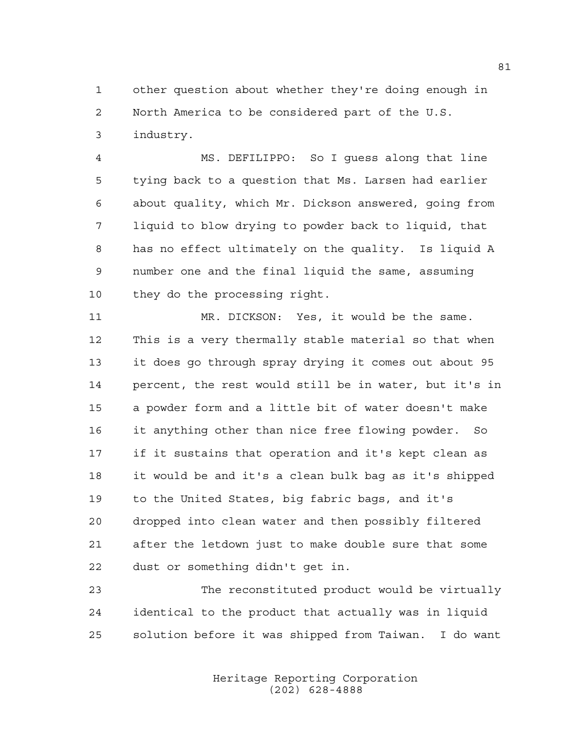other question about whether they're doing enough in North America to be considered part of the U.S. industry.

 MS. DEFILIPPO: So I guess along that line tying back to a question that Ms. Larsen had earlier about quality, which Mr. Dickson answered, going from liquid to blow drying to powder back to liquid, that has no effect ultimately on the quality. Is liquid A number one and the final liquid the same, assuming they do the processing right.

 MR. DICKSON: Yes, it would be the same. This is a very thermally stable material so that when it does go through spray drying it comes out about 95 percent, the rest would still be in water, but it's in a powder form and a little bit of water doesn't make it anything other than nice free flowing powder. So if it sustains that operation and it's kept clean as it would be and it's a clean bulk bag as it's shipped to the United States, big fabric bags, and it's dropped into clean water and then possibly filtered after the letdown just to make double sure that some dust or something didn't get in.

 The reconstituted product would be virtually identical to the product that actually was in liquid solution before it was shipped from Taiwan. I do want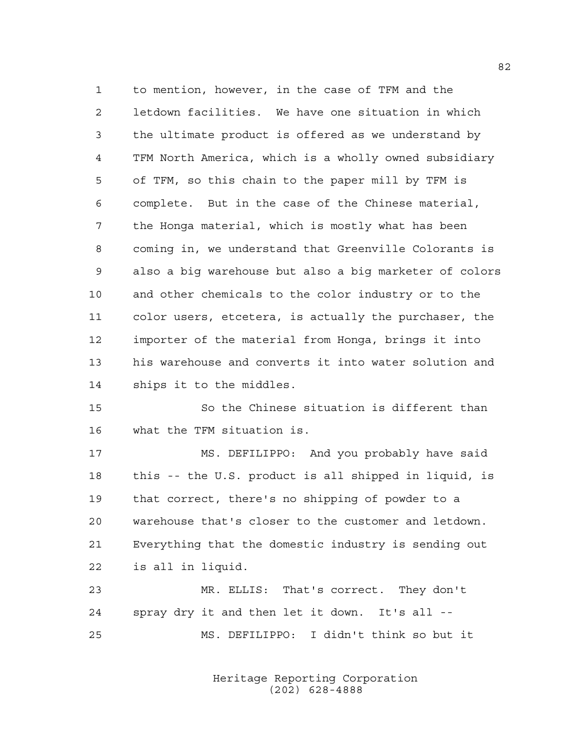to mention, however, in the case of TFM and the letdown facilities. We have one situation in which the ultimate product is offered as we understand by TFM North America, which is a wholly owned subsidiary of TFM, so this chain to the paper mill by TFM is complete. But in the case of the Chinese material, the Honga material, which is mostly what has been coming in, we understand that Greenville Colorants is also a big warehouse but also a big marketer of colors and other chemicals to the color industry or to the color users, etcetera, is actually the purchaser, the importer of the material from Honga, brings it into his warehouse and converts it into water solution and ships it to the middles.

 So the Chinese situation is different than what the TFM situation is.

 MS. DEFILIPPO: And you probably have said this -- the U.S. product is all shipped in liquid, is that correct, there's no shipping of powder to a warehouse that's closer to the customer and letdown. Everything that the domestic industry is sending out is all in liquid.

 MR. ELLIS: That's correct. They don't spray dry it and then let it down. It's all -- MS. DEFILIPPO: I didn't think so but it

> Heritage Reporting Corporation (202) 628-4888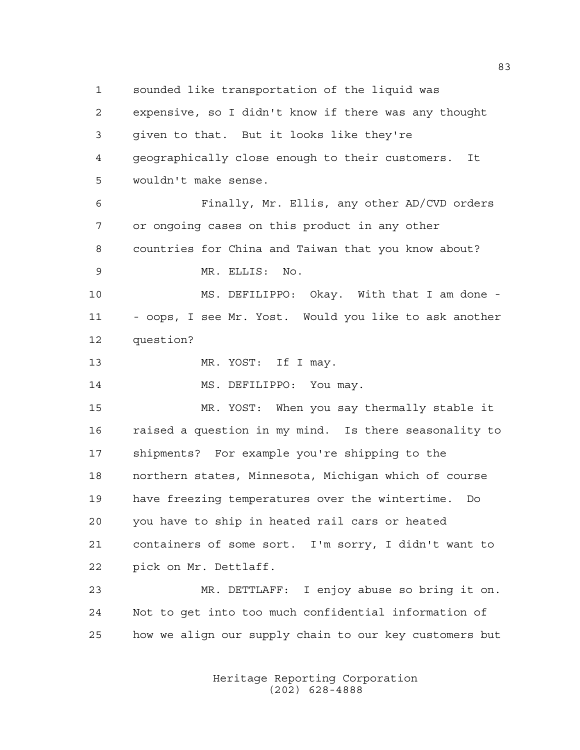sounded like transportation of the liquid was expensive, so I didn't know if there was any thought given to that. But it looks like they're geographically close enough to their customers. It wouldn't make sense. Finally, Mr. Ellis, any other AD/CVD orders or ongoing cases on this product in any other countries for China and Taiwan that you know about? MR. ELLIS: No. MS. DEFILIPPO: Okay. With that I am done - - oops, I see Mr. Yost. Would you like to ask another question? 13 MR. YOST: If I may.

14 MS. DEFILIPPO: You may.

 MR. YOST: When you say thermally stable it raised a question in my mind. Is there seasonality to shipments? For example you're shipping to the northern states, Minnesota, Michigan which of course have freezing temperatures over the wintertime. Do you have to ship in heated rail cars or heated containers of some sort. I'm sorry, I didn't want to pick on Mr. Dettlaff.

 MR. DETTLAFF: I enjoy abuse so bring it on. Not to get into too much confidential information of how we align our supply chain to our key customers but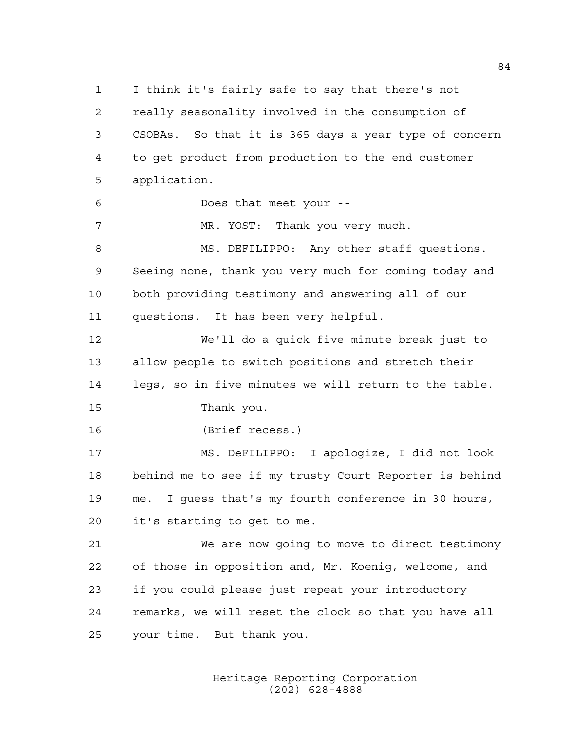I think it's fairly safe to say that there's not really seasonality involved in the consumption of CSOBAs. So that it is 365 days a year type of concern to get product from production to the end customer application. Does that meet your -- MR. YOST: Thank you very much. 8 MS. DEFILIPPO: Any other staff questions. Seeing none, thank you very much for coming today and both providing testimony and answering all of our questions. It has been very helpful. We'll do a quick five minute break just to allow people to switch positions and stretch their legs, so in five minutes we will return to the table. Thank you. (Brief recess.) MS. DeFILIPPO: I apologize, I did not look behind me to see if my trusty Court Reporter is behind me. I guess that's my fourth conference in 30 hours, it's starting to get to me. We are now going to move to direct testimony of those in opposition and, Mr. Koenig, welcome, and if you could please just repeat your introductory remarks, we will reset the clock so that you have all your time. But thank you.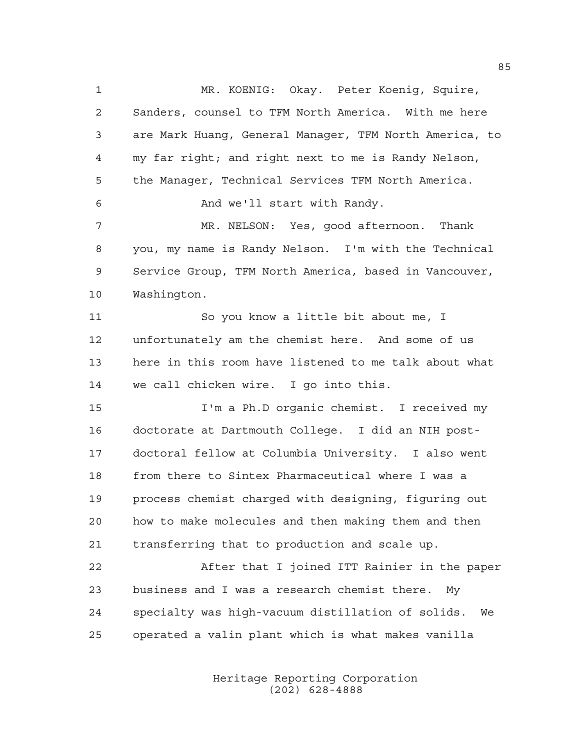MR. KOENIG: Okay. Peter Koenig, Squire, Sanders, counsel to TFM North America. With me here are Mark Huang, General Manager, TFM North America, to my far right; and right next to me is Randy Nelson, the Manager, Technical Services TFM North America. And we'll start with Randy. MR. NELSON: Yes, good afternoon. Thank you, my name is Randy Nelson. I'm with the Technical Service Group, TFM North America, based in Vancouver, Washington. So you know a little bit about me, I unfortunately am the chemist here. And some of us here in this room have listened to me talk about what we call chicken wire. I go into this. I'm a Ph.D organic chemist. I received my doctorate at Dartmouth College. I did an NIH post- doctoral fellow at Columbia University. I also went from there to Sintex Pharmaceutical where I was a process chemist charged with designing, figuring out how to make molecules and then making them and then transferring that to production and scale up. After that I joined ITT Rainier in the paper business and I was a research chemist there. My specialty was high-vacuum distillation of solids. We

> Heritage Reporting Corporation (202) 628-4888

operated a valin plant which is what makes vanilla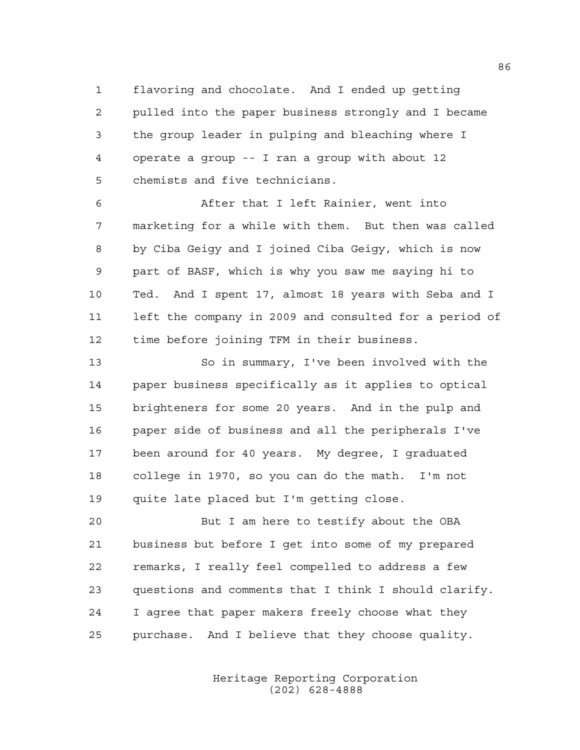flavoring and chocolate. And I ended up getting pulled into the paper business strongly and I became the group leader in pulping and bleaching where I operate a group -- I ran a group with about 12 chemists and five technicians.

 After that I left Rainier, went into marketing for a while with them. But then was called by Ciba Geigy and I joined Ciba Geigy, which is now part of BASF, which is why you saw me saying hi to Ted. And I spent 17, almost 18 years with Seba and I left the company in 2009 and consulted for a period of time before joining TFM in their business.

 So in summary, I've been involved with the paper business specifically as it applies to optical brighteners for some 20 years. And in the pulp and paper side of business and all the peripherals I've been around for 40 years. My degree, I graduated college in 1970, so you can do the math. I'm not quite late placed but I'm getting close.

 But I am here to testify about the OBA business but before I get into some of my prepared remarks, I really feel compelled to address a few questions and comments that I think I should clarify. I agree that paper makers freely choose what they purchase. And I believe that they choose quality.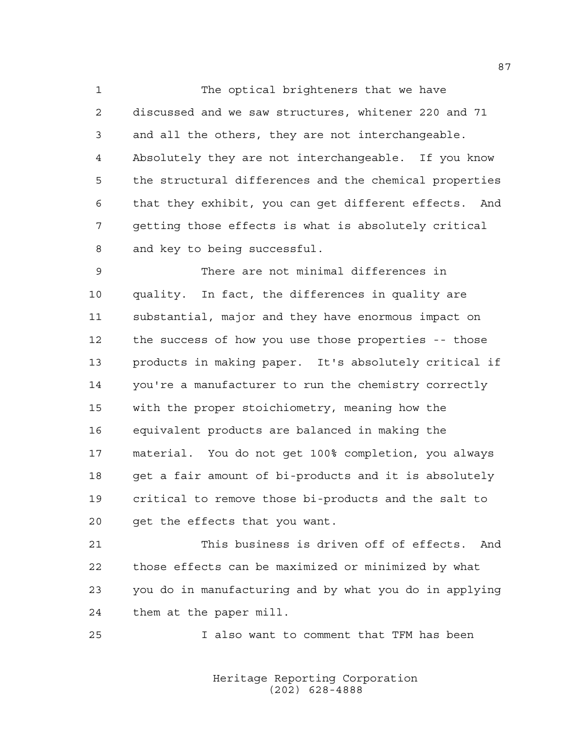1 The optical brighteners that we have discussed and we saw structures, whitener 220 and 71 and all the others, they are not interchangeable. Absolutely they are not interchangeable. If you know the structural differences and the chemical properties that they exhibit, you can get different effects. And getting those effects is what is absolutely critical and key to being successful.

 There are not minimal differences in quality. In fact, the differences in quality are substantial, major and they have enormous impact on the success of how you use those properties -- those products in making paper. It's absolutely critical if you're a manufacturer to run the chemistry correctly with the proper stoichiometry, meaning how the equivalent products are balanced in making the material. You do not get 100% completion, you always get a fair amount of bi-products and it is absolutely critical to remove those bi-products and the salt to get the effects that you want.

 This business is driven off of effects. And those effects can be maximized or minimized by what you do in manufacturing and by what you do in applying them at the paper mill.

I also want to comment that TFM has been

Heritage Reporting Corporation (202) 628-4888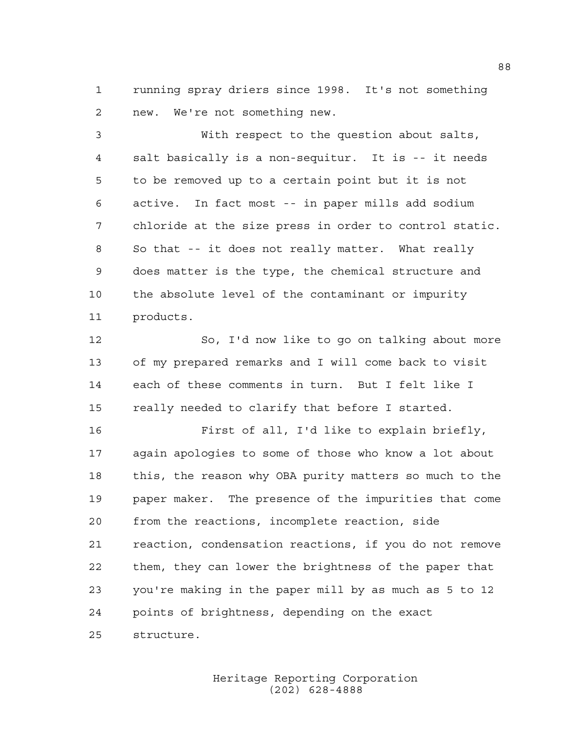running spray driers since 1998. It's not something new. We're not something new.

 With respect to the question about salts, salt basically is a non-sequitur. It is -- it needs to be removed up to a certain point but it is not active. In fact most -- in paper mills add sodium chloride at the size press in order to control static. So that -- it does not really matter. What really does matter is the type, the chemical structure and the absolute level of the contaminant or impurity products.

 So, I'd now like to go on talking about more of my prepared remarks and I will come back to visit each of these comments in turn. But I felt like I really needed to clarify that before I started.

 First of all, I'd like to explain briefly, again apologies to some of those who know a lot about this, the reason why OBA purity matters so much to the paper maker. The presence of the impurities that come from the reactions, incomplete reaction, side reaction, condensation reactions, if you do not remove them, they can lower the brightness of the paper that you're making in the paper mill by as much as 5 to 12 points of brightness, depending on the exact structure.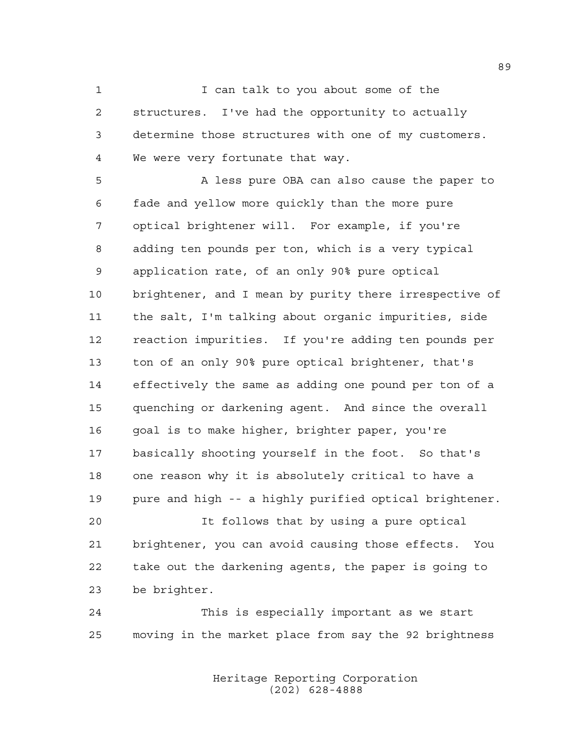1 I can talk to you about some of the structures. I've had the opportunity to actually determine those structures with one of my customers. We were very fortunate that way.

 A less pure OBA can also cause the paper to fade and yellow more quickly than the more pure optical brightener will. For example, if you're adding ten pounds per ton, which is a very typical application rate, of an only 90% pure optical brightener, and I mean by purity there irrespective of the salt, I'm talking about organic impurities, side reaction impurities. If you're adding ten pounds per ton of an only 90% pure optical brightener, that's effectively the same as adding one pound per ton of a quenching or darkening agent. And since the overall goal is to make higher, brighter paper, you're basically shooting yourself in the foot. So that's one reason why it is absolutely critical to have a pure and high -- a highly purified optical brightener.

 It follows that by using a pure optical brightener, you can avoid causing those effects. You take out the darkening agents, the paper is going to be brighter.

 This is especially important as we start moving in the market place from say the 92 brightness

> Heritage Reporting Corporation (202) 628-4888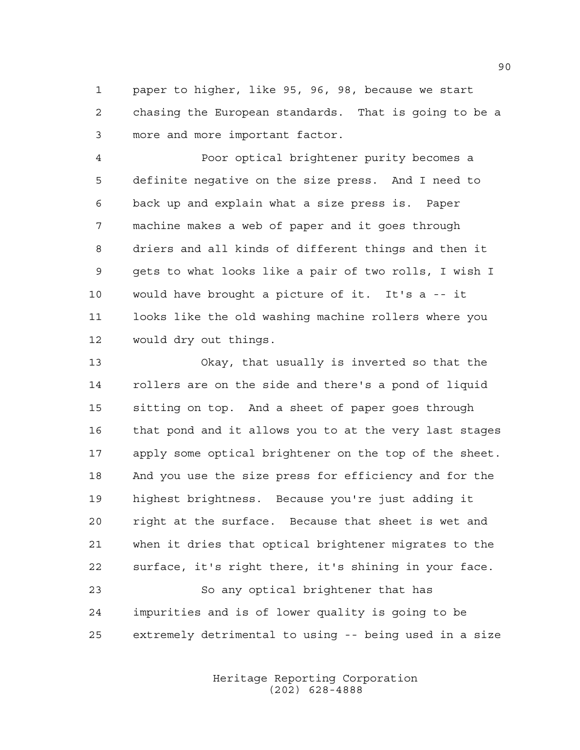paper to higher, like 95, 96, 98, because we start chasing the European standards. That is going to be a more and more important factor.

 Poor optical brightener purity becomes a definite negative on the size press. And I need to back up and explain what a size press is. Paper machine makes a web of paper and it goes through driers and all kinds of different things and then it gets to what looks like a pair of two rolls, I wish I would have brought a picture of it. It's a -- it looks like the old washing machine rollers where you would dry out things.

 Okay, that usually is inverted so that the rollers are on the side and there's a pond of liquid sitting on top. And a sheet of paper goes through that pond and it allows you to at the very last stages apply some optical brightener on the top of the sheet. And you use the size press for efficiency and for the highest brightness. Because you're just adding it right at the surface. Because that sheet is wet and when it dries that optical brightener migrates to the surface, it's right there, it's shining in your face. So any optical brightener that has impurities and is of lower quality is going to be

extremely detrimental to using -- being used in a size

Heritage Reporting Corporation (202) 628-4888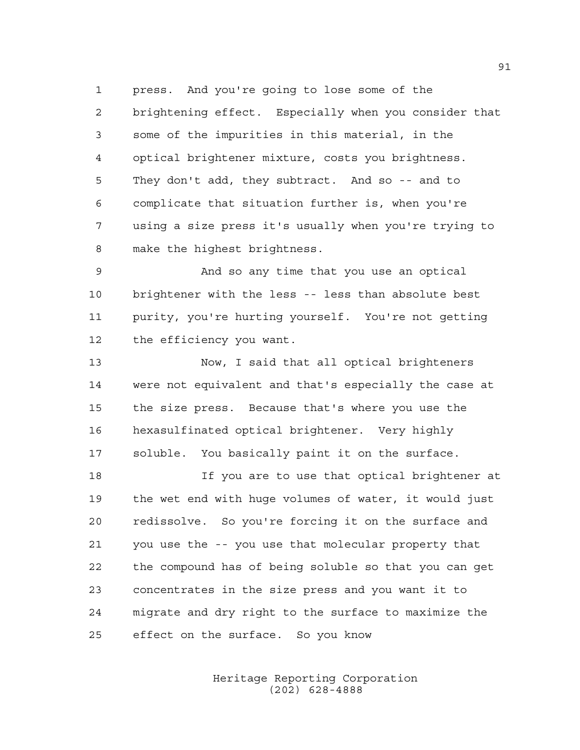press. And you're going to lose some of the brightening effect. Especially when you consider that some of the impurities in this material, in the optical brightener mixture, costs you brightness. They don't add, they subtract. And so -- and to complicate that situation further is, when you're using a size press it's usually when you're trying to make the highest brightness.

 And so any time that you use an optical brightener with the less -- less than absolute best purity, you're hurting yourself. You're not getting the efficiency you want.

 Now, I said that all optical brighteners were not equivalent and that's especially the case at the size press. Because that's where you use the hexasulfinated optical brightener. Very highly soluble. You basically paint it on the surface.

 If you are to use that optical brightener at the wet end with huge volumes of water, it would just redissolve. So you're forcing it on the surface and you use the -- you use that molecular property that the compound has of being soluble so that you can get concentrates in the size press and you want it to migrate and dry right to the surface to maximize the effect on the surface. So you know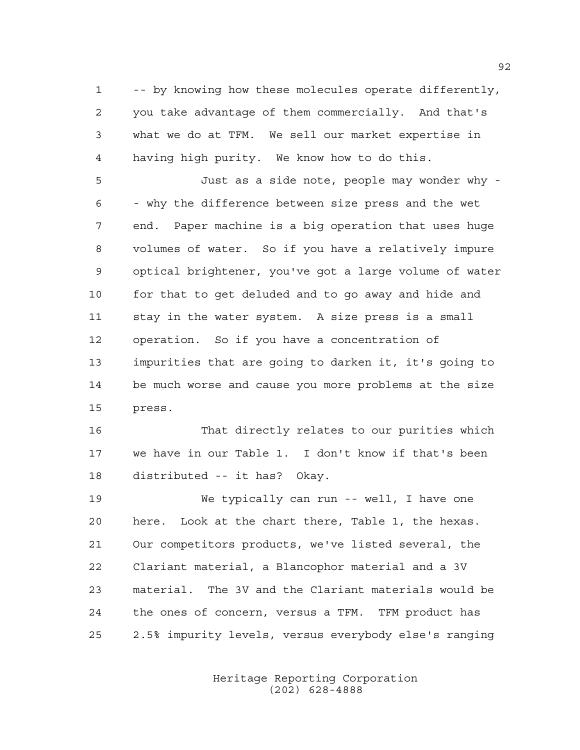-- by knowing how these molecules operate differently, you take advantage of them commercially. And that's what we do at TFM. We sell our market expertise in having high purity. We know how to do this.

 Just as a side note, people may wonder why - - why the difference between size press and the wet end. Paper machine is a big operation that uses huge volumes of water. So if you have a relatively impure optical brightener, you've got a large volume of water for that to get deluded and to go away and hide and stay in the water system. A size press is a small operation. So if you have a concentration of impurities that are going to darken it, it's going to be much worse and cause you more problems at the size press.

 That directly relates to our purities which we have in our Table 1. I don't know if that's been distributed -- it has? Okay.

 We typically can run -- well, I have one here. Look at the chart there, Table 1, the hexas. Our competitors products, we've listed several, the Clariant material, a Blancophor material and a 3V material. The 3V and the Clariant materials would be the ones of concern, versus a TFM. TFM product has 2.5% impurity levels, versus everybody else's ranging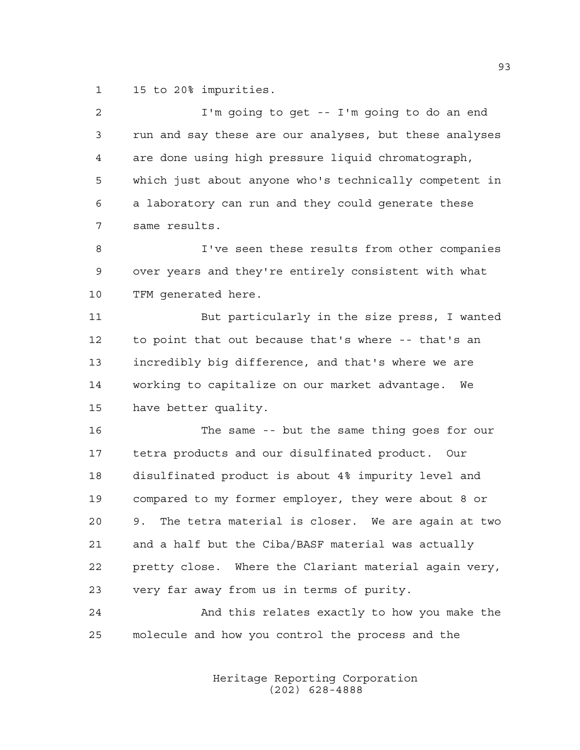15 to 20% impurities.

| $\overline{a}$ | I'm going to get -- I'm going to do an end              |
|----------------|---------------------------------------------------------|
| 3              | run and say these are our analyses, but these analyses  |
| 4              | are done using high pressure liquid chromatograph,      |
| 5              | which just about anyone who's technically competent in  |
| 6              | a laboratory can run and they could generate these      |
| 7              | same results.                                           |
| 8              | I've seen these results from other companies            |
| 9              | over years and they're entirely consistent with what    |
| 10             | TFM generated here.                                     |
| 11             | But particularly in the size press, I wanted            |
| 12             | to point that out because that's where -- that's an     |
| 13             | incredibly big difference, and that's where we are      |
| 14             | working to capitalize on our market advantage.<br>We    |
| 15             | have better quality.                                    |
| 16             | The same -- but the same thing goes for our             |
| 17             | tetra products and our disulfinated product. Our        |
| 18             | disulfinated product is about 4% impurity level and     |
| 19             | compared to my former employer, they were about 8 or    |
| 20             | The tetra material is closer. We are again at two<br>9. |
| 21             | and a half but the Ciba/BASF material was actually      |
| 22             | pretty close. Where the Clariant material again very,   |
| 23             | very far away from us in terms of purity.               |
| 24             | And this relates exactly to how you make the            |
| 25             | molecule and how you control the process and the        |
|                |                                                         |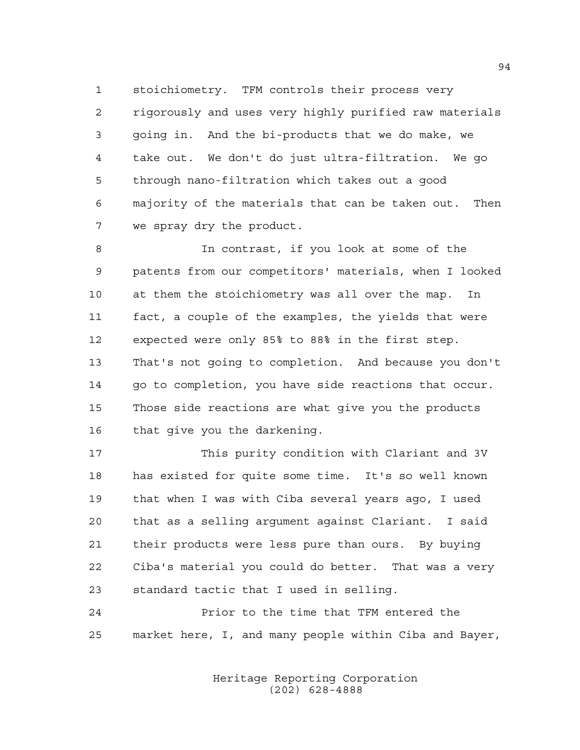stoichiometry. TFM controls their process very rigorously and uses very highly purified raw materials going in. And the bi-products that we do make, we take out. We don't do just ultra-filtration. We go through nano-filtration which takes out a good majority of the materials that can be taken out. Then we spray dry the product.

 In contrast, if you look at some of the patents from our competitors' materials, when I looked at them the stoichiometry was all over the map. In fact, a couple of the examples, the yields that were expected were only 85% to 88% in the first step. That's not going to completion. And because you don't 14 qo to completion, you have side reactions that occur. Those side reactions are what give you the products that give you the darkening.

 This purity condition with Clariant and 3V has existed for quite some time. It's so well known that when I was with Ciba several years ago, I used that as a selling argument against Clariant. I said their products were less pure than ours. By buying Ciba's material you could do better. That was a very standard tactic that I used in selling.

 Prior to the time that TFM entered the market here, I, and many people within Ciba and Bayer,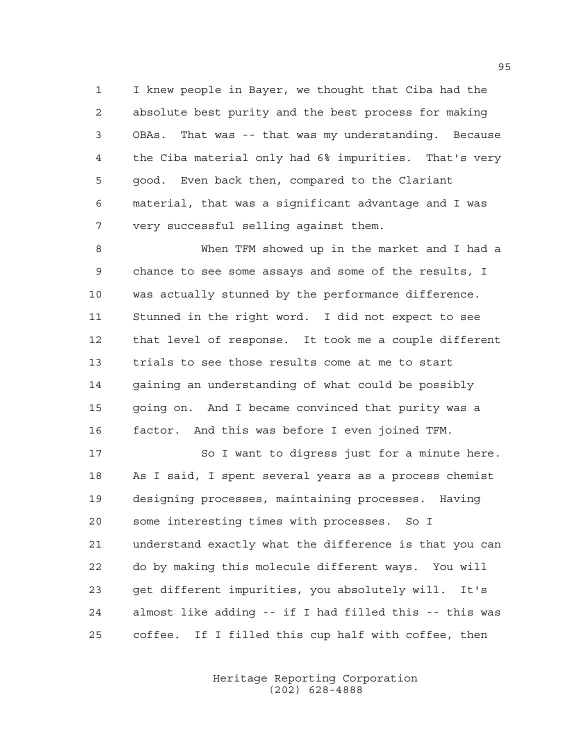I knew people in Bayer, we thought that Ciba had the absolute best purity and the best process for making OBAs. That was -- that was my understanding. Because the Ciba material only had 6% impurities. That's very good. Even back then, compared to the Clariant material, that was a significant advantage and I was very successful selling against them.

 When TFM showed up in the market and I had a chance to see some assays and some of the results, I was actually stunned by the performance difference. Stunned in the right word. I did not expect to see that level of response. It took me a couple different trials to see those results come at me to start gaining an understanding of what could be possibly going on. And I became convinced that purity was a factor. And this was before I even joined TFM.

17 So I want to digress just for a minute here. As I said, I spent several years as a process chemist designing processes, maintaining processes. Having some interesting times with processes. So I understand exactly what the difference is that you can do by making this molecule different ways. You will get different impurities, you absolutely will. It's almost like adding -- if I had filled this -- this was coffee. If I filled this cup half with coffee, then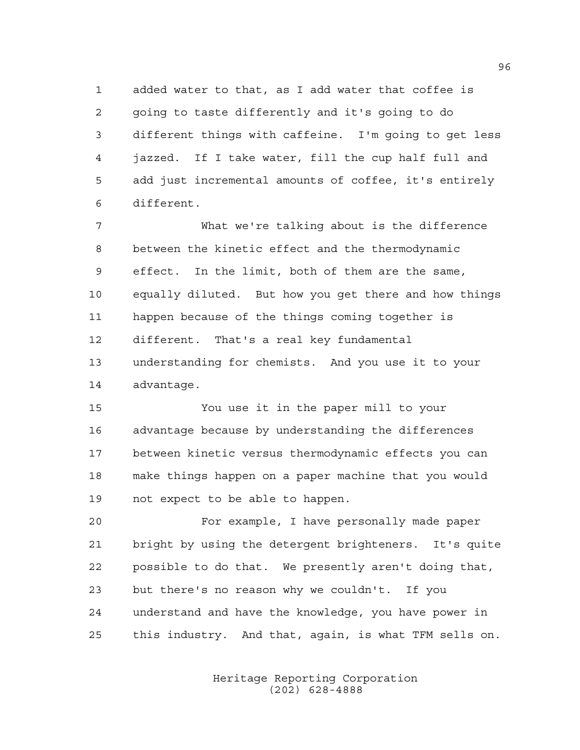added water to that, as I add water that coffee is going to taste differently and it's going to do different things with caffeine. I'm going to get less jazzed. If I take water, fill the cup half full and add just incremental amounts of coffee, it's entirely different.

 What we're talking about is the difference between the kinetic effect and the thermodynamic effect. In the limit, both of them are the same, equally diluted. But how you get there and how things happen because of the things coming together is different. That's a real key fundamental understanding for chemists. And you use it to your advantage.

 You use it in the paper mill to your advantage because by understanding the differences between kinetic versus thermodynamic effects you can make things happen on a paper machine that you would not expect to be able to happen.

 For example, I have personally made paper bright by using the detergent brighteners. It's quite possible to do that. We presently aren't doing that, but there's no reason why we couldn't. If you understand and have the knowledge, you have power in this industry. And that, again, is what TFM sells on.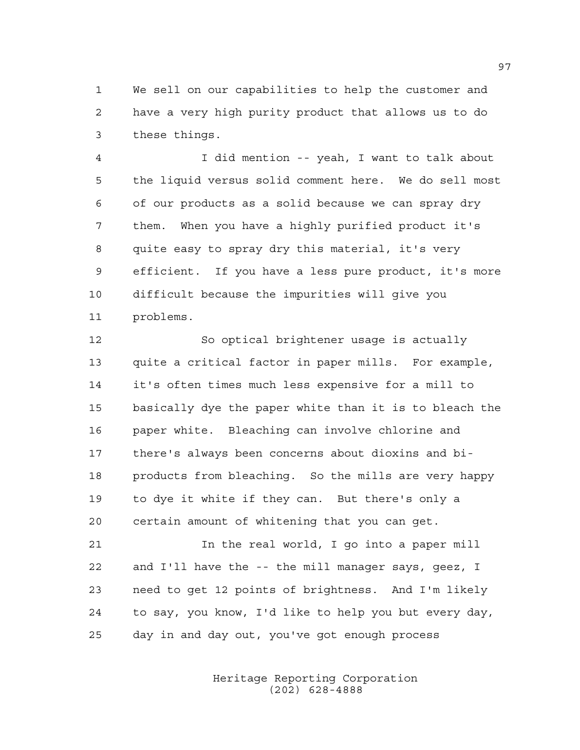We sell on our capabilities to help the customer and have a very high purity product that allows us to do these things.

 I did mention -- yeah, I want to talk about the liquid versus solid comment here. We do sell most of our products as a solid because we can spray dry them. When you have a highly purified product it's quite easy to spray dry this material, it's very efficient. If you have a less pure product, it's more difficult because the impurities will give you problems.

 So optical brightener usage is actually quite a critical factor in paper mills. For example, it's often times much less expensive for a mill to basically dye the paper white than it is to bleach the paper white. Bleaching can involve chlorine and there's always been concerns about dioxins and bi- products from bleaching. So the mills are very happy to dye it white if they can. But there's only a certain amount of whitening that you can get.

 In the real world, I go into a paper mill and I'll have the -- the mill manager says, geez, I need to get 12 points of brightness. And I'm likely to say, you know, I'd like to help you but every day, day in and day out, you've got enough process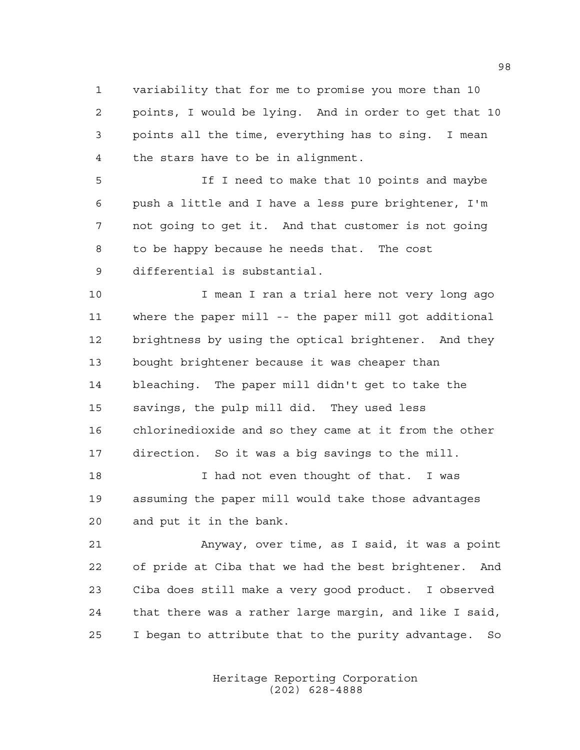variability that for me to promise you more than 10 points, I would be lying. And in order to get that 10 points all the time, everything has to sing. I mean the stars have to be in alignment.

 If I need to make that 10 points and maybe push a little and I have a less pure brightener, I'm not going to get it. And that customer is not going to be happy because he needs that. The cost differential is substantial.

 I mean I ran a trial here not very long ago where the paper mill -- the paper mill got additional brightness by using the optical brightener. And they bought brightener because it was cheaper than bleaching. The paper mill didn't get to take the savings, the pulp mill did. They used less chlorinedioxide and so they came at it from the other direction. So it was a big savings to the mill.

18 I had not even thought of that. I was assuming the paper mill would take those advantages and put it in the bank.

 Anyway, over time, as I said, it was a point of pride at Ciba that we had the best brightener. And Ciba does still make a very good product. I observed that there was a rather large margin, and like I said, I began to attribute that to the purity advantage. So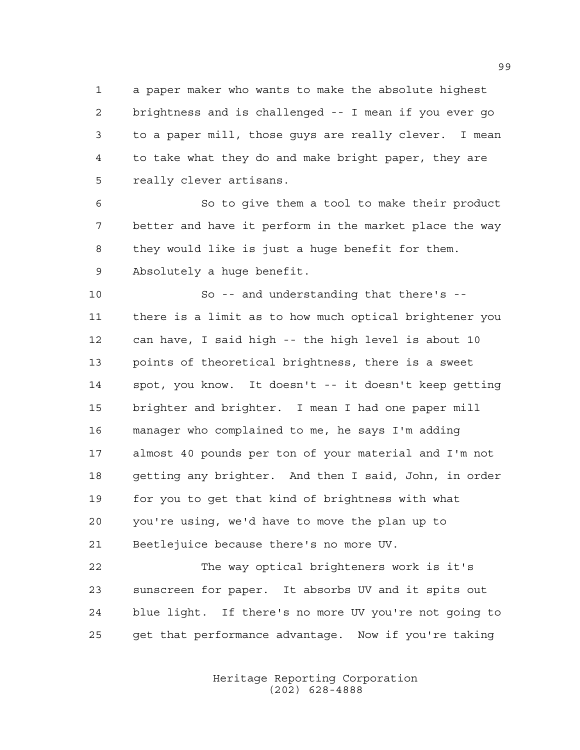a paper maker who wants to make the absolute highest brightness and is challenged -- I mean if you ever go to a paper mill, those guys are really clever. I mean to take what they do and make bright paper, they are really clever artisans.

 So to give them a tool to make their product better and have it perform in the market place the way they would like is just a huge benefit for them. Absolutely a huge benefit.

 So -- and understanding that there's -- there is a limit as to how much optical brightener you can have, I said high -- the high level is about 10 points of theoretical brightness, there is a sweet spot, you know. It doesn't -- it doesn't keep getting brighter and brighter. I mean I had one paper mill manager who complained to me, he says I'm adding almost 40 pounds per ton of your material and I'm not getting any brighter. And then I said, John, in order for you to get that kind of brightness with what you're using, we'd have to move the plan up to Beetlejuice because there's no more UV.

 The way optical brighteners work is it's sunscreen for paper. It absorbs UV and it spits out blue light. If there's no more UV you're not going to get that performance advantage. Now if you're taking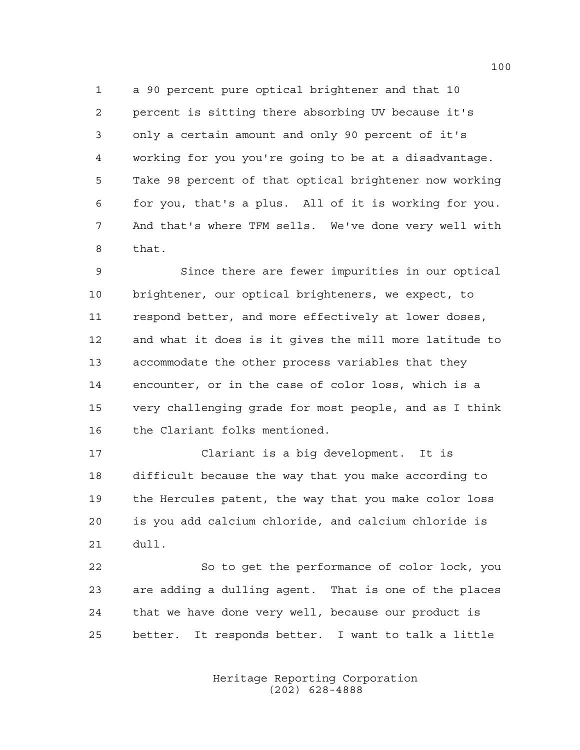a 90 percent pure optical brightener and that 10 percent is sitting there absorbing UV because it's only a certain amount and only 90 percent of it's working for you you're going to be at a disadvantage. Take 98 percent of that optical brightener now working for you, that's a plus. All of it is working for you. And that's where TFM sells. We've done very well with that.

9 Since there are fewer impurities in our optical brightener, our optical brighteners, we expect, to respond better, and more effectively at lower doses, and what it does is it gives the mill more latitude to accommodate the other process variables that they encounter, or in the case of color loss, which is a very challenging grade for most people, and as I think the Clariant folks mentioned.

 Clariant is a big development. It is difficult because the way that you make according to the Hercules patent, the way that you make color loss is you add calcium chloride, and calcium chloride is dull.

 So to get the performance of color lock, you are adding a dulling agent. That is one of the places that we have done very well, because our product is better. It responds better. I want to talk a little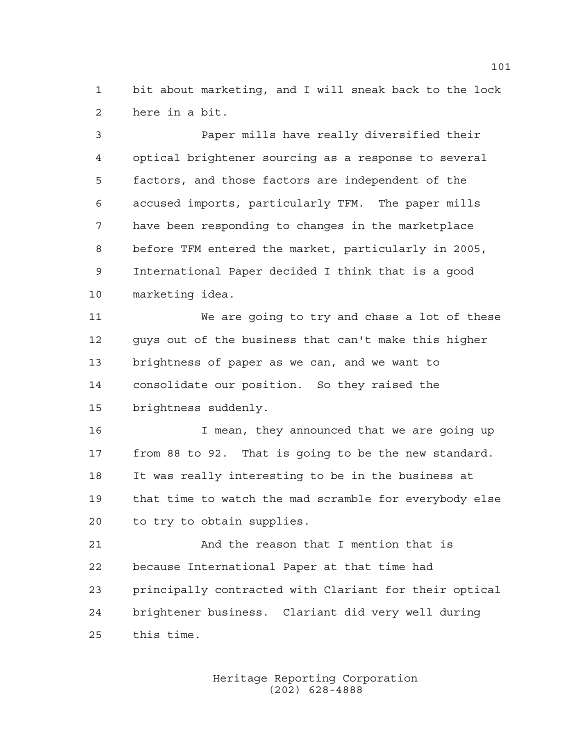bit about marketing, and I will sneak back to the lock here in a bit.

 Paper mills have really diversified their optical brightener sourcing as a response to several factors, and those factors are independent of the accused imports, particularly TFM. The paper mills have been responding to changes in the marketplace before TFM entered the market, particularly in 2005, International Paper decided I think that is a good marketing idea.

 We are going to try and chase a lot of these guys out of the business that can't make this higher brightness of paper as we can, and we want to consolidate our position. So they raised the brightness suddenly.

 I mean, they announced that we are going up from 88 to 92. That is going to be the new standard. It was really interesting to be in the business at that time to watch the mad scramble for everybody else to try to obtain supplies.

 And the reason that I mention that is because International Paper at that time had principally contracted with Clariant for their optical brightener business. Clariant did very well during this time.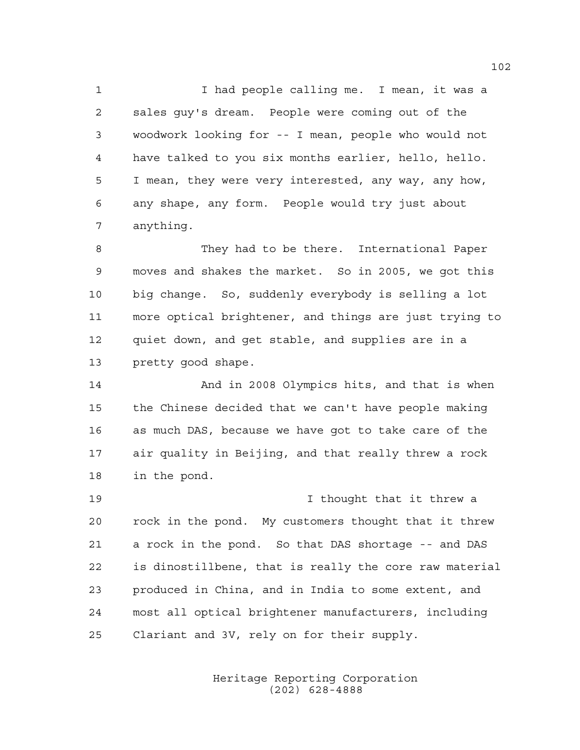1 1 I had people calling me. I mean, it was a sales guy's dream. People were coming out of the woodwork looking for -- I mean, people who would not have talked to you six months earlier, hello, hello. I mean, they were very interested, any way, any how, any shape, any form. People would try just about anything.

 They had to be there. International Paper moves and shakes the market. So in 2005, we got this big change. So, suddenly everybody is selling a lot more optical brightener, and things are just trying to quiet down, and get stable, and supplies are in a pretty good shape.

 And in 2008 Olympics hits, and that is when the Chinese decided that we can't have people making as much DAS, because we have got to take care of the air quality in Beijing, and that really threw a rock in the pond.

 I thought that it threw a rock in the pond. My customers thought that it threw a rock in the pond. So that DAS shortage -- and DAS is dinostillbene, that is really the core raw material produced in China, and in India to some extent, and most all optical brightener manufacturers, including Clariant and 3V, rely on for their supply.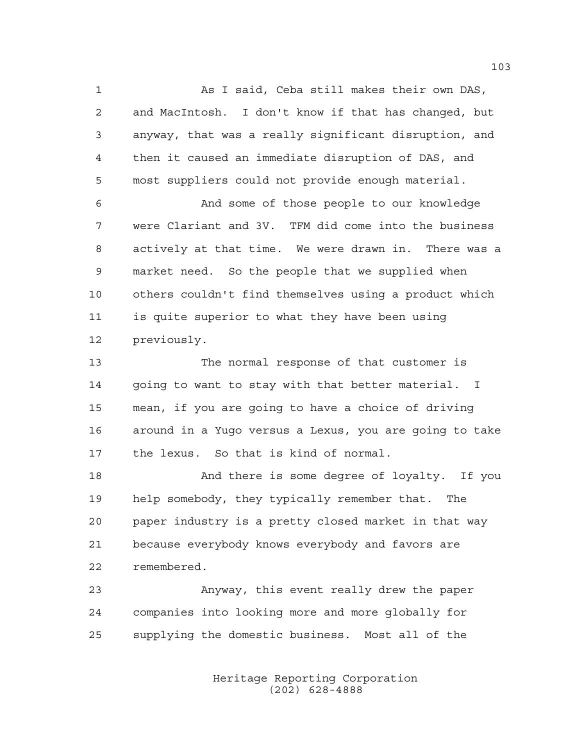As I said, Ceba still makes their own DAS, and MacIntosh. I don't know if that has changed, but anyway, that was a really significant disruption, and then it caused an immediate disruption of DAS, and most suppliers could not provide enough material.

 And some of those people to our knowledge were Clariant and 3V. TFM did come into the business actively at that time. We were drawn in. There was a market need. So the people that we supplied when others couldn't find themselves using a product which is quite superior to what they have been using previously.

 The normal response of that customer is going to want to stay with that better material. I mean, if you are going to have a choice of driving around in a Yugo versus a Lexus, you are going to take the lexus. So that is kind of normal.

 And there is some degree of loyalty. If you help somebody, they typically remember that. The paper industry is a pretty closed market in that way because everybody knows everybody and favors are remembered.

 Anyway, this event really drew the paper companies into looking more and more globally for supplying the domestic business. Most all of the

> Heritage Reporting Corporation (202) 628-4888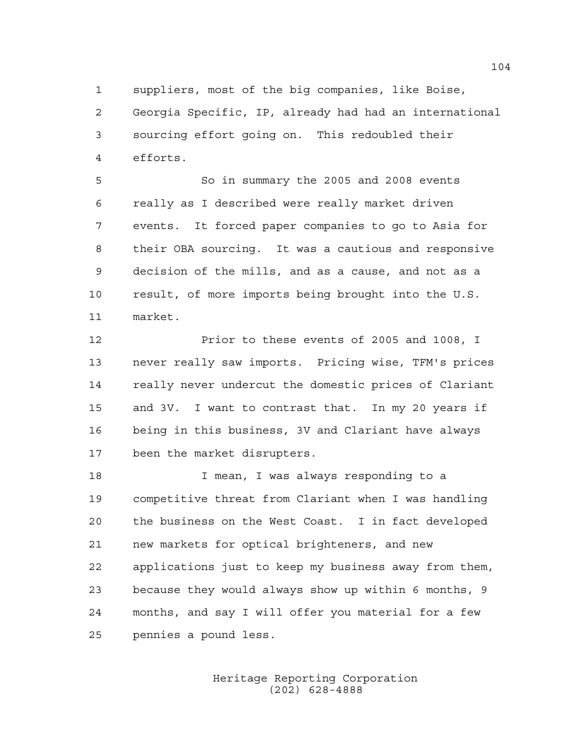suppliers, most of the big companies, like Boise, Georgia Specific, IP, already had had an international sourcing effort going on. This redoubled their efforts.

 So in summary the 2005 and 2008 events really as I described were really market driven events. It forced paper companies to go to Asia for their OBA sourcing. It was a cautious and responsive decision of the mills, and as a cause, and not as a result, of more imports being brought into the U.S. market.

 Prior to these events of 2005 and 1008, I never really saw imports. Pricing wise, TFM's prices really never undercut the domestic prices of Clariant and 3V. I want to contrast that. In my 20 years if being in this business, 3V and Clariant have always been the market disrupters.

 I mean, I was always responding to a competitive threat from Clariant when I was handling the business on the West Coast. I in fact developed new markets for optical brighteners, and new applications just to keep my business away from them, because they would always show up within 6 months, 9 months, and say I will offer you material for a few pennies a pound less.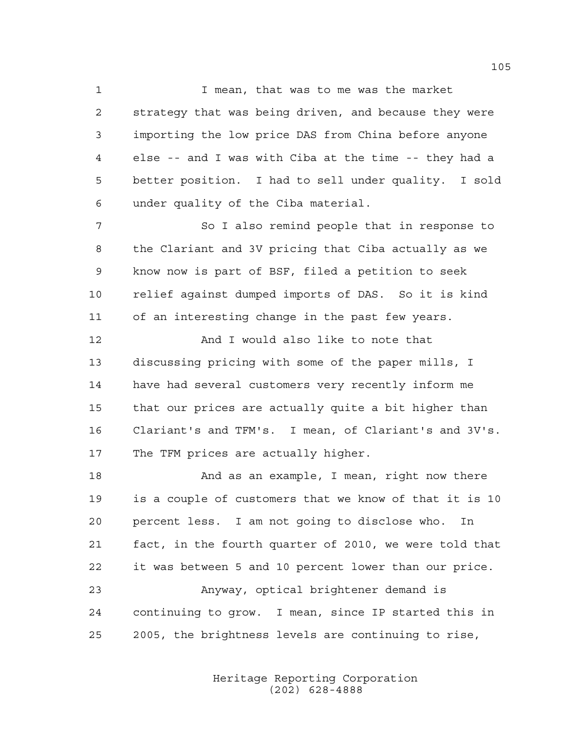I mean, that was to me was the market strategy that was being driven, and because they were importing the low price DAS from China before anyone else -- and I was with Ciba at the time -- they had a better position. I had to sell under quality. I sold under quality of the Ciba material.

 So I also remind people that in response to the Clariant and 3V pricing that Ciba actually as we know now is part of BSF, filed a petition to seek relief against dumped imports of DAS. So it is kind of an interesting change in the past few years.

 And I would also like to note that discussing pricing with some of the paper mills, I have had several customers very recently inform me that our prices are actually quite a bit higher than Clariant's and TFM's. I mean, of Clariant's and 3V's. The TFM prices are actually higher.

18 And as an example, I mean, right now there is a couple of customers that we know of that it is 10 percent less. I am not going to disclose who. In fact, in the fourth quarter of 2010, we were told that it was between 5 and 10 percent lower than our price. Anyway, optical brightener demand is continuing to grow. I mean, since IP started this in 2005, the brightness levels are continuing to rise,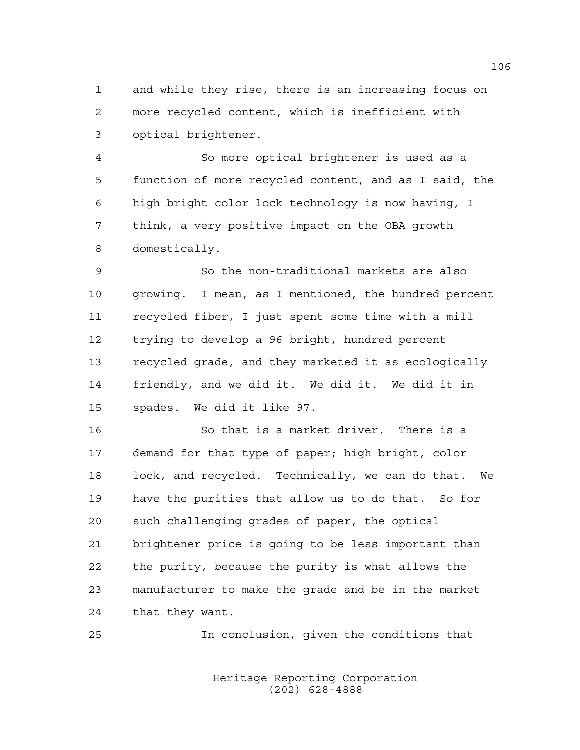and while they rise, there is an increasing focus on more recycled content, which is inefficient with optical brightener.

 So more optical brightener is used as a function of more recycled content, and as I said, the high bright color lock technology is now having, I think, a very positive impact on the OBA growth domestically.

 So the non-traditional markets are also growing. I mean, as I mentioned, the hundred percent recycled fiber, I just spent some time with a mill trying to develop a 96 bright, hundred percent recycled grade, and they marketed it as ecologically friendly, and we did it. We did it. We did it in spades. We did it like 97.

 So that is a market driver. There is a demand for that type of paper; high bright, color lock, and recycled. Technically, we can do that. We have the purities that allow us to do that. So for such challenging grades of paper, the optical brightener price is going to be less important than the purity, because the purity is what allows the manufacturer to make the grade and be in the market that they want.

In conclusion, given the conditions that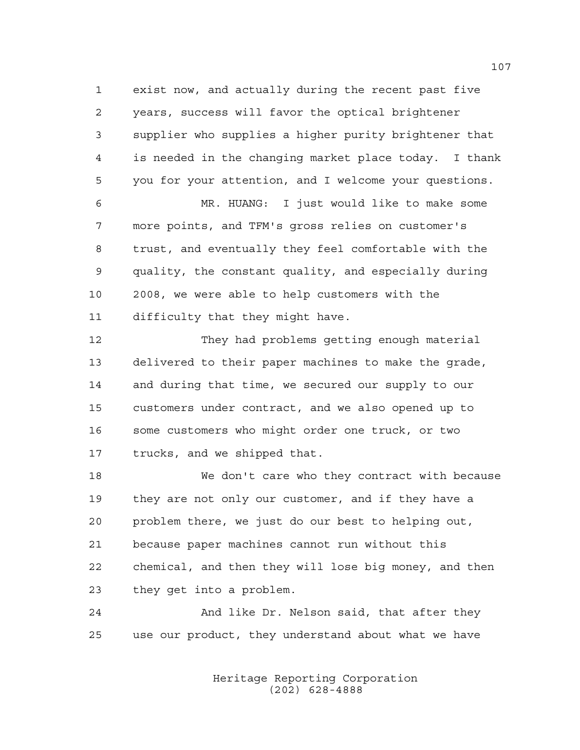exist now, and actually during the recent past five years, success will favor the optical brightener supplier who supplies a higher purity brightener that is needed in the changing market place today. I thank you for your attention, and I welcome your questions.

 MR. HUANG: I just would like to make some more points, and TFM's gross relies on customer's trust, and eventually they feel comfortable with the quality, the constant quality, and especially during 2008, we were able to help customers with the difficulty that they might have.

 They had problems getting enough material delivered to their paper machines to make the grade, and during that time, we secured our supply to our customers under contract, and we also opened up to some customers who might order one truck, or two trucks, and we shipped that.

 We don't care who they contract with because they are not only our customer, and if they have a problem there, we just do our best to helping out, because paper machines cannot run without this chemical, and then they will lose big money, and then they get into a problem.

 And like Dr. Nelson said, that after they use our product, they understand about what we have

> Heritage Reporting Corporation (202) 628-4888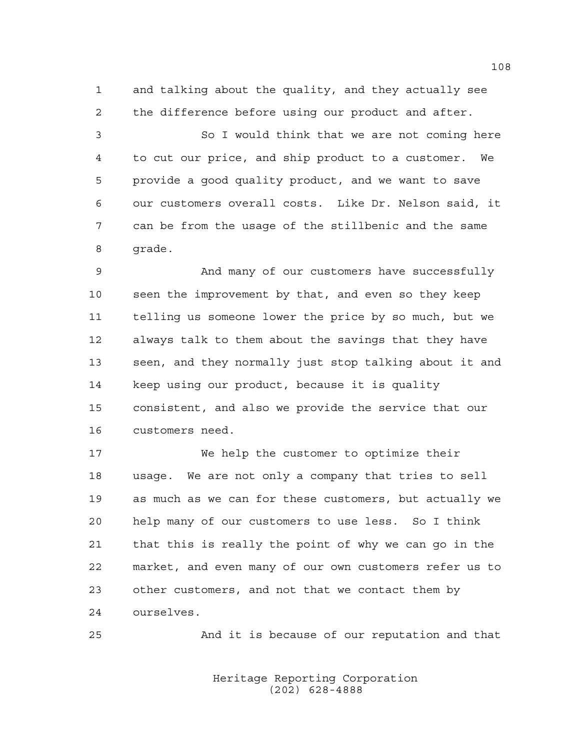and talking about the quality, and they actually see the difference before using our product and after.

 So I would think that we are not coming here to cut our price, and ship product to a customer. We provide a good quality product, and we want to save our customers overall costs. Like Dr. Nelson said, it can be from the usage of the stillbenic and the same grade.

 And many of our customers have successfully seen the improvement by that, and even so they keep telling us someone lower the price by so much, but we always talk to them about the savings that they have seen, and they normally just stop talking about it and keep using our product, because it is quality consistent, and also we provide the service that our customers need.

 We help the customer to optimize their usage. We are not only a company that tries to sell as much as we can for these customers, but actually we help many of our customers to use less. So I think that this is really the point of why we can go in the market, and even many of our own customers refer us to other customers, and not that we contact them by ourselves.

And it is because of our reputation and that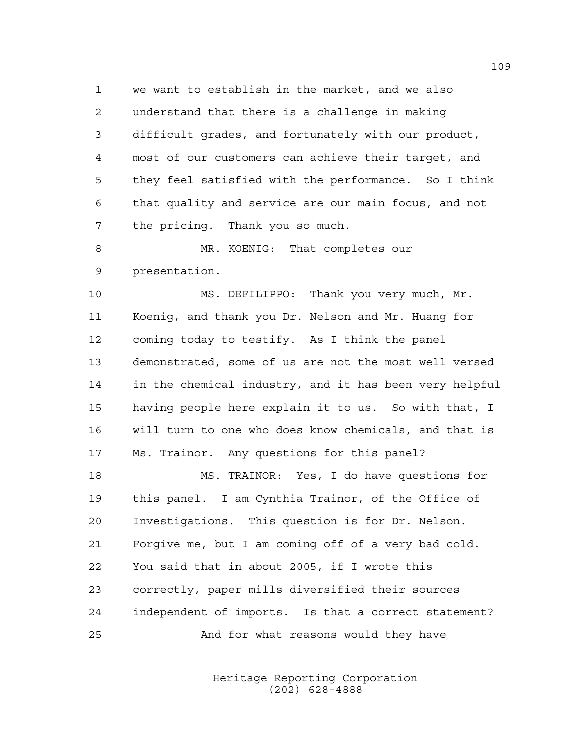we want to establish in the market, and we also understand that there is a challenge in making difficult grades, and fortunately with our product, most of our customers can achieve their target, and they feel satisfied with the performance. So I think that quality and service are our main focus, and not the pricing. Thank you so much.

8 MR. KOENIG: That completes our presentation.

 MS. DEFILIPPO: Thank you very much, Mr. Koenig, and thank you Dr. Nelson and Mr. Huang for coming today to testify. As I think the panel demonstrated, some of us are not the most well versed in the chemical industry, and it has been very helpful having people here explain it to us. So with that, I will turn to one who does know chemicals, and that is Ms. Trainor. Any questions for this panel? MS. TRAINOR: Yes, I do have questions for

 this panel. I am Cynthia Trainor, of the Office of Investigations. This question is for Dr. Nelson. Forgive me, but I am coming off of a very bad cold. You said that in about 2005, if I wrote this correctly, paper mills diversified their sources independent of imports. Is that a correct statement? And for what reasons would they have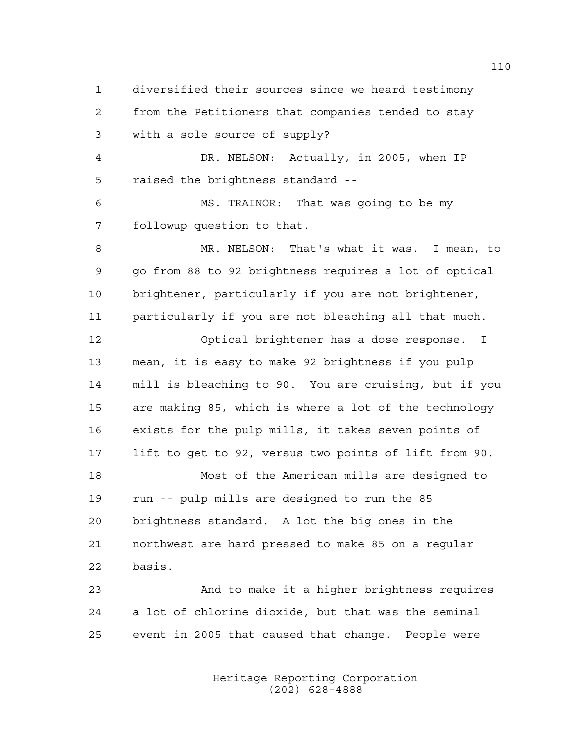diversified their sources since we heard testimony from the Petitioners that companies tended to stay with a sole source of supply? DR. NELSON: Actually, in 2005, when IP raised the brightness standard -- MS. TRAINOR: That was going to be my followup question to that. 8 MR. NELSON: That's what it was. I mean, to go from 88 to 92 brightness requires a lot of optical brightener, particularly if you are not brightener, particularly if you are not bleaching all that much. Optical brightener has a dose response. I mean, it is easy to make 92 brightness if you pulp mill is bleaching to 90. You are cruising, but if you are making 85, which is where a lot of the technology exists for the pulp mills, it takes seven points of lift to get to 92, versus two points of lift from 90. Most of the American mills are designed to run -- pulp mills are designed to run the 85 brightness standard. A lot the big ones in the northwest are hard pressed to make 85 on a regular basis. And to make it a higher brightness requires a lot of chlorine dioxide, but that was the seminal event in 2005 that caused that change. People were

> Heritage Reporting Corporation (202) 628-4888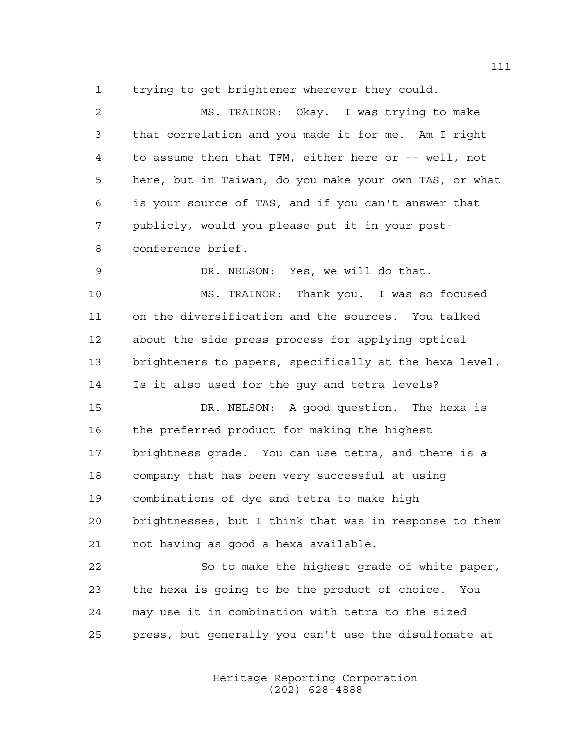trying to get brightener wherever they could.

 MS. TRAINOR: Okay. I was trying to make that correlation and you made it for me. Am I right to assume then that TFM, either here or -- well, not here, but in Taiwan, do you make your own TAS, or what is your source of TAS, and if you can't answer that publicly, would you please put it in your post- conference brief. DR. NELSON: Yes, we will do that. MS. TRAINOR: Thank you. I was so focused on the diversification and the sources. You talked about the side press process for applying optical brighteners to papers, specifically at the hexa level. Is it also used for the guy and tetra levels? DR. NELSON: A good question. The hexa is the preferred product for making the highest brightness grade. You can use tetra, and there is a company that has been very successful at using combinations of dye and tetra to make high brightnesses, but I think that was in response to them not having as good a hexa available. So to make the highest grade of white paper, the hexa is going to be the product of choice. You may use it in combination with tetra to the sized

press, but generally you can't use the disulfonate at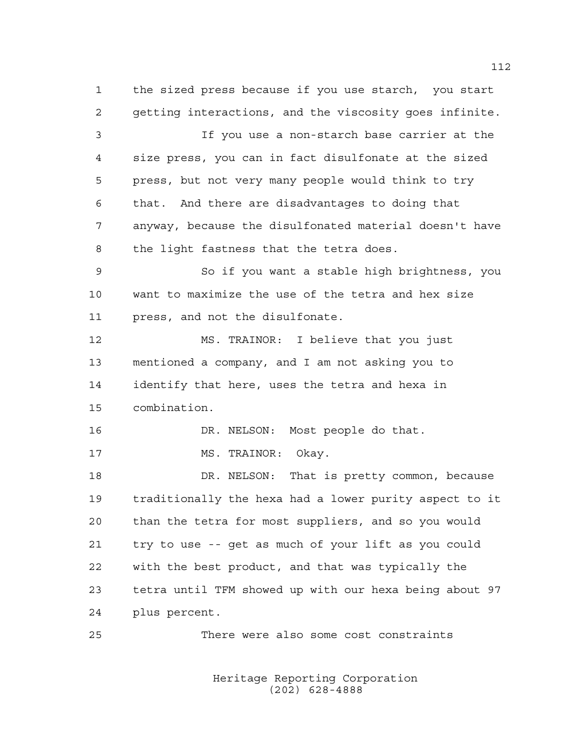the sized press because if you use starch, you start getting interactions, and the viscosity goes infinite. If you use a non-starch base carrier at the size press, you can in fact disulfonate at the sized press, but not very many people would think to try that. And there are disadvantages to doing that anyway, because the disulfonated material doesn't have the light fastness that the tetra does. So if you want a stable high brightness, you want to maximize the use of the tetra and hex size press, and not the disulfonate. MS. TRAINOR: I believe that you just mentioned a company, and I am not asking you to identify that here, uses the tetra and hexa in combination. DR. NELSON: Most people do that. 17 MS. TRAINOR: Okay. 18 DR. NELSON: That is pretty common, because traditionally the hexa had a lower purity aspect to it than the tetra for most suppliers, and so you would try to use -- get as much of your lift as you could with the best product, and that was typically the tetra until TFM showed up with our hexa being about 97 plus percent.

There were also some cost constraints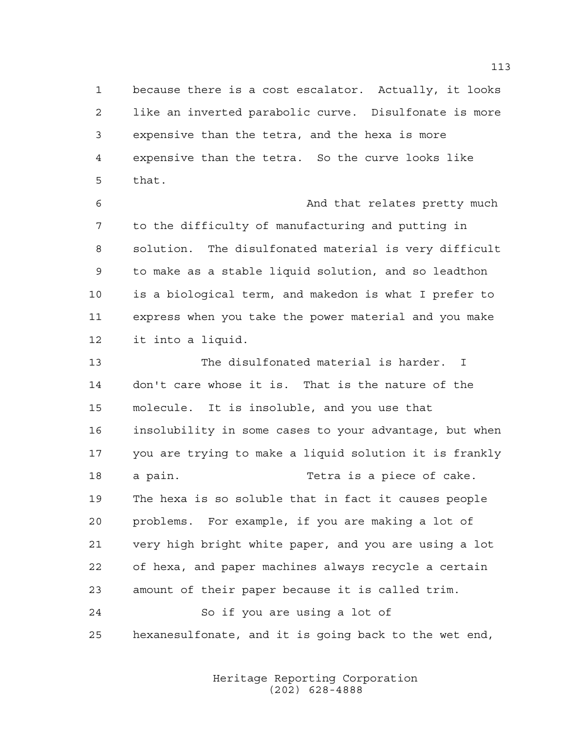because there is a cost escalator. Actually, it looks like an inverted parabolic curve. Disulfonate is more expensive than the tetra, and the hexa is more expensive than the tetra. So the curve looks like that.

6 And that relates pretty much to the difficulty of manufacturing and putting in solution. The disulfonated material is very difficult to make as a stable liquid solution, and so leadthon is a biological term, and makedon is what I prefer to express when you take the power material and you make it into a liquid.

 The disulfonated material is harder. I don't care whose it is. That is the nature of the molecule. It is insoluble, and you use that insolubility in some cases to your advantage, but when you are trying to make a liquid solution it is frankly a pain. Tetra is a piece of cake. The hexa is so soluble that in fact it causes people problems. For example, if you are making a lot of very high bright white paper, and you are using a lot of hexa, and paper machines always recycle a certain amount of their paper because it is called trim. So if you are using a lot of hexanesulfonate, and it is going back to the wet end,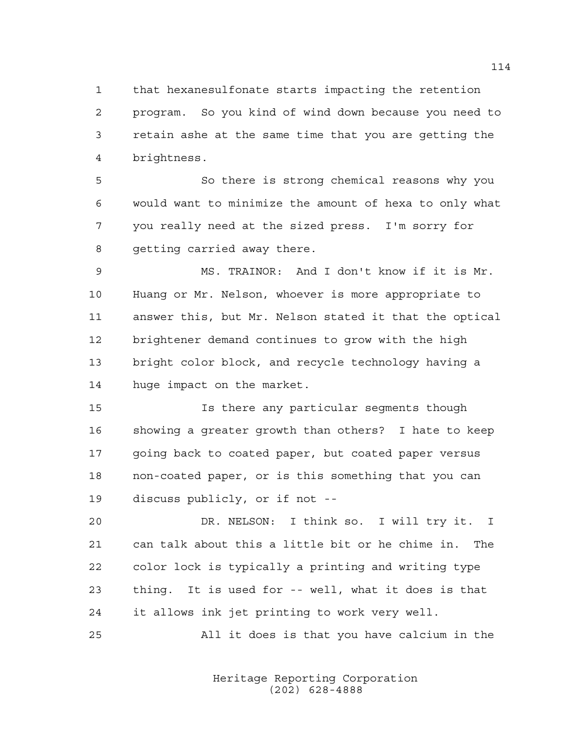that hexanesulfonate starts impacting the retention program. So you kind of wind down because you need to retain ashe at the same time that you are getting the brightness.

 So there is strong chemical reasons why you would want to minimize the amount of hexa to only what you really need at the sized press. I'm sorry for getting carried away there.

 MS. TRAINOR: And I don't know if it is Mr. Huang or Mr. Nelson, whoever is more appropriate to answer this, but Mr. Nelson stated it that the optical brightener demand continues to grow with the high bright color block, and recycle technology having a huge impact on the market.

 Is there any particular segments though showing a greater growth than others? I hate to keep going back to coated paper, but coated paper versus non-coated paper, or is this something that you can discuss publicly, or if not --

 DR. NELSON: I think so. I will try it. I can talk about this a little bit or he chime in. The color lock is typically a printing and writing type thing. It is used for -- well, what it does is that it allows ink jet printing to work very well.

All it does is that you have calcium in the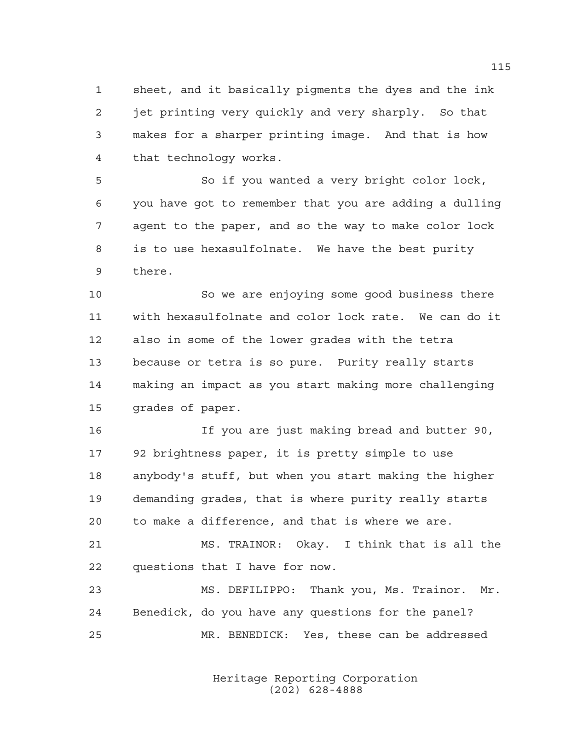sheet, and it basically pigments the dyes and the ink jet printing very quickly and very sharply. So that makes for a sharper printing image. And that is how that technology works.

 So if you wanted a very bright color lock, you have got to remember that you are adding a dulling agent to the paper, and so the way to make color lock is to use hexasulfolnate. We have the best purity there.

 So we are enjoying some good business there with hexasulfolnate and color lock rate. We can do it also in some of the lower grades with the tetra because or tetra is so pure. Purity really starts making an impact as you start making more challenging grades of paper.

 If you are just making bread and butter 90, 92 brightness paper, it is pretty simple to use anybody's stuff, but when you start making the higher demanding grades, that is where purity really starts to make a difference, and that is where we are.

 MS. TRAINOR: Okay. I think that is all the questions that I have for now.

 MS. DEFILIPPO: Thank you, Ms. Trainor. Mr. Benedick, do you have any questions for the panel? MR. BENEDICK: Yes, these can be addressed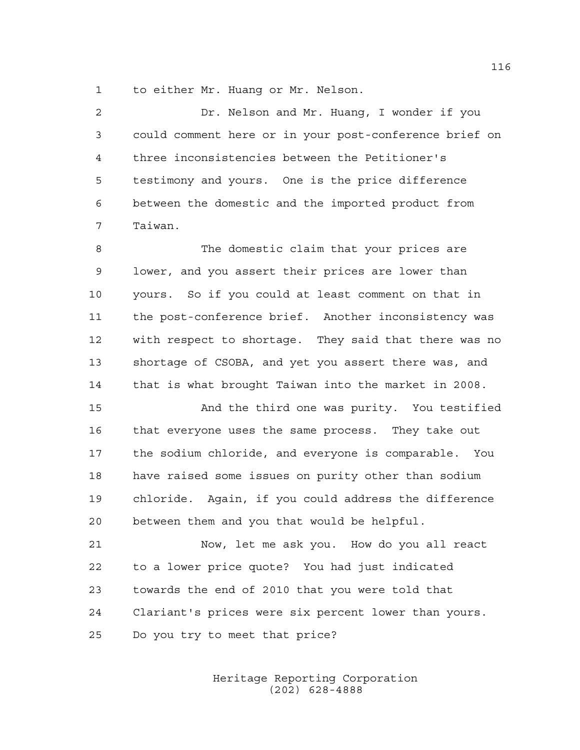to either Mr. Huang or Mr. Nelson.

 Dr. Nelson and Mr. Huang, I wonder if you could comment here or in your post-conference brief on three inconsistencies between the Petitioner's testimony and yours. One is the price difference between the domestic and the imported product from Taiwan.

 The domestic claim that your prices are lower, and you assert their prices are lower than yours. So if you could at least comment on that in the post-conference brief. Another inconsistency was with respect to shortage. They said that there was no shortage of CSOBA, and yet you assert there was, and that is what brought Taiwan into the market in 2008.

 And the third one was purity. You testified that everyone uses the same process. They take out the sodium chloride, and everyone is comparable. You have raised some issues on purity other than sodium chloride. Again, if you could address the difference between them and you that would be helpful.

 Now, let me ask you. How do you all react to a lower price quote? You had just indicated towards the end of 2010 that you were told that Clariant's prices were six percent lower than yours. Do you try to meet that price?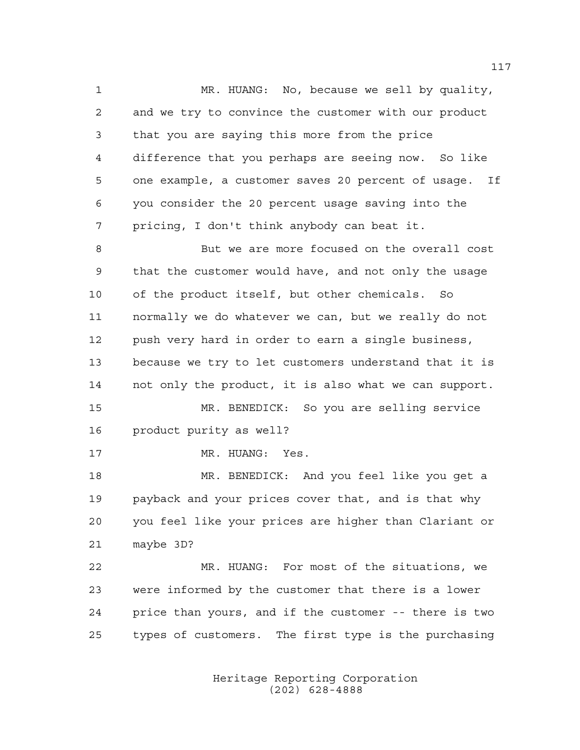MR. HUANG: No, because we sell by quality, and we try to convince the customer with our product that you are saying this more from the price difference that you perhaps are seeing now. So like one example, a customer saves 20 percent of usage. If you consider the 20 percent usage saving into the pricing, I don't think anybody can beat it.

 But we are more focused on the overall cost that the customer would have, and not only the usage of the product itself, but other chemicals. So normally we do whatever we can, but we really do not push very hard in order to earn a single business, because we try to let customers understand that it is not only the product, it is also what we can support.

 MR. BENEDICK: So you are selling service product purity as well?

17 MR. HUANG: Yes.

 MR. BENEDICK: And you feel like you get a payback and your prices cover that, and is that why you feel like your prices are higher than Clariant or maybe 3D?

 MR. HUANG: For most of the situations, we were informed by the customer that there is a lower price than yours, and if the customer -- there is two types of customers. The first type is the purchasing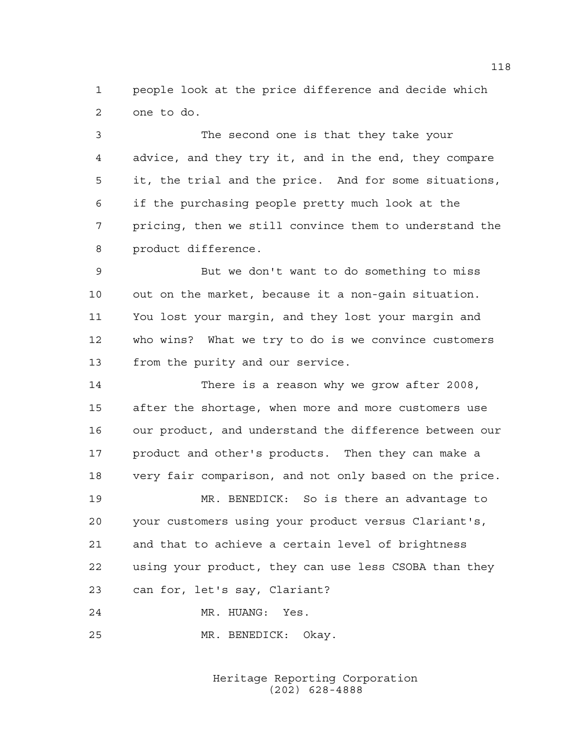people look at the price difference and decide which one to do.

 The second one is that they take your advice, and they try it, and in the end, they compare it, the trial and the price. And for some situations, if the purchasing people pretty much look at the pricing, then we still convince them to understand the product difference.

 But we don't want to do something to miss out on the market, because it a non-gain situation. You lost your margin, and they lost your margin and who wins? What we try to do is we convince customers from the purity and our service.

 There is a reason why we grow after 2008, after the shortage, when more and more customers use our product, and understand the difference between our product and other's products. Then they can make a very fair comparison, and not only based on the price.

 MR. BENEDICK: So is there an advantage to your customers using your product versus Clariant's, and that to achieve a certain level of brightness using your product, they can use less CSOBA than they can for, let's say, Clariant?

MR. HUANG: Yes.

MR. BENEDICK: Okay.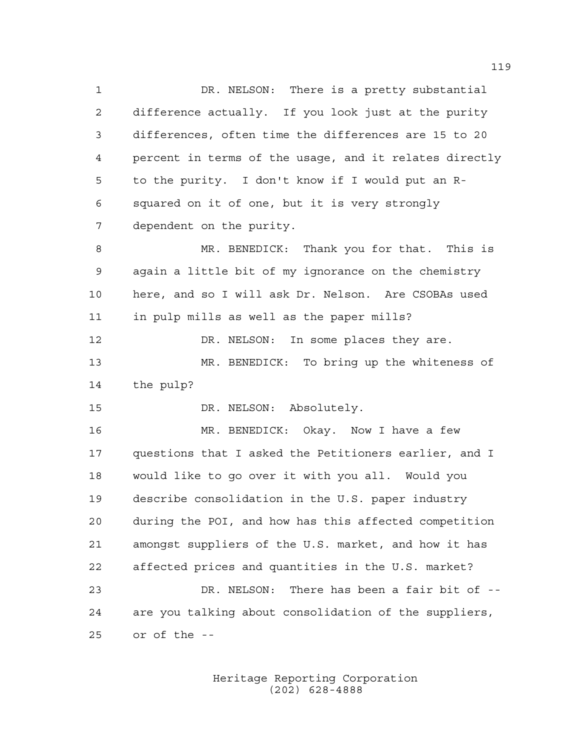1 DR. NELSON: There is a pretty substantial difference actually. If you look just at the purity differences, often time the differences are 15 to 20 percent in terms of the usage, and it relates directly to the purity. I don't know if I would put an R- squared on it of one, but it is very strongly dependent on the purity. MR. BENEDICK: Thank you for that. This is again a little bit of my ignorance on the chemistry here, and so I will ask Dr. Nelson. Are CSOBAs used in pulp mills as well as the paper mills? 12 DR. NELSON: In some places they are. MR. BENEDICK: To bring up the whiteness of the pulp? DR. NELSON: Absolutely. MR. BENEDICK: Okay. Now I have a few questions that I asked the Petitioners earlier, and I would like to go over it with you all. Would you describe consolidation in the U.S. paper industry during the POI, and how has this affected competition amongst suppliers of the U.S. market, and how it has affected prices and quantities in the U.S. market?

 DR. NELSON: There has been a fair bit of -- are you talking about consolidation of the suppliers, or of the --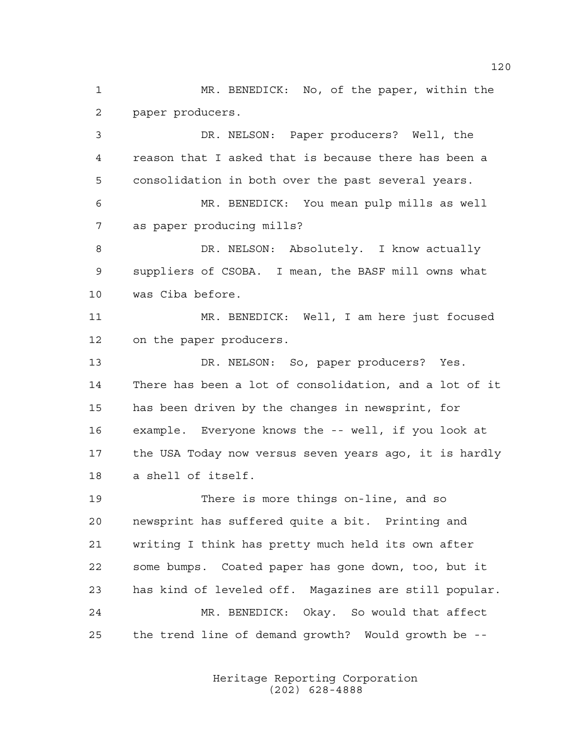MR. BENEDICK: No, of the paper, within the paper producers.

 DR. NELSON: Paper producers? Well, the reason that I asked that is because there has been a consolidation in both over the past several years. MR. BENEDICK: You mean pulp mills as well as paper producing mills? DR. NELSON: Absolutely. I know actually suppliers of CSOBA. I mean, the BASF mill owns what was Ciba before. MR. BENEDICK: Well, I am here just focused on the paper producers. DR. NELSON: So, paper producers? Yes. There has been a lot of consolidation, and a lot of it has been driven by the changes in newsprint, for example. Everyone knows the -- well, if you look at the USA Today now versus seven years ago, it is hardly a shell of itself. There is more things on-line, and so newsprint has suffered quite a bit. Printing and writing I think has pretty much held its own after some bumps. Coated paper has gone down, too, but it

 MR. BENEDICK: Okay. So would that affect the trend line of demand growth? Would growth be --

has kind of leveled off. Magazines are still popular.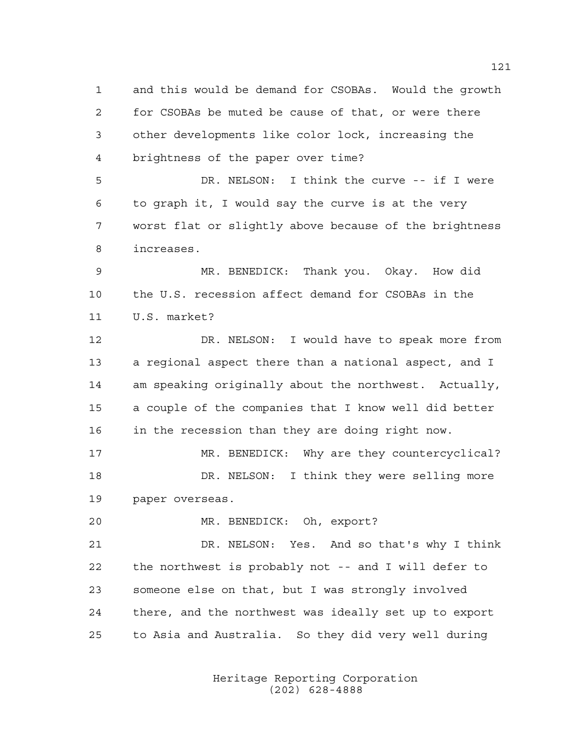and this would be demand for CSOBAs. Would the growth for CSOBAs be muted be cause of that, or were there other developments like color lock, increasing the brightness of the paper over time? DR. NELSON: I think the curve -- if I were to graph it, I would say the curve is at the very worst flat or slightly above because of the brightness increases. MR. BENEDICK: Thank you. Okay. How did the U.S. recession affect demand for CSOBAs in the U.S. market? DR. NELSON: I would have to speak more from a regional aspect there than a national aspect, and I am speaking originally about the northwest. Actually, a couple of the companies that I know well did better in the recession than they are doing right now.

17 MR. BENEDICK: Why are they countercyclical? DR. NELSON: I think they were selling more paper overseas.

MR. BENEDICK: Oh, export?

 DR. NELSON: Yes. And so that's why I think the northwest is probably not -- and I will defer to someone else on that, but I was strongly involved there, and the northwest was ideally set up to export to Asia and Australia. So they did very well during

> Heritage Reporting Corporation (202) 628-4888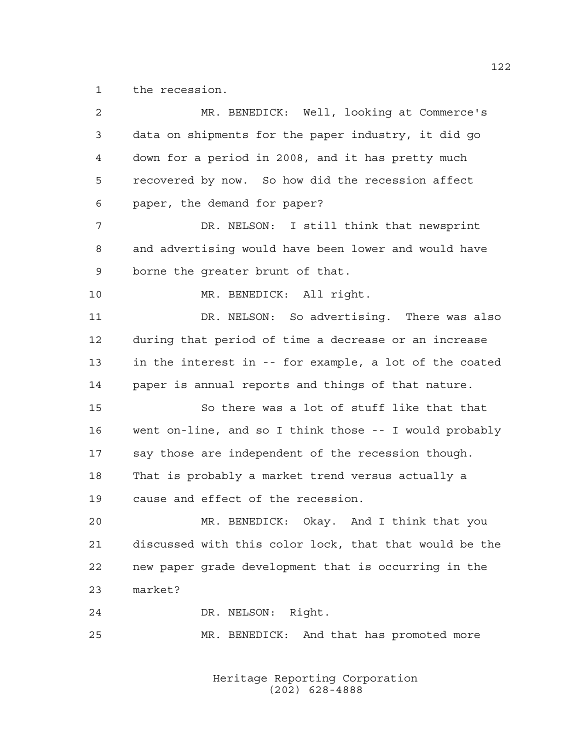the recession.

| 2  | MR. BENEDICK: Well, looking at Commerce's              |
|----|--------------------------------------------------------|
| 3  | data on shipments for the paper industry, it did go    |
| 4  | down for a period in 2008, and it has pretty much      |
| 5  | recovered by now. So how did the recession affect      |
| 6  | paper, the demand for paper?                           |
| 7  | DR. NELSON: I still think that newsprint               |
| 8  | and advertising would have been lower and would have   |
| 9  | borne the greater brunt of that.                       |
| 10 | MR. BENEDICK: All right.                               |
| 11 | DR. NELSON: So advertising. There was also             |
| 12 | during that period of time a decrease or an increase   |
| 13 | in the interest in -- for example, a lot of the coated |
| 14 | paper is annual reports and things of that nature.     |
| 15 | So there was a lot of stuff like that that             |
| 16 | went on-line, and so I think those -- I would probably |
| 17 | say those are independent of the recession though.     |
| 18 | That is probably a market trend versus actually a      |
| 19 | cause and effect of the recession.                     |
| 20 | MR. BENEDICK: Okay. And I think that you               |
| 21 | discussed with this color lock, that that would be the |
| 22 | new paper grade development that is occurring in the   |
| 23 | market?                                                |
| 24 | DR. NELSON: Right.                                     |
| 25 | MR. BENEDICK: And that has promoted more               |
|    |                                                        |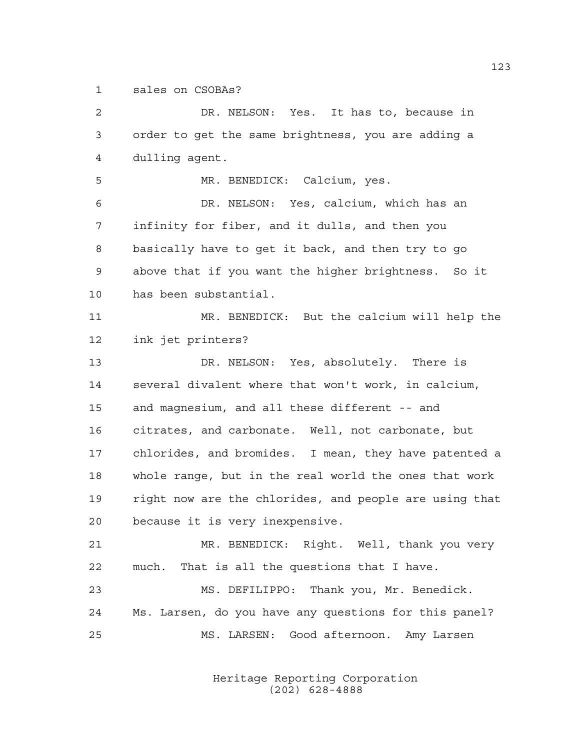sales on CSOBAs?

 DR. NELSON: Yes. It has to, because in order to get the same brightness, you are adding a dulling agent. MR. BENEDICK: Calcium, yes. DR. NELSON: Yes, calcium, which has an infinity for fiber, and it dulls, and then you basically have to get it back, and then try to go above that if you want the higher brightness. So it has been substantial. MR. BENEDICK: But the calcium will help the ink jet printers? DR. NELSON: Yes, absolutely. There is several divalent where that won't work, in calcium, and magnesium, and all these different -- and citrates, and carbonate. Well, not carbonate, but chlorides, and bromides. I mean, they have patented a whole range, but in the real world the ones that work right now are the chlorides, and people are using that because it is very inexpensive. MR. BENEDICK: Right. Well, thank you very much. That is all the questions that I have. MS. DEFILIPPO: Thank you, Mr. Benedick. Ms. Larsen, do you have any questions for this panel? MS. LARSEN: Good afternoon. Amy Larsen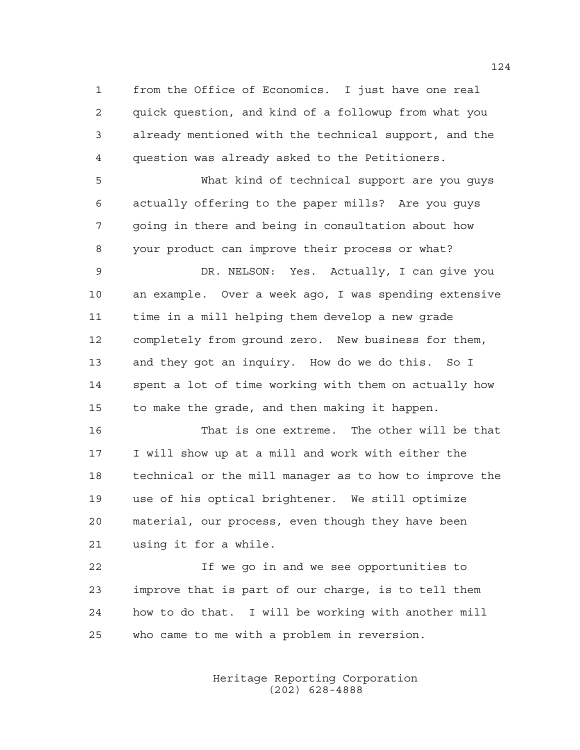from the Office of Economics. I just have one real quick question, and kind of a followup from what you already mentioned with the technical support, and the question was already asked to the Petitioners.

 What kind of technical support are you guys actually offering to the paper mills? Are you guys going in there and being in consultation about how your product can improve their process or what?

 DR. NELSON: Yes. Actually, I can give you an example. Over a week ago, I was spending extensive time in a mill helping them develop a new grade completely from ground zero. New business for them, and they got an inquiry. How do we do this. So I spent a lot of time working with them on actually how to make the grade, and then making it happen.

 That is one extreme. The other will be that I will show up at a mill and work with either the technical or the mill manager as to how to improve the use of his optical brightener. We still optimize material, our process, even though they have been using it for a while.

 If we go in and we see opportunities to improve that is part of our charge, is to tell them how to do that. I will be working with another mill who came to me with a problem in reversion.

> Heritage Reporting Corporation (202) 628-4888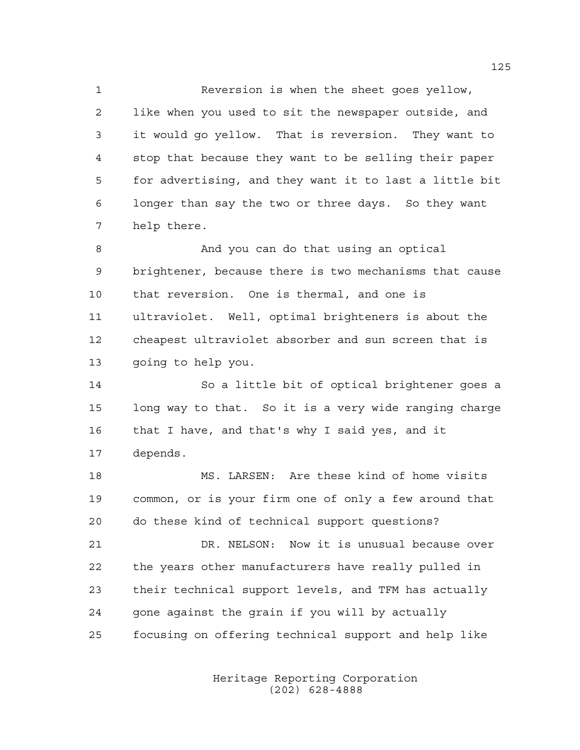Reversion is when the sheet goes yellow, like when you used to sit the newspaper outside, and it would go yellow. That is reversion. They want to stop that because they want to be selling their paper for advertising, and they want it to last a little bit longer than say the two or three days. So they want help there.

 And you can do that using an optical brightener, because there is two mechanisms that cause that reversion. One is thermal, and one is ultraviolet. Well, optimal brighteners is about the cheapest ultraviolet absorber and sun screen that is going to help you.

 So a little bit of optical brightener goes a long way to that. So it is a very wide ranging charge that I have, and that's why I said yes, and it depends.

 MS. LARSEN: Are these kind of home visits common, or is your firm one of only a few around that do these kind of technical support questions?

 DR. NELSON: Now it is unusual because over the years other manufacturers have really pulled in their technical support levels, and TFM has actually gone against the grain if you will by actually focusing on offering technical support and help like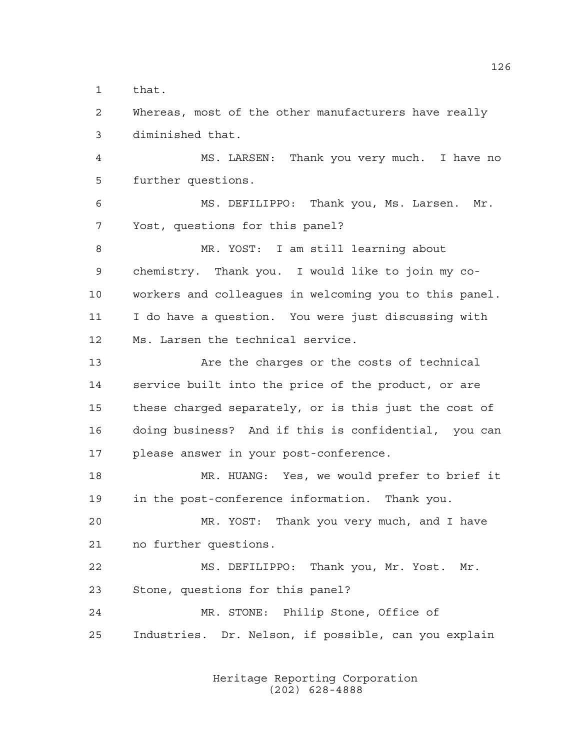that.

 Whereas, most of the other manufacturers have really diminished that.

 MS. LARSEN: Thank you very much. I have no further questions.

 MS. DEFILIPPO: Thank you, Ms. Larsen. Mr. Yost, questions for this panel?

 MR. YOST: I am still learning about chemistry. Thank you. I would like to join my co- workers and colleagues in welcoming you to this panel. I do have a question. You were just discussing with Ms. Larsen the technical service.

13 Are the charges or the costs of technical service built into the price of the product, or are these charged separately, or is this just the cost of doing business? And if this is confidential, you can please answer in your post-conference.

 MR. HUANG: Yes, we would prefer to brief it in the post-conference information. Thank you.

 MR. YOST: Thank you very much, and I have no further questions.

 MS. DEFILIPPO: Thank you, Mr. Yost. Mr. Stone, questions for this panel? MR. STONE: Philip Stone, Office of

Industries. Dr. Nelson, if possible, can you explain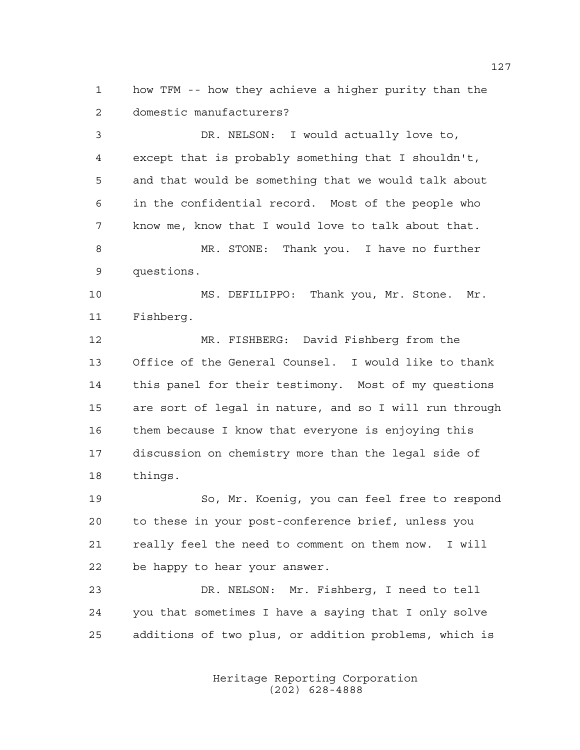how TFM -- how they achieve a higher purity than the domestic manufacturers?

 DR. NELSON: I would actually love to, except that is probably something that I shouldn't, and that would be something that we would talk about in the confidential record. Most of the people who know me, know that I would love to talk about that. MR. STONE: Thank you. I have no further questions. MS. DEFILIPPO: Thank you, Mr. Stone. Mr. Fishberg. MR. FISHBERG: David Fishberg from the Office of the General Counsel. I would like to thank this panel for their testimony. Most of my questions are sort of legal in nature, and so I will run through them because I know that everyone is enjoying this discussion on chemistry more than the legal side of

things.

 So, Mr. Koenig, you can feel free to respond to these in your post-conference brief, unless you really feel the need to comment on them now. I will be happy to hear your answer.

 DR. NELSON: Mr. Fishberg, I need to tell you that sometimes I have a saying that I only solve additions of two plus, or addition problems, which is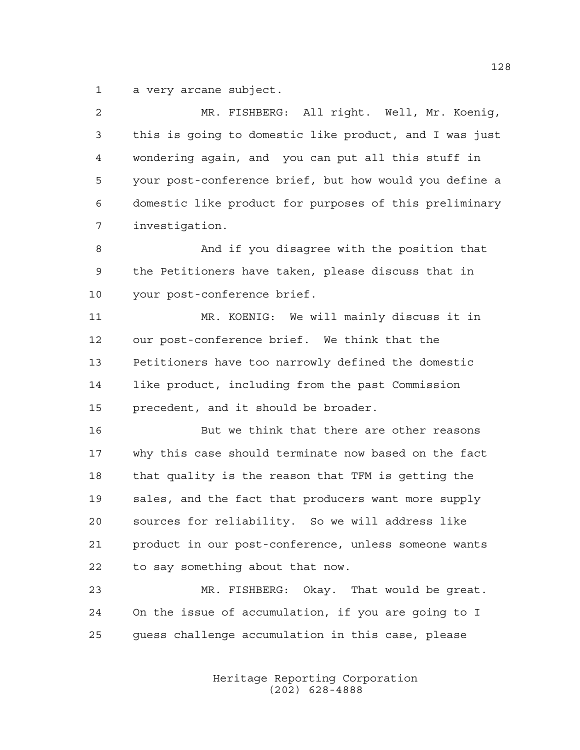a very arcane subject.

| 2  | MR. FISHBERG: All right. Well, Mr. Koenig,             |
|----|--------------------------------------------------------|
| 3  | this is going to domestic like product, and I was just |
| 4  | wondering again, and you can put all this stuff in     |
| 5  | your post-conference brief, but how would you define a |
| 6  | domestic like product for purposes of this preliminary |
| 7  | investigation.                                         |
| 8  | And if you disagree with the position that             |
| 9  | the Petitioners have taken, please discuss that in     |
| 10 | your post-conference brief.                            |
| 11 | MR. KOENIG: We will mainly discuss it in               |
| 12 | our post-conference brief. We think that the           |
| 13 | Petitioners have too narrowly defined the domestic     |
| 14 | like product, including from the past Commission       |
| 15 | precedent, and it should be broader.                   |
| 16 | But we think that there are other reasons              |
| 17 | why this case should terminate now based on the fact   |
| 18 | that quality is the reason that TFM is getting the     |
| 19 | sales, and the fact that producers want more supply    |
| 20 | sources for reliability. So we will address like       |
| 21 | product in our post-conference, unless someone wants   |
| 22 | to say something about that now.                       |
| 23 | MR. FISHBERG: Okay. That would be great.               |
| 24 | On the issue of accumulation, if you are going to I    |
| 25 | quess challenge accumulation in this case, please      |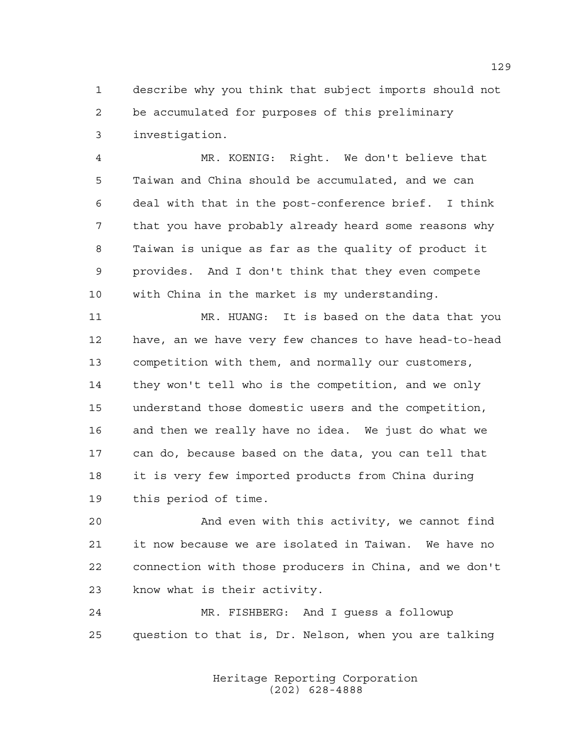describe why you think that subject imports should not be accumulated for purposes of this preliminary investigation.

 MR. KOENIG: Right. We don't believe that Taiwan and China should be accumulated, and we can deal with that in the post-conference brief. I think that you have probably already heard some reasons why Taiwan is unique as far as the quality of product it provides. And I don't think that they even compete with China in the market is my understanding.

 MR. HUANG: It is based on the data that you have, an we have very few chances to have head-to-head competition with them, and normally our customers, they won't tell who is the competition, and we only understand those domestic users and the competition, and then we really have no idea. We just do what we can do, because based on the data, you can tell that it is very few imported products from China during this period of time.

 And even with this activity, we cannot find it now because we are isolated in Taiwan. We have no connection with those producers in China, and we don't know what is their activity.

 MR. FISHBERG: And I guess a followup question to that is, Dr. Nelson, when you are talking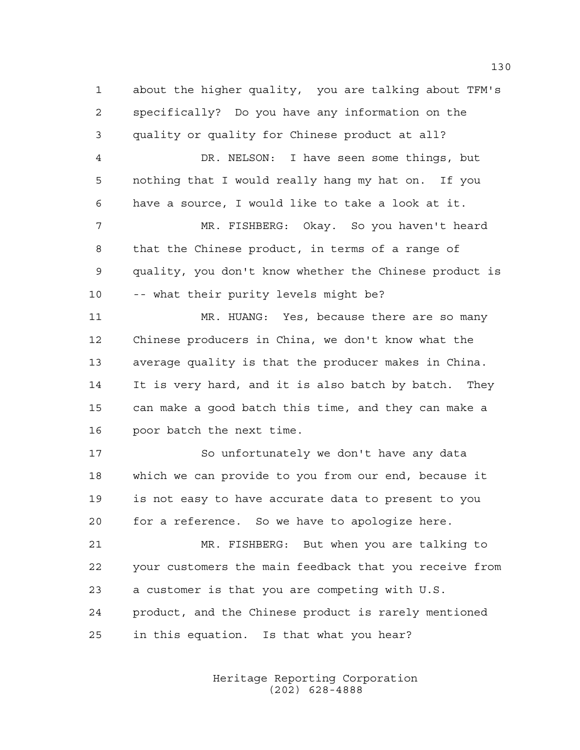about the higher quality, you are talking about TFM's specifically? Do you have any information on the quality or quality for Chinese product at all? DR. NELSON: I have seen some things, but nothing that I would really hang my hat on. If you have a source, I would like to take a look at it. MR. FISHBERG: Okay. So you haven't heard that the Chinese product, in terms of a range of quality, you don't know whether the Chinese product is -- what their purity levels might be? MR. HUANG: Yes, because there are so many Chinese producers in China, we don't know what the average quality is that the producer makes in China. It is very hard, and it is also batch by batch. They can make a good batch this time, and they can make a poor batch the next time. So unfortunately we don't have any data which we can provide to you from our end, because it is not easy to have accurate data to present to you for a reference. So we have to apologize here. MR. FISHBERG: But when you are talking to your customers the main feedback that you receive from a customer is that you are competing with U.S. product, and the Chinese product is rarely mentioned in this equation. Is that what you hear?

> Heritage Reporting Corporation (202) 628-4888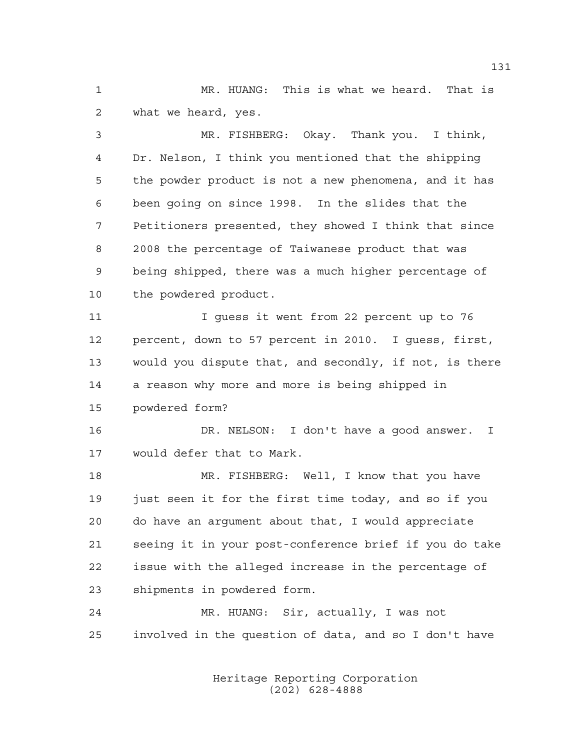MR. HUANG: This is what we heard. That is what we heard, yes.

 MR. FISHBERG: Okay. Thank you. I think, Dr. Nelson, I think you mentioned that the shipping the powder product is not a new phenomena, and it has been going on since 1998. In the slides that the Petitioners presented, they showed I think that since 2008 the percentage of Taiwanese product that was being shipped, there was a much higher percentage of the powdered product.

 I guess it went from 22 percent up to 76 percent, down to 57 percent in 2010. I guess, first, would you dispute that, and secondly, if not, is there a reason why more and more is being shipped in powdered form?

 DR. NELSON: I don't have a good answer. I would defer that to Mark.

 MR. FISHBERG: Well, I know that you have just seen it for the first time today, and so if you do have an argument about that, I would appreciate seeing it in your post-conference brief if you do take issue with the alleged increase in the percentage of shipments in powdered form.

 MR. HUANG: Sir, actually, I was not involved in the question of data, and so I don't have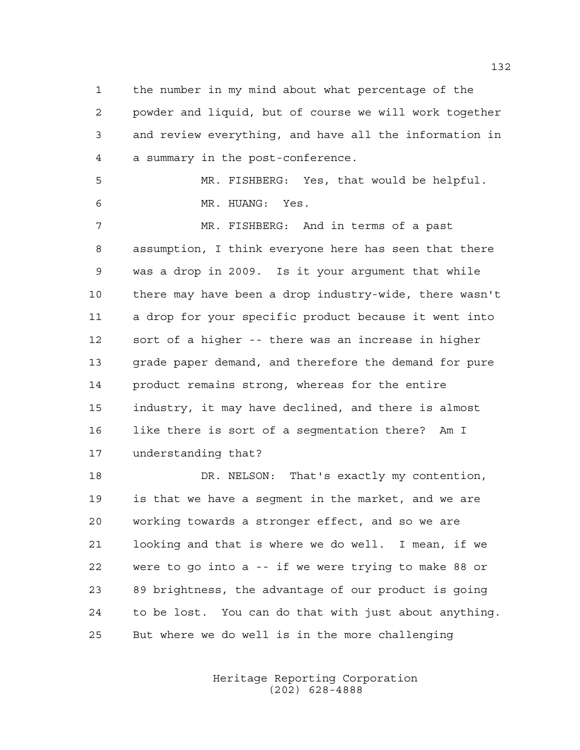the number in my mind about what percentage of the powder and liquid, but of course we will work together and review everything, and have all the information in a summary in the post-conference.

 MR. FISHBERG: Yes, that would be helpful. MR. HUANG: Yes.

 MR. FISHBERG: And in terms of a past assumption, I think everyone here has seen that there was a drop in 2009. Is it your argument that while there may have been a drop industry-wide, there wasn't a drop for your specific product because it went into sort of a higher -- there was an increase in higher grade paper demand, and therefore the demand for pure product remains strong, whereas for the entire industry, it may have declined, and there is almost like there is sort of a segmentation there? Am I understanding that?

 DR. NELSON: That's exactly my contention, is that we have a segment in the market, and we are working towards a stronger effect, and so we are looking and that is where we do well. I mean, if we were to go into a -- if we were trying to make 88 or 89 brightness, the advantage of our product is going to be lost. You can do that with just about anything. But where we do well is in the more challenging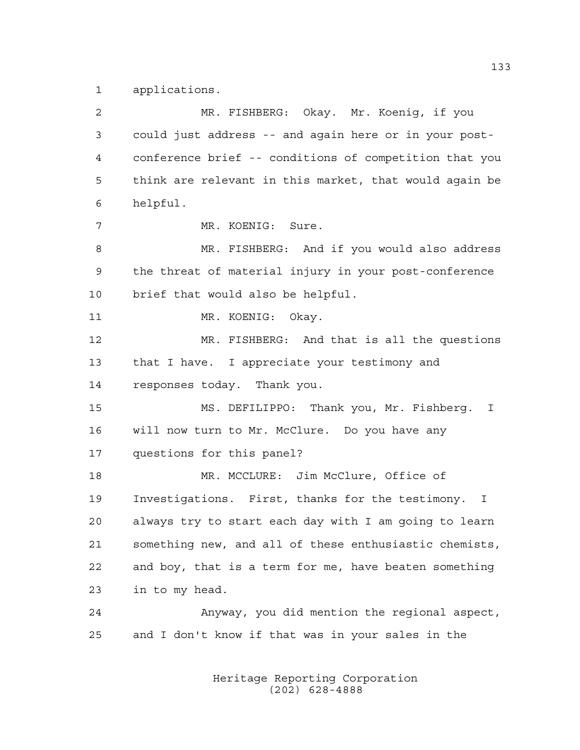applications.

 MR. FISHBERG: Okay. Mr. Koenig, if you could just address -- and again here or in your post- conference brief -- conditions of competition that you think are relevant in this market, that would again be helpful. MR. KOENIG: Sure. 8 MR. FISHBERG: And if you would also address the threat of material injury in your post-conference brief that would also be helpful. 11 MR. KOENIG: Okay. MR. FISHBERG: And that is all the questions that I have. I appreciate your testimony and responses today. Thank you. MS. DEFILIPPO: Thank you, Mr. Fishberg. I will now turn to Mr. McClure. Do you have any questions for this panel? MR. MCCLURE: Jim McClure, Office of Investigations. First, thanks for the testimony. I always try to start each day with I am going to learn something new, and all of these enthusiastic chemists, and boy, that is a term for me, have beaten something in to my head. Anyway, you did mention the regional aspect, and I don't know if that was in your sales in the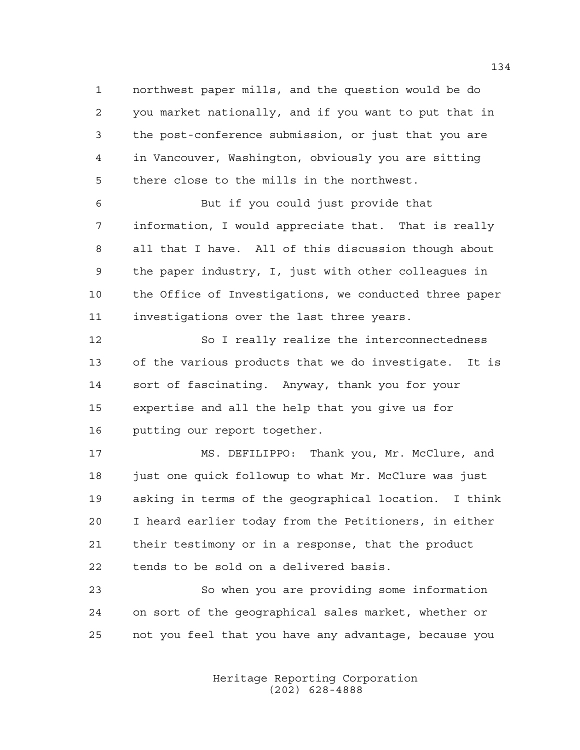northwest paper mills, and the question would be do you market nationally, and if you want to put that in the post-conference submission, or just that you are in Vancouver, Washington, obviously you are sitting there close to the mills in the northwest.

 But if you could just provide that information, I would appreciate that. That is really all that I have. All of this discussion though about the paper industry, I, just with other colleagues in the Office of Investigations, we conducted three paper investigations over the last three years.

12 So I really realize the interconnectedness of the various products that we do investigate. It is sort of fascinating. Anyway, thank you for your expertise and all the help that you give us for putting our report together.

 MS. DEFILIPPO: Thank you, Mr. McClure, and 18 just one quick followup to what Mr. McClure was just asking in terms of the geographical location. I think I heard earlier today from the Petitioners, in either their testimony or in a response, that the product tends to be sold on a delivered basis.

 So when you are providing some information on sort of the geographical sales market, whether or not you feel that you have any advantage, because you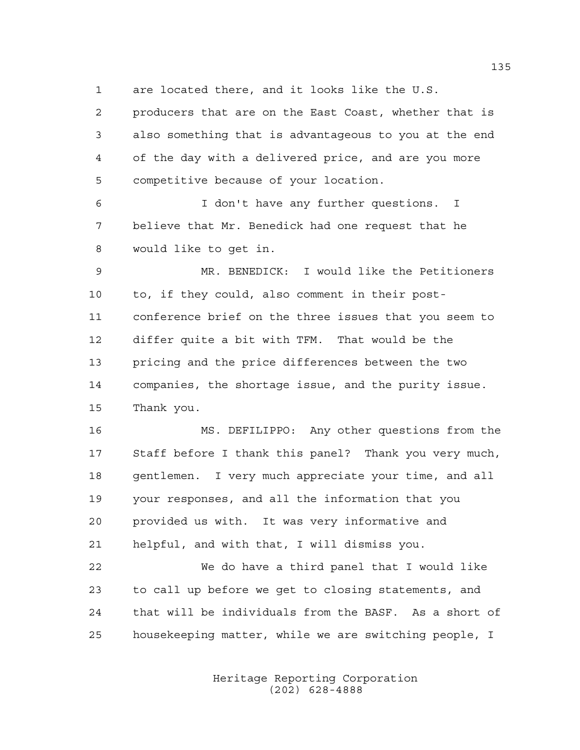are located there, and it looks like the U.S.

 producers that are on the East Coast, whether that is also something that is advantageous to you at the end of the day with a delivered price, and are you more competitive because of your location.

 I don't have any further questions. I believe that Mr. Benedick had one request that he would like to get in.

 MR. BENEDICK: I would like the Petitioners to, if they could, also comment in their post- conference brief on the three issues that you seem to differ quite a bit with TFM. That would be the pricing and the price differences between the two companies, the shortage issue, and the purity issue. Thank you.

 MS. DEFILIPPO: Any other questions from the Staff before I thank this panel? Thank you very much, gentlemen. I very much appreciate your time, and all your responses, and all the information that you provided us with. It was very informative and helpful, and with that, I will dismiss you.

 We do have a third panel that I would like to call up before we get to closing statements, and that will be individuals from the BASF. As a short of housekeeping matter, while we are switching people, I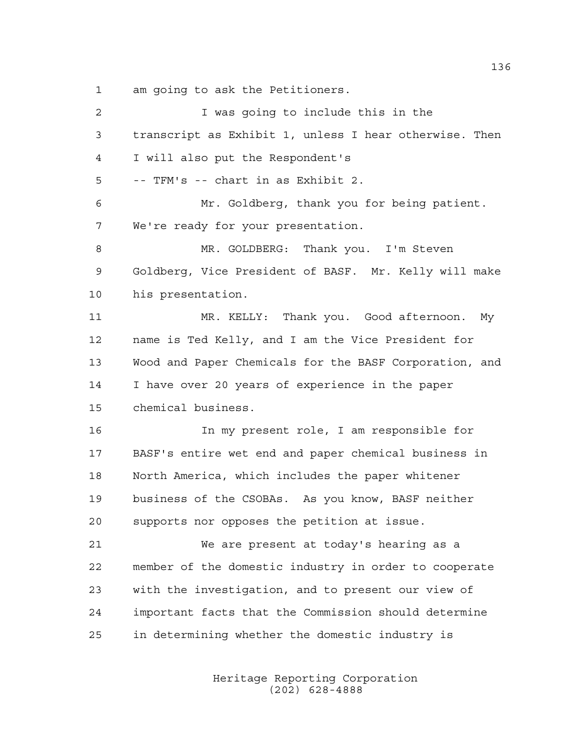am going to ask the Petitioners.

| $\overline{2}$ | I was going to include this in the                     |
|----------------|--------------------------------------------------------|
| 3              | transcript as Exhibit 1, unless I hear otherwise. Then |
| 4              | I will also put the Respondent's                       |
| 5              | -- TFM's -- chart in as Exhibit 2.                     |
| 6              | Mr. Goldberg, thank you for being patient.             |
| 7              | We're ready for your presentation.                     |
| 8              | MR. GOLDBERG: Thank you. I'm Steven                    |
| 9              | Goldberg, Vice President of BASF. Mr. Kelly will make  |
| 10             | his presentation.                                      |
| 11             | MR. KELLY: Thank you. Good afternoon. My               |
| 12             | name is Ted Kelly, and I am the Vice President for     |
| 13             | Wood and Paper Chemicals for the BASF Corporation, and |
| 14             | I have over 20 years of experience in the paper        |
| 15             | chemical business.                                     |
| 16             | In my present role, I am responsible for               |
| 17             | BASF's entire wet end and paper chemical business in   |
| 18             | North America, which includes the paper whitener       |
| 19             | business of the CSOBAs. As you know, BASF neither      |
| 20             | supports nor opposes the petition at issue.            |
| 21             | We are present at today's hearing as a                 |
| 22             | member of the domestic industry in order to cooperate  |
| 23             | with the investigation, and to present our view of     |
| 24             | important facts that the Commission should determine   |
| 25             | in determining whether the domestic industry is        |
|                |                                                        |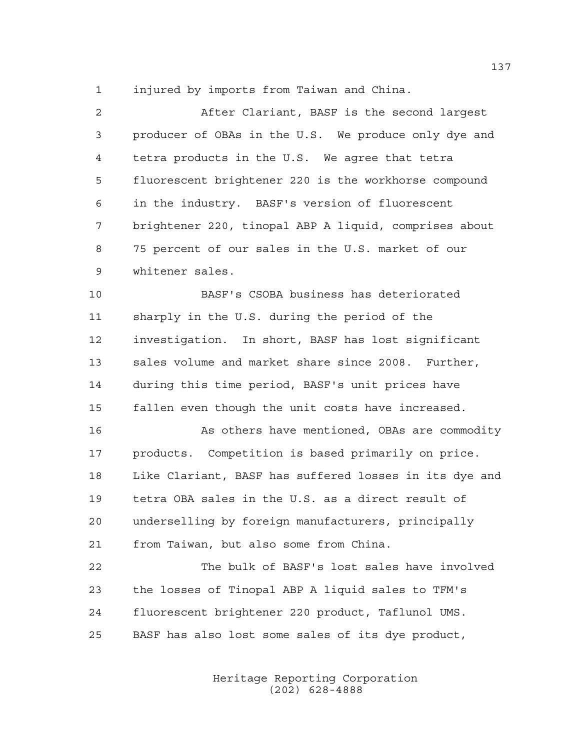injured by imports from Taiwan and China.

 After Clariant, BASF is the second largest producer of OBAs in the U.S. We produce only dye and tetra products in the U.S. We agree that tetra fluorescent brightener 220 is the workhorse compound in the industry. BASF's version of fluorescent brightener 220, tinopal ABP A liquid, comprises about 75 percent of our sales in the U.S. market of our whitener sales.

 BASF's CSOBA business has deteriorated sharply in the U.S. during the period of the investigation. In short, BASF has lost significant 13 sales volume and market share since 2008. Further, during this time period, BASF's unit prices have fallen even though the unit costs have increased.

 As others have mentioned, OBAs are commodity products. Competition is based primarily on price. Like Clariant, BASF has suffered losses in its dye and tetra OBA sales in the U.S. as a direct result of underselling by foreign manufacturers, principally from Taiwan, but also some from China.

 The bulk of BASF's lost sales have involved the losses of Tinopal ABP A liquid sales to TFM's fluorescent brightener 220 product, Taflunol UMS. BASF has also lost some sales of its dye product,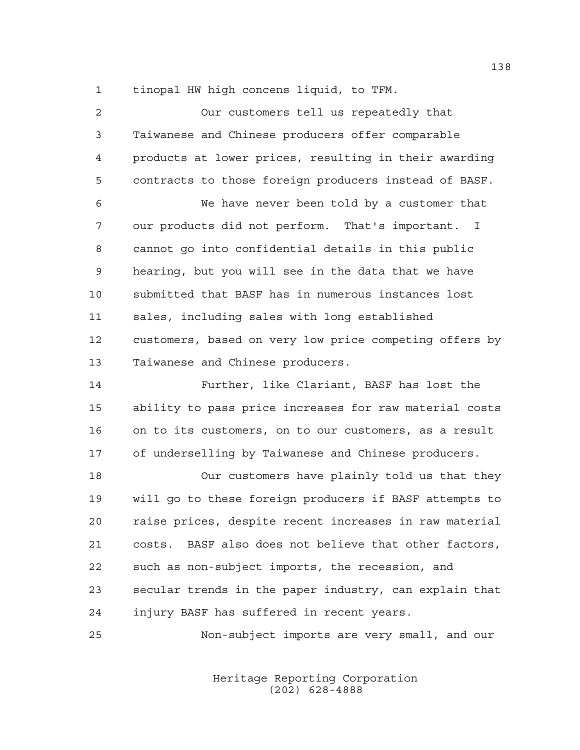tinopal HW high concens liquid, to TFM.

| $\overline{2}$ | Our customers tell us repeatedly that                  |
|----------------|--------------------------------------------------------|
| 3              | Taiwanese and Chinese producers offer comparable       |
| 4              | products at lower prices, resulting in their awarding  |
| 5              | contracts to those foreign producers instead of BASF.  |
| 6              | We have never been told by a customer that             |
| 7              | our products did not perform. That's important. I      |
| 8              | cannot go into confidential details in this public     |
| 9              | hearing, but you will see in the data that we have     |
| 10             | submitted that BASF has in numerous instances lost     |
| 11             | sales, including sales with long established           |
| 12             | customers, based on very low price competing offers by |
| 13             | Taiwanese and Chinese producers.                       |
| 14             | Further, like Clariant, BASF has lost the              |
| 15             | ability to pass price increases for raw material costs |
|                |                                                        |
| 16             | on to its customers, on to our customers, as a result  |
| 17             | of underselling by Taiwanese and Chinese producers.    |
| 18             | Our customers have plainly told us that they           |
| 19             | will go to these foreign producers if BASF attempts to |
| 20             | raise prices, despite recent increases in raw material |
| 21             | costs. BASF also does not believe that other factors,  |
| 22             | such as non-subject imports, the recession, and        |
| 23             | secular trends in the paper industry, can explain that |
| 24             | injury BASF has suffered in recent years.              |

Heritage Reporting Corporation (202) 628-4888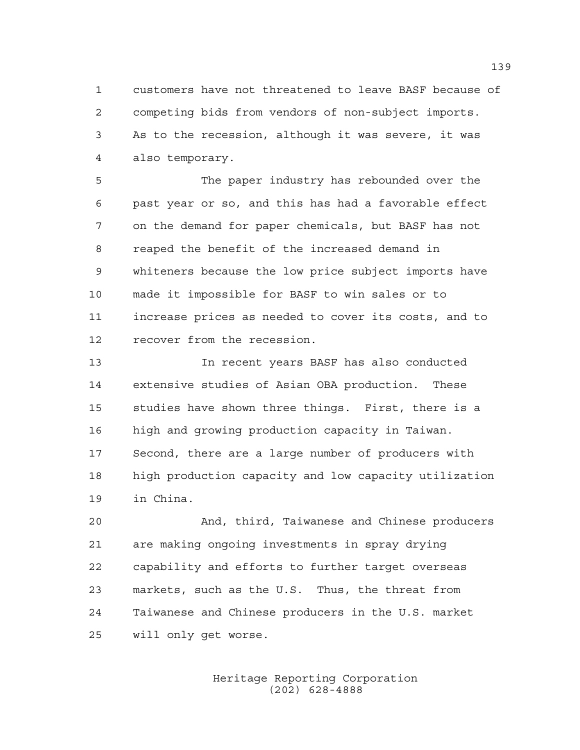customers have not threatened to leave BASF because of competing bids from vendors of non-subject imports. As to the recession, although it was severe, it was also temporary.

 The paper industry has rebounded over the past year or so, and this has had a favorable effect on the demand for paper chemicals, but BASF has not reaped the benefit of the increased demand in whiteners because the low price subject imports have made it impossible for BASF to win sales or to increase prices as needed to cover its costs, and to recover from the recession.

 In recent years BASF has also conducted extensive studies of Asian OBA production. These studies have shown three things. First, there is a high and growing production capacity in Taiwan. Second, there are a large number of producers with high production capacity and low capacity utilization in China.

 And, third, Taiwanese and Chinese producers are making ongoing investments in spray drying capability and efforts to further target overseas markets, such as the U.S. Thus, the threat from Taiwanese and Chinese producers in the U.S. market will only get worse.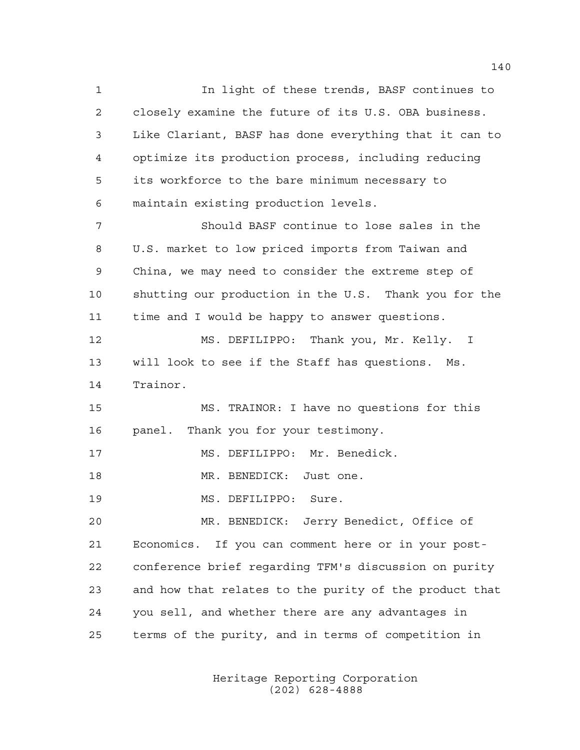In light of these trends, BASF continues to closely examine the future of its U.S. OBA business. Like Clariant, BASF has done everything that it can to optimize its production process, including reducing its workforce to the bare minimum necessary to maintain existing production levels. Should BASF continue to lose sales in the U.S. market to low priced imports from Taiwan and China, we may need to consider the extreme step of shutting our production in the U.S. Thank you for the time and I would be happy to answer questions. MS. DEFILIPPO: Thank you, Mr. Kelly. I will look to see if the Staff has questions. Ms. Trainor. MS. TRAINOR: I have no questions for this panel. Thank you for your testimony. MS. DEFILIPPO: Mr. Benedick. 18 MR. BENEDICK: Just one. MS. DEFILIPPO: Sure. MR. BENEDICK: Jerry Benedict, Office of Economics. If you can comment here or in your post- conference brief regarding TFM's discussion on purity and how that relates to the purity of the product that you sell, and whether there are any advantages in terms of the purity, and in terms of competition in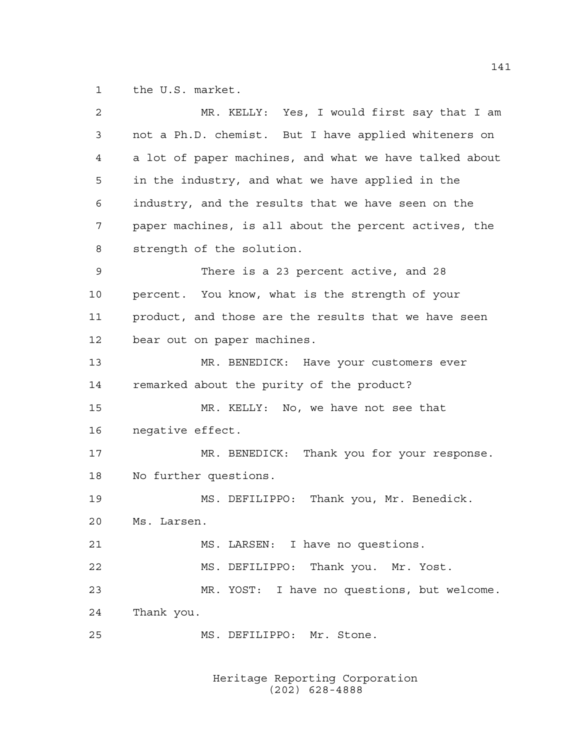the U.S. market.

| $\overline{a}$ | MR. KELLY: Yes, I would first say that I am            |
|----------------|--------------------------------------------------------|
| 3              | not a Ph.D. chemist. But I have applied whiteners on   |
| 4              | a lot of paper machines, and what we have talked about |
| 5              | in the industry, and what we have applied in the       |
| 6              | industry, and the results that we have seen on the     |
| 7              | paper machines, is all about the percent actives, the  |
| 8              | strength of the solution.                              |
| 9              | There is a 23 percent active, and 28                   |
| 10             | percent. You know, what is the strength of your        |
| 11             | product, and those are the results that we have seen   |
| 12             | bear out on paper machines.                            |
| 13             | MR. BENEDICK: Have your customers ever                 |
| 14             | remarked about the purity of the product?              |
| 15             | MR. KELLY: No, we have not see that                    |
| 16             | negative effect.                                       |
| 17             | MR. BENEDICK: Thank you for your response.             |
| 18             | No further questions.                                  |
| 19             | MS. DEFILIPPO: Thank you, Mr. Benedick.                |
| 20             | Ms. Larsen.                                            |
| 21             | MS. LARSEN: I have no questions.                       |
| 22             | MS. DEFILIPPO: Thank you. Mr. Yost.                    |
| 23             | MR. YOST: I have no questions, but welcome.            |
| 24             | Thank you.                                             |
| 25             | MS. DEFILIPPO: Mr. Stone.                              |
|                |                                                        |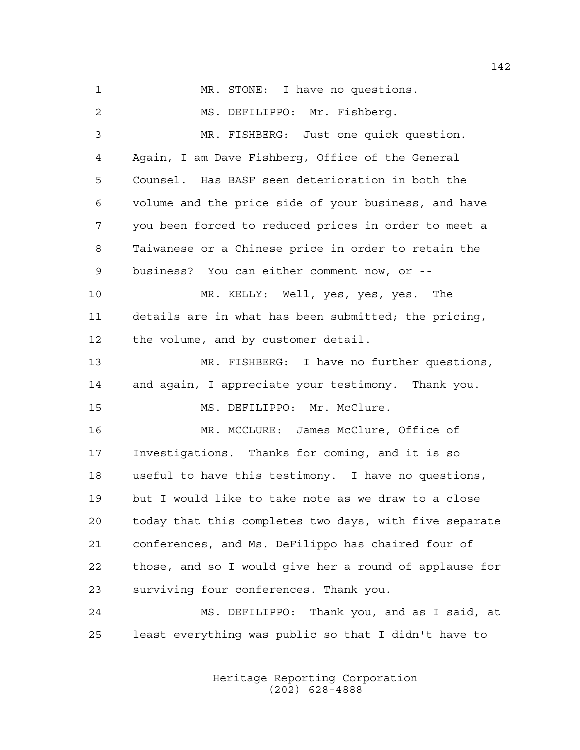1 MR. STONE: I have no questions. MS. DEFILIPPO: Mr. Fishberg. MR. FISHBERG: Just one quick question. Again, I am Dave Fishberg, Office of the General Counsel. Has BASF seen deterioration in both the volume and the price side of your business, and have you been forced to reduced prices in order to meet a Taiwanese or a Chinese price in order to retain the business? You can either comment now, or -- MR. KELLY: Well, yes, yes, yes. The details are in what has been submitted; the pricing, the volume, and by customer detail. MR. FISHBERG: I have no further questions, and again, I appreciate your testimony. Thank you. MS. DEFILIPPO: Mr. McClure. MR. MCCLURE: James McClure, Office of Investigations. Thanks for coming, and it is so useful to have this testimony. I have no questions, but I would like to take note as we draw to a close today that this completes two days, with five separate conferences, and Ms. DeFilippo has chaired four of those, and so I would give her a round of applause for surviving four conferences. Thank you. MS. DEFILIPPO: Thank you, and as I said, at least everything was public so that I didn't have to

> Heritage Reporting Corporation (202) 628-4888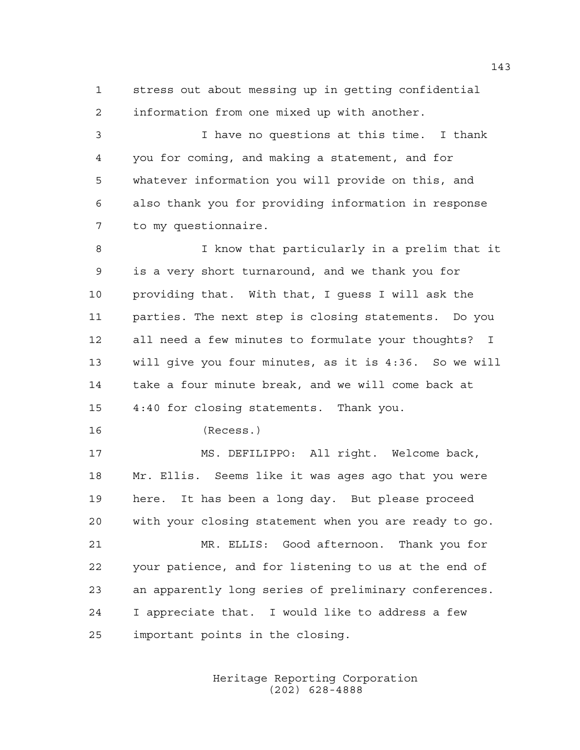stress out about messing up in getting confidential information from one mixed up with another.

 I have no questions at this time. I thank you for coming, and making a statement, and for whatever information you will provide on this, and also thank you for providing information in response to my questionnaire.

 I know that particularly in a prelim that it is a very short turnaround, and we thank you for providing that. With that, I guess I will ask the parties. The next step is closing statements. Do you all need a few minutes to formulate your thoughts? I will give you four minutes, as it is 4:36. So we will take a four minute break, and we will come back at 4:40 for closing statements. Thank you.

(Recess.)

 MS. DEFILIPPO: All right. Welcome back, Mr. Ellis. Seems like it was ages ago that you were here. It has been a long day. But please proceed with your closing statement when you are ready to go. MR. ELLIS: Good afternoon. Thank you for your patience, and for listening to us at the end of an apparently long series of preliminary conferences. I appreciate that. I would like to address a few important points in the closing.

> Heritage Reporting Corporation (202) 628-4888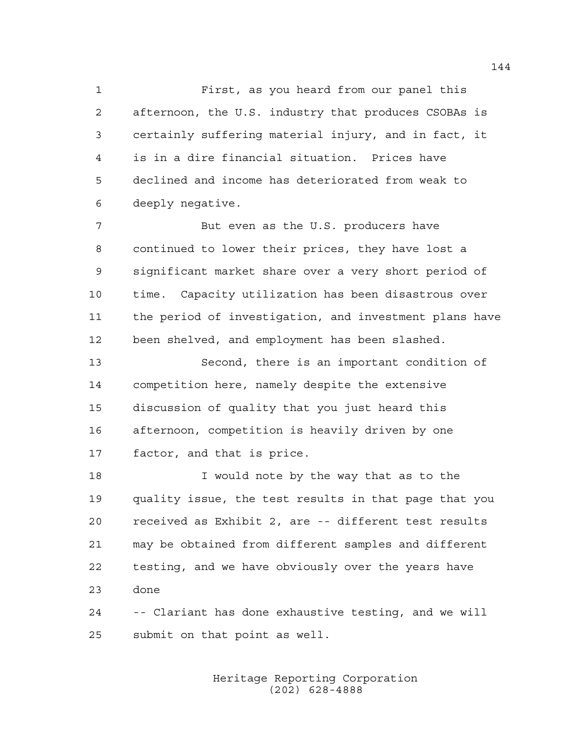First, as you heard from our panel this afternoon, the U.S. industry that produces CSOBAs is certainly suffering material injury, and in fact, it is in a dire financial situation. Prices have declined and income has deteriorated from weak to deeply negative.

 But even as the U.S. producers have continued to lower their prices, they have lost a significant market share over a very short period of time. Capacity utilization has been disastrous over the period of investigation, and investment plans have been shelved, and employment has been slashed.

 Second, there is an important condition of competition here, namely despite the extensive discussion of quality that you just heard this afternoon, competition is heavily driven by one factor, and that is price.

 I would note by the way that as to the quality issue, the test results in that page that you received as Exhibit 2, are -- different test results may be obtained from different samples and different testing, and we have obviously over the years have done

 -- Clariant has done exhaustive testing, and we will submit on that point as well.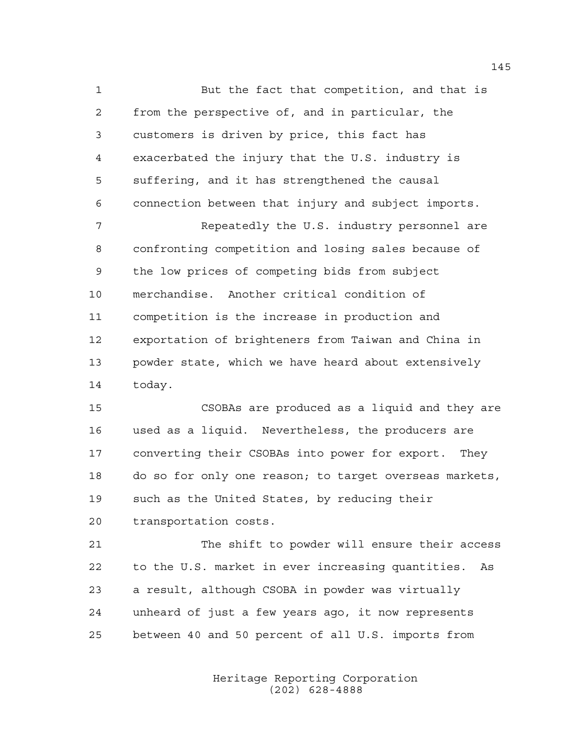But the fact that competition, and that is from the perspective of, and in particular, the customers is driven by price, this fact has exacerbated the injury that the U.S. industry is suffering, and it has strengthened the causal connection between that injury and subject imports.

 Repeatedly the U.S. industry personnel are confronting competition and losing sales because of the low prices of competing bids from subject merchandise. Another critical condition of competition is the increase in production and exportation of brighteners from Taiwan and China in powder state, which we have heard about extensively today.

 CSOBAs are produced as a liquid and they are used as a liquid. Nevertheless, the producers are converting their CSOBAs into power for export. They do so for only one reason; to target overseas markets, such as the United States, by reducing their transportation costs.

 The shift to powder will ensure their access to the U.S. market in ever increasing quantities. As a result, although CSOBA in powder was virtually unheard of just a few years ago, it now represents between 40 and 50 percent of all U.S. imports from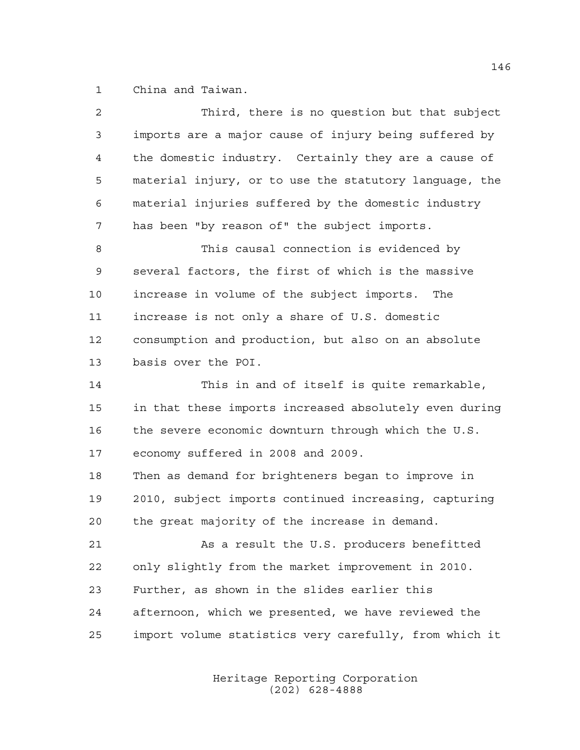China and Taiwan.

| 2  | Third, there is no question but that subject           |
|----|--------------------------------------------------------|
| 3  | imports are a major cause of injury being suffered by  |
| 4  | the domestic industry. Certainly they are a cause of   |
| 5  | material injury, or to use the statutory language, the |
| 6  | material injuries suffered by the domestic industry    |
| 7  | has been "by reason of" the subject imports.           |
| 8  | This causal connection is evidenced by                 |
| 9  | several factors, the first of which is the massive     |
| 10 | increase in volume of the subject imports.<br>The      |
| 11 | increase is not only a share of U.S. domestic          |
| 12 | consumption and production, but also on an absolute    |
| 13 | basis over the POI.                                    |
| 14 | This in and of itself is quite remarkable,             |
| 15 | in that these imports increased absolutely even during |
| 16 | the severe economic downturn through which the U.S.    |
| 17 | economy suffered in 2008 and 2009.                     |
| 18 | Then as demand for brighteners began to improve in     |
| 19 | 2010, subject imports continued increasing, capturing  |
| 20 | the great majority of the increase in demand.          |
| 21 | As a result the U.S. producers benefitted              |
| 22 | only slightly from the market improvement in 2010.     |
| 23 | Further, as shown in the slides earlier this           |
|    |                                                        |
| 24 | afternoon, which we presented, we have reviewed the    |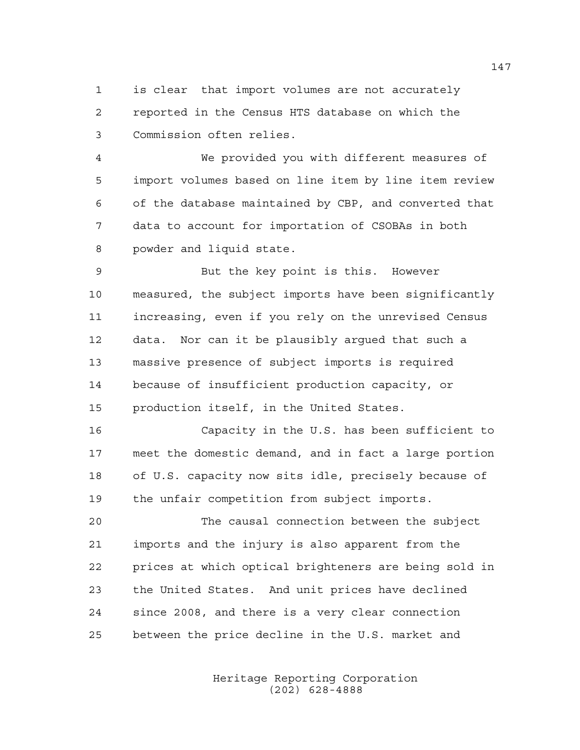is clear that import volumes are not accurately reported in the Census HTS database on which the Commission often relies.

 We provided you with different measures of import volumes based on line item by line item review of the database maintained by CBP, and converted that data to account for importation of CSOBAs in both powder and liquid state.

 But the key point is this. However measured, the subject imports have been significantly increasing, even if you rely on the unrevised Census data. Nor can it be plausibly argued that such a massive presence of subject imports is required because of insufficient production capacity, or production itself, in the United States.

 Capacity in the U.S. has been sufficient to meet the domestic demand, and in fact a large portion of U.S. capacity now sits idle, precisely because of the unfair competition from subject imports.

 The causal connection between the subject imports and the injury is also apparent from the prices at which optical brighteners are being sold in the United States. And unit prices have declined since 2008, and there is a very clear connection between the price decline in the U.S. market and

> Heritage Reporting Corporation (202) 628-4888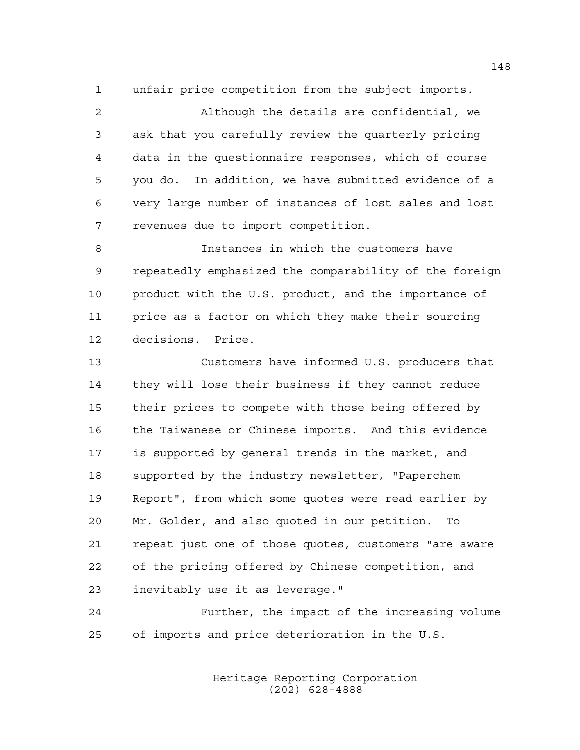unfair price competition from the subject imports.

 Although the details are confidential, we ask that you carefully review the quarterly pricing data in the questionnaire responses, which of course you do. In addition, we have submitted evidence of a very large number of instances of lost sales and lost revenues due to import competition.

 Instances in which the customers have repeatedly emphasized the comparability of the foreign product with the U.S. product, and the importance of price as a factor on which they make their sourcing decisions. Price.

 Customers have informed U.S. producers that they will lose their business if they cannot reduce their prices to compete with those being offered by the Taiwanese or Chinese imports. And this evidence is supported by general trends in the market, and supported by the industry newsletter, "Paperchem Report", from which some quotes were read earlier by Mr. Golder, and also quoted in our petition. To repeat just one of those quotes, customers "are aware of the pricing offered by Chinese competition, and inevitably use it as leverage."

 Further, the impact of the increasing volume of imports and price deterioration in the U.S.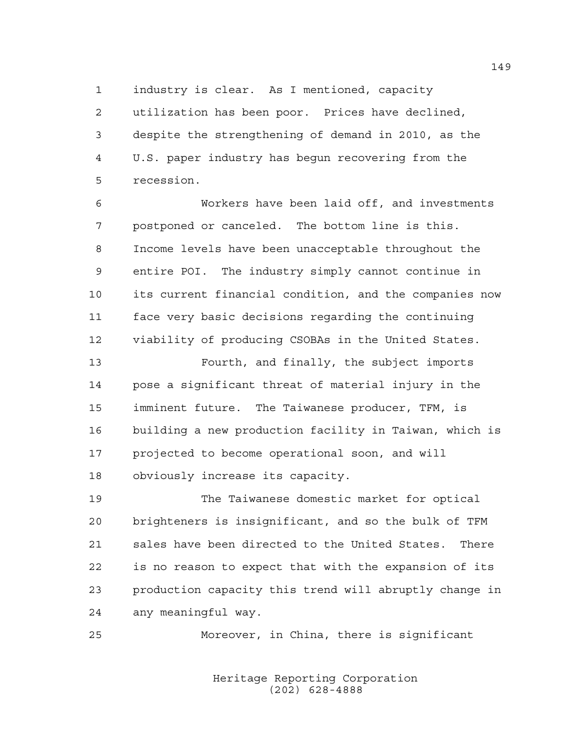industry is clear. As I mentioned, capacity utilization has been poor. Prices have declined, despite the strengthening of demand in 2010, as the U.S. paper industry has begun recovering from the recession.

 Workers have been laid off, and investments postponed or canceled. The bottom line is this. Income levels have been unacceptable throughout the entire POI. The industry simply cannot continue in its current financial condition, and the companies now face very basic decisions regarding the continuing viability of producing CSOBAs in the United States.

 Fourth, and finally, the subject imports pose a significant threat of material injury in the imminent future. The Taiwanese producer, TFM, is building a new production facility in Taiwan, which is projected to become operational soon, and will obviously increase its capacity.

 The Taiwanese domestic market for optical brighteners is insignificant, and so the bulk of TFM sales have been directed to the United States. There is no reason to expect that with the expansion of its production capacity this trend will abruptly change in any meaningful way.

Moreover, in China, there is significant

Heritage Reporting Corporation (202) 628-4888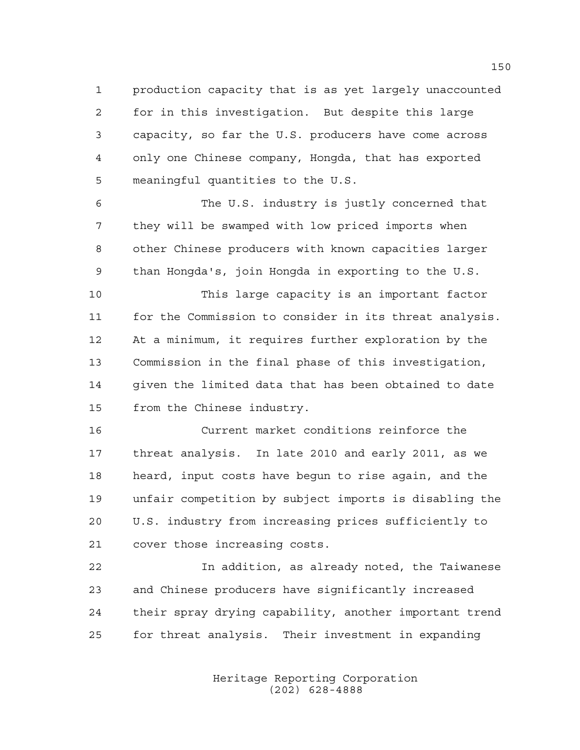production capacity that is as yet largely unaccounted for in this investigation. But despite this large capacity, so far the U.S. producers have come across only one Chinese company, Hongda, that has exported meaningful quantities to the U.S.

 The U.S. industry is justly concerned that they will be swamped with low priced imports when other Chinese producers with known capacities larger than Hongda's, join Hongda in exporting to the U.S.

 This large capacity is an important factor for the Commission to consider in its threat analysis. At a minimum, it requires further exploration by the Commission in the final phase of this investigation, given the limited data that has been obtained to date from the Chinese industry.

 Current market conditions reinforce the threat analysis. In late 2010 and early 2011, as we heard, input costs have begun to rise again, and the unfair competition by subject imports is disabling the U.S. industry from increasing prices sufficiently to cover those increasing costs.

 In addition, as already noted, the Taiwanese and Chinese producers have significantly increased their spray drying capability, another important trend for threat analysis. Their investment in expanding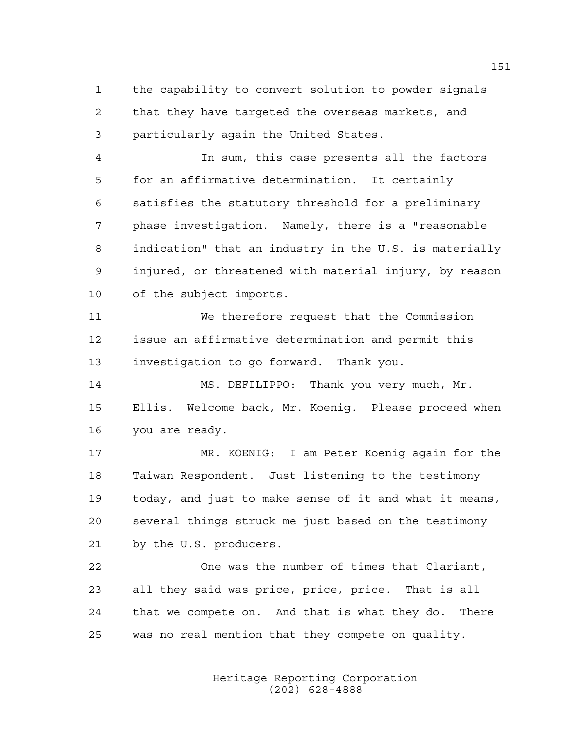the capability to convert solution to powder signals that they have targeted the overseas markets, and particularly again the United States.

 In sum, this case presents all the factors for an affirmative determination. It certainly satisfies the statutory threshold for a preliminary phase investigation. Namely, there is a "reasonable indication" that an industry in the U.S. is materially injured, or threatened with material injury, by reason of the subject imports.

 We therefore request that the Commission issue an affirmative determination and permit this investigation to go forward. Thank you.

14 MS. DEFILIPPO: Thank you very much, Mr. Ellis. Welcome back, Mr. Koenig. Please proceed when you are ready.

 MR. KOENIG: I am Peter Koenig again for the Taiwan Respondent. Just listening to the testimony today, and just to make sense of it and what it means, several things struck me just based on the testimony by the U.S. producers.

 One was the number of times that Clariant, all they said was price, price, price. That is all that we compete on. And that is what they do. There was no real mention that they compete on quality.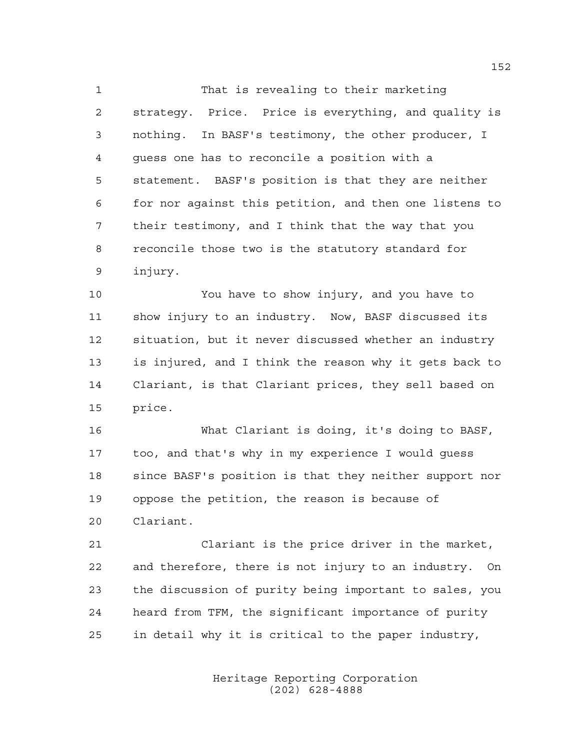That is revealing to their marketing strategy. Price. Price is everything, and quality is nothing. In BASF's testimony, the other producer, I guess one has to reconcile a position with a statement. BASF's position is that they are neither for nor against this petition, and then one listens to their testimony, and I think that the way that you reconcile those two is the statutory standard for injury.

 You have to show injury, and you have to show injury to an industry. Now, BASF discussed its situation, but it never discussed whether an industry is injured, and I think the reason why it gets back to Clariant, is that Clariant prices, they sell based on price.

 What Clariant is doing, it's doing to BASF, too, and that's why in my experience I would guess since BASF's position is that they neither support nor oppose the petition, the reason is because of Clariant.

 Clariant is the price driver in the market, and therefore, there is not injury to an industry. On the discussion of purity being important to sales, you heard from TFM, the significant importance of purity in detail why it is critical to the paper industry,

> Heritage Reporting Corporation (202) 628-4888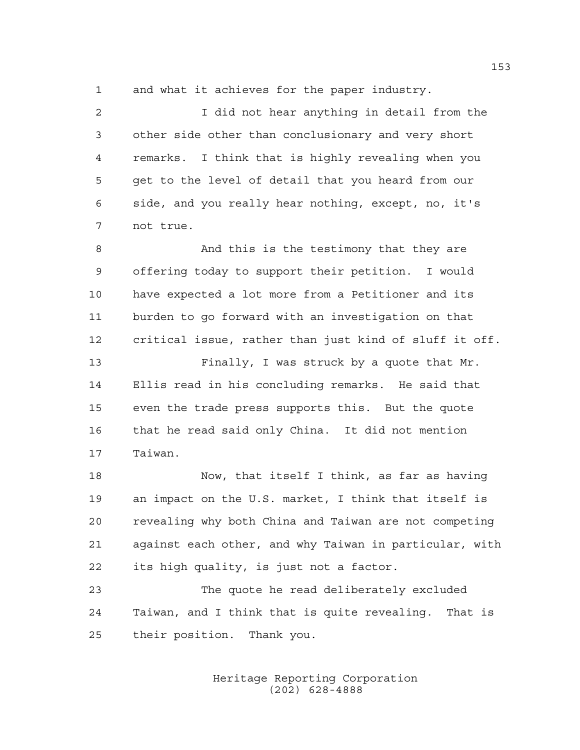and what it achieves for the paper industry.

 I did not hear anything in detail from the other side other than conclusionary and very short remarks. I think that is highly revealing when you get to the level of detail that you heard from our side, and you really hear nothing, except, no, it's not true. And this is the testimony that they are offering today to support their petition. I would have expected a lot more from a Petitioner and its burden to go forward with an investigation on that critical issue, rather than just kind of sluff it off. Finally, I was struck by a quote that Mr. Ellis read in his concluding remarks. He said that even the trade press supports this. But the quote that he read said only China. It did not mention Taiwan. Now, that itself I think, as far as having an impact on the U.S. market, I think that itself is revealing why both China and Taiwan are not competing against each other, and why Taiwan in particular, with

its high quality, is just not a factor.

 The quote he read deliberately excluded Taiwan, and I think that is quite revealing. That is their position. Thank you.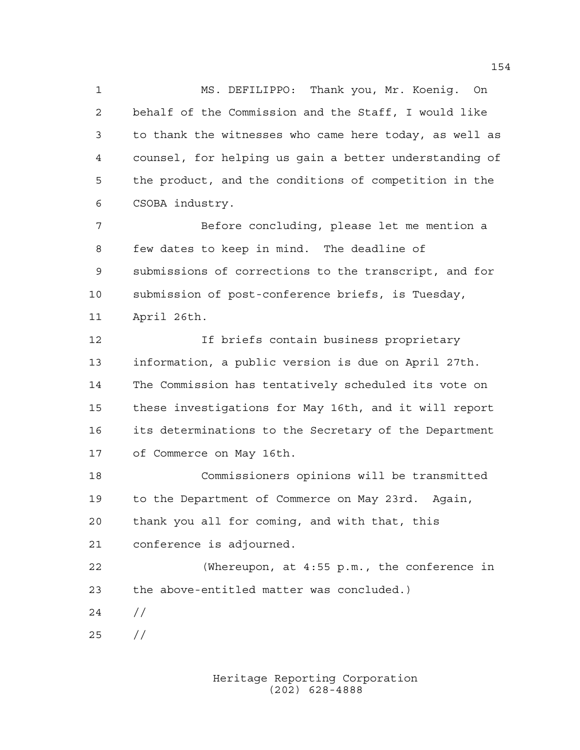MS. DEFILIPPO: Thank you, Mr. Koenig. On behalf of the Commission and the Staff, I would like to thank the witnesses who came here today, as well as counsel, for helping us gain a better understanding of the product, and the conditions of competition in the CSOBA industry.

 Before concluding, please let me mention a few dates to keep in mind. The deadline of submissions of corrections to the transcript, and for submission of post-conference briefs, is Tuesday, April 26th.

 If briefs contain business proprietary information, a public version is due on April 27th. The Commission has tentatively scheduled its vote on these investigations for May 16th, and it will report its determinations to the Secretary of the Department of Commerce on May 16th.

 Commissioners opinions will be transmitted to the Department of Commerce on May 23rd. Again, thank you all for coming, and with that, this conference is adjourned.

 (Whereupon, at 4:55 p.m., the conference in the above-entitled matter was concluded.)

- //
- //